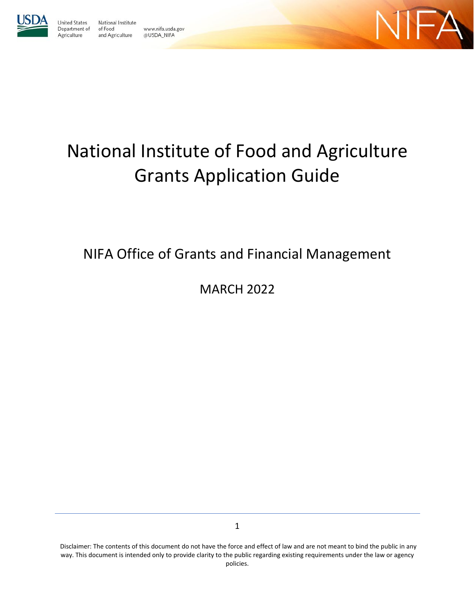

United States

Agriculture

Department of

National Institute of Food and Agriculture





# National Institute of Food and Agriculture Grants Application Guide

# NIFA Office of Grants and Financial Management

MARCH 2022

Disclaimer: The contents of this document do not have the force and effect of law and are not meant to bind the public in any way. This document is intended only to provide clarity to the public regarding existing requirements under the law or agency policies.

1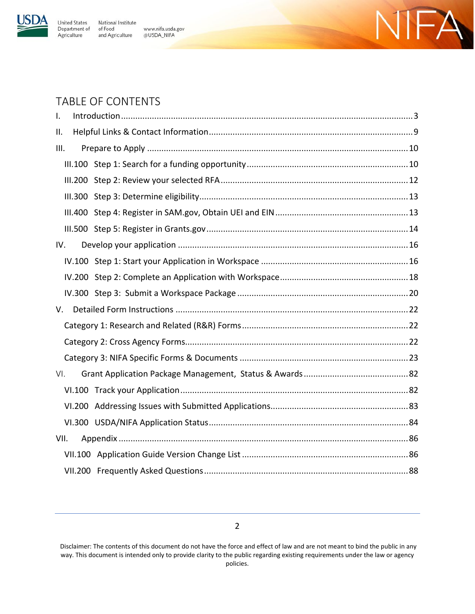

Agriculture

**United States** National Institute Department of of Food and Agriculture @USDA\_NIFA

www.nifa.usda.gov



# TABLE OF CONTENTS

| $\mathbf{I}$ . |  |
|----------------|--|
| ΙΙ.            |  |
| III.           |  |
|                |  |
|                |  |
|                |  |
|                |  |
|                |  |
| IV.            |  |
|                |  |
|                |  |
|                |  |
| V.             |  |
|                |  |
|                |  |
|                |  |
| VI.            |  |
|                |  |
|                |  |
|                |  |
| VII.           |  |
|                |  |
|                |  |

2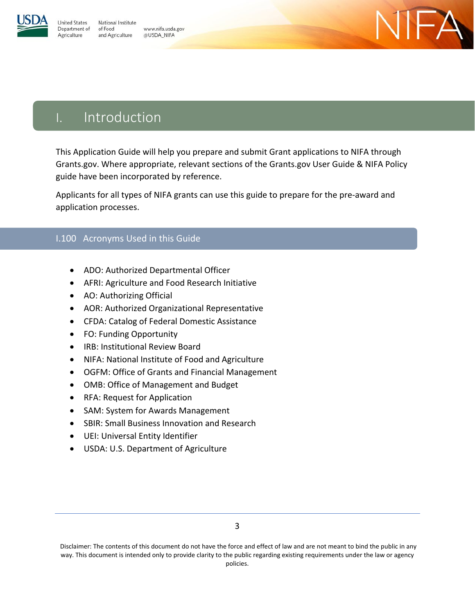

**Jnited States** National Institute Department of of Food and Agriculture Agriculture

www.nifa.usda.gov @USDA\_NIFA



# <span id="page-2-0"></span>I. Introduction

This Application Guide will help you prepare and submit Grant applications to NIFA through Grants.gov. Where appropriate, relevant sections of the Grants.gov User Guide & NIFA Policy guide have been incorporated by reference.

Applicants for all types of NIFA grants can use this guide to prepare for the pre-award and application processes.

# I.100 Acronyms Used in this Guide

- ADO: Authorized Departmental Officer
- AFRI: Agriculture and Food Research Initiative
- AO: Authorizing Official
- AOR: Authorized Organizational Representative
- CFDA: Catalog of Federal Domestic Assistance
- FO: Funding Opportunity
- IRB: Institutional Review Board
- NIFA: National Institute of Food and Agriculture
- OGFM: Office of Grants and Financial Management
- OMB: Office of Management and Budget
- RFA: Request for Application
- SAM: System for Awards Management
- SBIR: Small Business Innovation and Research
- UEI: Universal Entity Identifier
- USDA: U.S. Department of Agriculture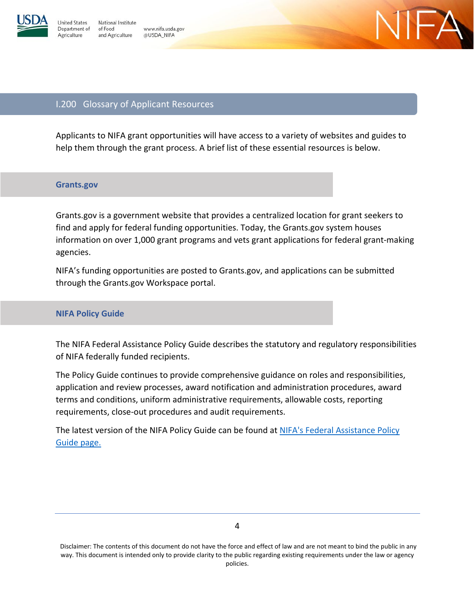National Institute **Jnited States** Department of of Food and Agriculture



## I.200 Glossary of Applicant Resources

www.nifa.usda.gov

@USDA\_NIFA

Applicants to NIFA grant opportunities will have access to a variety of websites and guides to help them through the grant process. A brief list of these essential resources is below.

#### **Grants.gov**

Agriculture

Grants.gov is a government website that provides a centralized location for grant seekers to find and apply for federal funding opportunities. Today, the Grants.gov system houses information on over 1,000 grant programs and vets grant applications for federal grant-making agencies.

NIFA's funding opportunities are posted to Grants.gov, and applications can be submitted through the Grants.gov Workspace portal.

#### **NIFA Policy Guide**

The NIFA Federal Assistance Policy Guide describes the statutory and regulatory responsibilities of NIFA federally funded recipients.

The Policy Guide continues to provide comprehensive guidance on roles and responsibilities, application and review processes, award notification and administration procedures, award terms and conditions, uniform administrative requirements, allowable costs, reporting requirements, close-out procedures and audit requirements.

The latest version of the NIFA Policy Guide can be found at [NIFA's Federal Assistance Policy](https://nifa.usda.gov/resource/nifa-federal-assistance-policy-guide)  [Guide page.](https://nifa.usda.gov/resource/nifa-federal-assistance-policy-guide)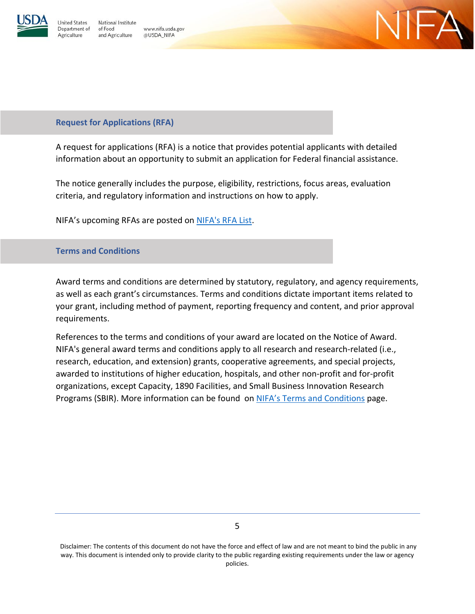

National Institute **Jnited States** Department of of Food and Agriculture Agriculture

www.nifa.usda.gov @USDA\_NIFA



**Request for Applications (RFA)**

A request for applications (RFA) is a notice that provides potential applicants with detailed information about an opportunity to submit an application for Federal financial assistance.

The notice generally includes the purpose, eligibility, restrictions, focus areas, evaluation criteria, and regulatory information and instructions on how to apply.

NIFA's upcoming RFAs are posted on [NIFA's RFA List.](https://nifa.usda.gov/rfa-list)

## **Terms and Conditions**

Award terms and conditions are determined by statutory, regulatory, and agency requirements, as well as each grant's circumstances. Terms and conditions dictate important items related to your grant, including method of payment, reporting frequency and content, and prior approval requirements.

References to the terms and conditions of your award are located on the Notice of Award. NIFA's general award terms and conditions apply to all research and research-related (i.e., research, education, and extension) grants, cooperative agreements, and special projects, awarded to institutions of higher education, hospitals, and other non-profit and for-profit organizations, except Capacity, 1890 Facilities, and Small Business Innovation Research Programs (SBIR). More information can be found on [NIFA's Terms and Conditions](https://nifa.usda.gov/terms-and-conditions) page.

5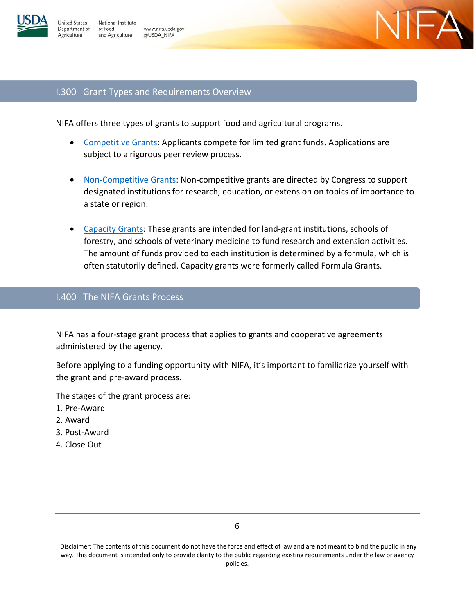

**Inited States** 

Agriculture



## I.300 Grant Types and Requirements Overview

NIFA offers three types of grants to support food and agricultural programs.

- [Competitive Grants:](https://nifa.usda.gov/types-federal-assistance#Competitive) Applicants compete for limited grant funds. Applications are subject to a rigorous peer review process.
- [Non-Competitive Grants:](https://nifa.usda.gov/types-federal-assistance#Non-Competitive) Non-competitive grants are directed by Congress to support designated institutions for research, education, or extension on topics of importance to a state or region.
- [Capacity Grants:](https://nifa.usda.gov/types-federal-assistance#Capacity) These grants are intended for land-grant institutions, schools of forestry, and schools of veterinary medicine to fund research and extension activities. The amount of funds provided to each institution is determined by a formula, which is often statutorily defined. Capacity grants were formerly called Formula Grants.

## I.400 The NIFA Grants Process

NIFA has a four-stage grant process that applies to grants and cooperative agreements administered by the agency.

Before applying to a funding opportunity with NIFA, it's important to familiarize yourself with the grant and pre-award process.

The stages of the grant process are:

- 1. Pre-Award
- 2. Award
- 3. Post-Award
- 4. Close Out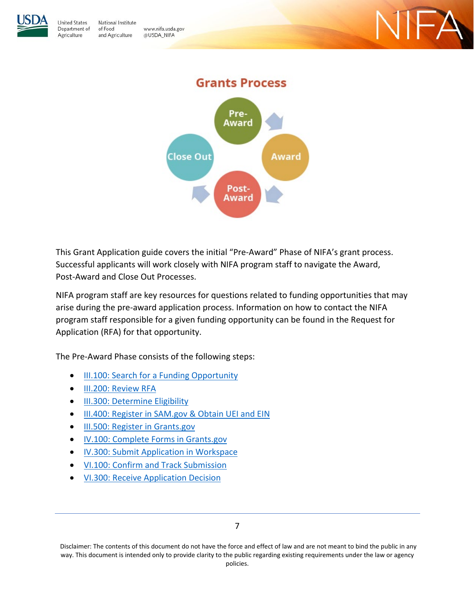

**United States** National Institute Department of of Food and Agriculture Agriculture

www.nifa.usda.gov @USDA\_NIFA



# **Grants Process**



This Grant Application guide covers the initial "Pre-Award" Phase of NIFA's grant process. Successful applicants will work closely with NIFA program staff to navigate the Award, Post-Award and Close Out Processes.

NIFA program staff are key resources for questions related to funding opportunities that may arise during the pre-award application process. Information on how to contact the NIFA program staff responsible for a given funding opportunity can be found in the Request for Application (RFA) for that opportunity.

The Pre-Award Phase consists of the following steps:

- [III.100: Search for a Funding Opportunity](#page-9-1)
- [III.200: Review RFA](#page-11-0)
- [III.300: Determine Eligibility](#page-12-0)
- [III.400: Register in SAM.gov & Obtain UEI and EIN](#page-12-1)
- [III.500: Register in Grants.gov](#page-13-0)
- [IV.100: Complete Forms in Grants.gov](#page-15-1)
- [IV.300: Submit Application in Workspace](#page-19-0)
- [VI.100: Confirm and Track Submission](#page-81-1)
- [VI.300: Receive Application Decision](#page-83-1)

7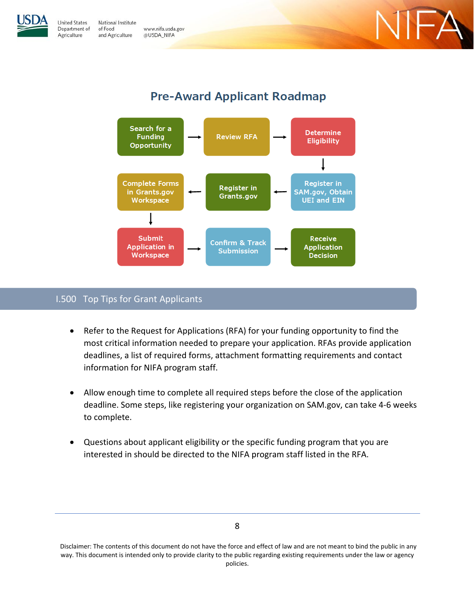

**United States** National Institute Department of of Food Agriculture and Agriculture

www.nifa.usda.gov

@USDA\_NIFA

 $-\Delta$ 

# **Pre-Award Applicant Roadmap**



## I.500 Top Tips for Grant Applicants

- Refer to the Request for Applications (RFA) for your funding opportunity to find the most critical information needed to prepare your application. RFAs provide application deadlines, a list of required forms, attachment formatting requirements and contact information for NIFA program staff.
- Allow enough time to complete all required steps before the close of the application deadline. Some steps, like registering your organization on SAM.gov, can take 4-6 weeks to complete.
- Questions about applicant eligibility or the specific funding program that you are interested in should be directed to the NIFA program staff listed in the RFA.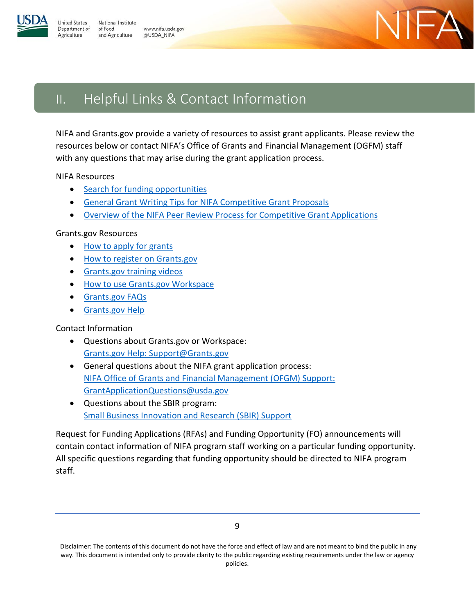

National Institute **Jnited States** Department of of Food and Agriculture Agriculture

 $-\Delta$ 

# <span id="page-8-0"></span>II. Helpful Links & Contact Information

www.nifa.usda.gov

@USDA\_NIFA

NIFA and Grants.gov provide a variety of resources to assist grant applicants. Please review the resources below or contact NIFA's Office of Grants and Financial Management (OGFM) staff with any questions that may arise during the grant application process.

NIFA Resources

- [Search for funding opportunities](https://nifa.usda.gov/grants/funding-opportunities)
- [General Grant Writing Tips for NIFA Competitive Grant Proposals](https://nifa.usda.gov/sites/default/files/resource/General-Grant-Writing-Tips-for-Success.pdf)
- [Overview of the NIFA Peer Review Process for Competitive Grant Applications](https://nifa.usda.gov/sites/default/files/resource/The%20NIFA%20Peer%20Review%20Process%20for%20Competitive%20Grant%20Applications-07062021.pdf)

# Grants.gov Resources

- [How to apply for grants](https://www.grants.gov/web/grants/applicants/apply-for-grants.html)
- [How to register on Grants.gov](https://www.grants.gov/web/grants/learn-grants.html)
- [Grants.gov training videos](https://www.youtube.com/playlist?list=PLNSNGxQE7NWlPcYxVJsglJbRc6cPcfC8X)
- [How to use Grants.gov Workspace](https://www.grants.gov/web/grants/applicants/workspace-overview.html)
- [Grants.gov FAQs](https://www.grants.gov/web/grants/applicants/applicant-faqs.html)
- [Grants.gov Help](https://www.grants.gov/web/grants/support.html)

# Contact Information

- Questions about Grants.gov or Workspace: [Grants.gov Help: Support@Grants.gov](mailto:Grants.gov%20Help:%20Support@Grants.gov)
- General questions about the NIFA grant application process: [NIFA Office of Grants and Financial Management \(OFGM\) Support:](mailto:grantapplicationquestions@usda.gov)  [GrantApplicationQuestions@usda.gov](mailto:grantapplicationquestions@usda.gov)
- Questions about the SBIR program: [Small Business Innovation and Research \(SBIR\) Support](https://nifa.usda.gov/program/small-business-innovation-research-program-sbir)

Request for Funding Applications (RFAs) and Funding Opportunity (FO) announcements will contain contact information of NIFA program staff working on a particular funding opportunity. All specific questions regarding that funding opportunity should be directed to NIFA program staff.

<sup>9</sup>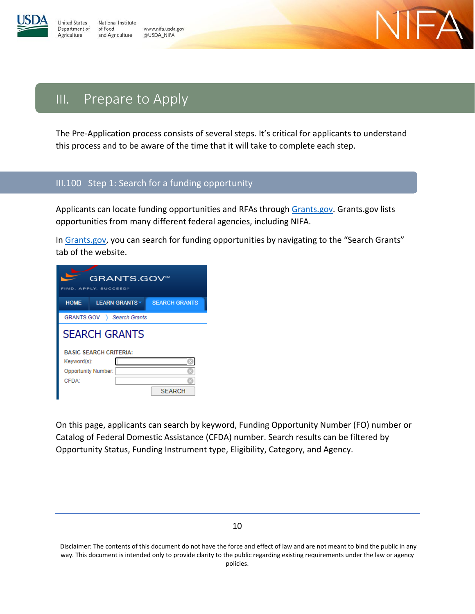

**Jnited States** National Institute Department of of Food and Agriculture Agriculture



# <span id="page-9-0"></span>III. Prepare to Apply

The Pre-Application process consists of several steps. It's critical for applicants to understand this process and to be aware of the time that it will take to complete each step.

# <span id="page-9-1"></span>III.100 Step 1: Search for a funding opportunity

www.nifa.usda.gov

@USDA\_NIFA

Applicants can locate funding opportunities and RFAs through [Grants.gov.](https://www.grants.gov/web/grants/search-grants.html) Grants.gov lists opportunities from many different federal agencies, including NIFA.

In [Grants.gov,](https://www.grants.gov/web/grants/search-grants.html) you can search for funding opportunities by navigating to the "Search Grants" tab of the website.

|                            | <b>GRANTS.GOV®</b><br>FIND, APPLY, SUCCEED." |                      |
|----------------------------|----------------------------------------------|----------------------|
| <b>HOME</b>                | <b>LEARN GRANTS▼</b>                         | <b>SEARCH GRANTS</b> |
|                            | GRANTS.GOV > Search Grants                   |                      |
|                            | <b>SEARCH GRANTS</b>                         |                      |
|                            | <b>BASIC SEARCH CRITERIA:</b>                |                      |
| Keyword(s):                |                                              |                      |
| <b>Opportunity Number:</b> |                                              |                      |
| CFDA:                      |                                              |                      |
|                            |                                              | <b>SEARCH</b>        |

On this page, applicants can search by keyword, Funding Opportunity Number (FO) number or Catalog of Federal Domestic Assistance (CFDA) number. Search results can be filtered by Opportunity Status, Funding Instrument type, Eligibility, Category, and Agency.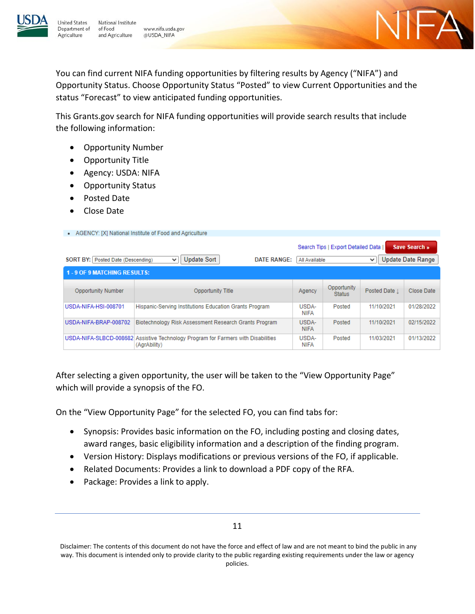

**Jnited States** 

Agriculture

Department of

National Institute of Food www.nifa.usda.gov and Agriculture @USDA\_NIFA



You can find current NIFA funding opportunities by filtering results by Agency ("NIFA") and Opportunity Status. Choose Opportunity Status "Posted" to view Current Opportunities and the status "Forecast" to view anticipated funding opportunities.

This Grants.gov search for NIFA funding opportunities will provide search results that include the following information:

- Opportunity Number
- Opportunity Title
- Agency: USDA: NIFA
- Opportunity Status
- Posted Date
- Close Date

#### • AGENCY: [X] National Institute of Food and Agriculture

|                                     |                                                                                                   |                      | Search Tips   Export Detailed Data |               | Save Search »     |
|-------------------------------------|---------------------------------------------------------------------------------------------------|----------------------|------------------------------------|---------------|-------------------|
| SORT BY:   Posted Date (Descending) | Update Sort<br><b>DATE RANGE:</b><br>◡                                                            | All Available        |                                    | $\checkmark$  | Update Date Range |
| <b>1 - 9 OF 9 MATCHING RESULTS:</b> |                                                                                                   |                      |                                    |               |                   |
| Opportunity Number                  | Opportunity Title                                                                                 | Agency               | Opportunity<br><b>Status</b>       | Posted Date 1 | Close Date        |
| USDA-NIFA-HSI-008701                | Hispanic-Serving Institutions Education Grants Program                                            | USDA-<br><b>NIFA</b> | Posted                             | 11/10/2021    | 01/28/2022        |
| USDA-NIFA-BRAP-008702               | Biotechnology Risk Assessment Research Grants Program                                             | USDA-<br><b>NIFA</b> | Posted                             | 11/10/2021    | 02/15/2022        |
|                                     | USDA-NIFA-SLBCD-008682 Assistive Technology Program for Farmers with Disabilities<br>(AgrAbility) | USDA-<br><b>NIFA</b> | Posted                             | 11/03/2021    | 01/13/2022        |

After selecting a given opportunity, the user will be taken to the "View Opportunity Page" which will provide a synopsis of the FO.

On the "View Opportunity Page" for the selected FO, you can find tabs for:

- Synopsis: Provides basic information on the FO, including posting and closing dates, award ranges, basic eligibility information and a description of the finding program.
- Version History: Displays modifications or previous versions of the FO, if applicable.
- Related Documents: Provides a link to download a PDF copy of the RFA.
- Package: Provides a link to apply.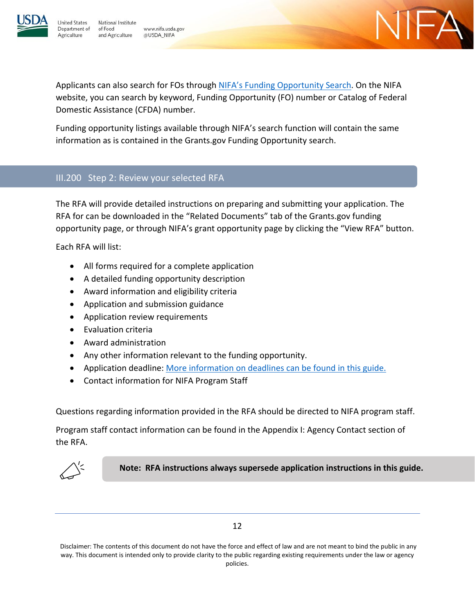

**Jnited States** Department of

Agriculture

National Institute of Food www.nifa.usda.gov and Agriculture @USDA\_NIFA



Applicants can also search for FOs through [NIFA's Funding Opportunity Search.](https://nifa.usda.gov/grants/funding-opportunities) On the NIFA website, you can search by keyword, Funding Opportunity (FO) number or Catalog of Federal Domestic Assistance (CFDA) number.

Funding opportunity listings available through NIFA's search function will contain the same information as is contained in the Grants.gov Funding Opportunity search.

# <span id="page-11-0"></span>III.200 Step 2: Review your selected RFA

The RFA will provide detailed instructions on preparing and submitting your application. The RFA for can be downloaded in the "Related Documents" tab of the Grants.gov funding opportunity page, or through NIFA's grant opportunity page by clicking the "View RFA" button.

Each RFA will list:

- All forms required for a complete application
- A detailed funding opportunity description
- Award information and eligibility criteria
- Application and submission guidance
- Application review requirements
- Evaluation criteria
- Award administration
- Any other information relevant to the funding opportunity.
- Application deadline: [More information on deadlines can be found in this guide.](#page-19-0)
- Contact information for NIFA Program Staff

Questions regarding information provided in the RFA should be directed to NIFA program staff.

Program staff contact information can be found in the Appendix I: Agency Contact section of the RFA.



 **Note: RFA instructions always supersede application instructions in this guide.**

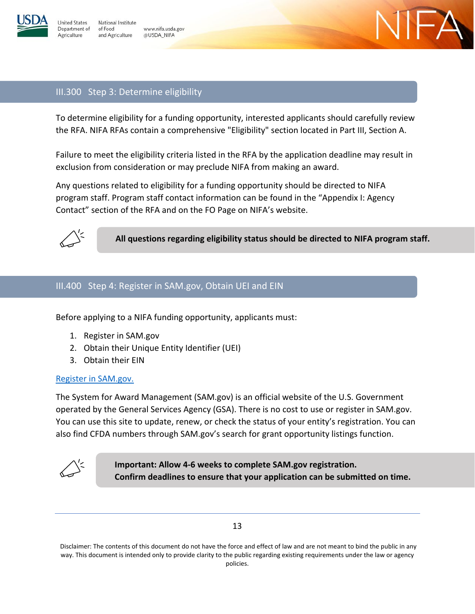

Agriculture

**Inited States** National Institute Department of of Food and Agriculture





# <span id="page-12-0"></span>III.300 Step 3: Determine eligibility

To determine eligibility for a funding opportunity, interested applicants should carefully review the RFA. NIFA RFAs contain a comprehensive "Eligibility" section located in Part III, Section A.

Failure to meet the eligibility criteria listed in the RFA by the application deadline may result in exclusion from consideration or may preclude NIFA from making an award.

Any questions related to eligibility for a funding opportunity should be directed to NIFA program staff. Program staff contact information can be found in the "Appendix I: Agency Contact" section of the RFA and on the FO Page on NIFA's website.



**All questions regarding eligibility status should be directed to NIFA program staff.** 

# <span id="page-12-1"></span>III.400 Step 4: Register in SAM.gov, Obtain UEI and EIN

Before applying to a NIFA funding opportunity, applicants must:

- 1. Register in SAM.gov
- 2. Obtain their Unique Entity Identifier (UEI)
- 3. Obtain their EIN

## [Register in SAM.gov.](https://sam.gov/content/home)

The System for Award Management (SAM.gov) is an official website of the U.S. Government operated by the General Services Agency (GSA). There is no cost to use or register in SAM.gov. You can use this site to update, renew, or check the status of your entity's registration. You can also find CFDA numbers through SAM.gov's search for grant opportunity listings function.



**Important: Allow 4-6 weeks to complete SAM.gov registration. Confirm deadlines to ensure that your application can be submitted on time.**

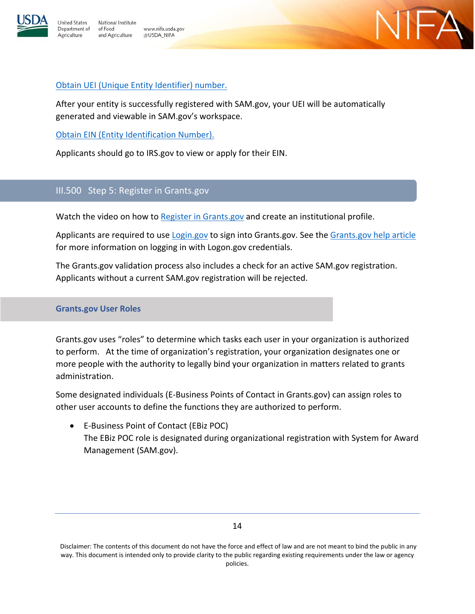

National Institute **Jnited States** Department of of Food and Agriculture Agriculture

www.nifa.usda.gov @USDA\_NIFA



## [Obtain UEI \(Unique Entity Identifier\) number.](https://sam.gov/content/home)

After your entity is successfully registered with SAM.gov, your UEI will be automatically generated and viewable in SAM.gov's workspace.

[Obtain EIN \(Entity Identification Number\).](https://www.irs.gov/) 

Applicants should go to IRS.gov to view or apply for their EIN.

# <span id="page-13-0"></span>III.500 Step 5: Register in Grants.gov

Watch the video on how to [Register in Grants.gov](https://www.grants.gov/web/grants/learn-grants.html) and create an institutional profile.

Applicants are required to use [Login.gov](https://www.login.gov/) to sign into Grants.gov. See the [Grants.gov help article](https://grantsgovprod.wordpress.com/2022/01/26/sign-in-to-grants-gov-with-your-login-gov-credentials-updated-2/) for more information on logging in with Logon.gov credentials.

The Grants.gov validation process also includes a check for an active SAM.gov registration. Applicants without a current SAM.gov registration will be rejected.

## **Grants.gov User Roles**

Grants.gov uses "roles" to determine which tasks each user in your organization is authorized to perform. At the time of organization's registration, your organization designates one or more people with the authority to legally bind your organization in matters related to grants administration.

Some designated individuals (E-Business Points of Contact in Grants.gov) can assign roles to other user accounts to define the functions they are authorized to perform.

• E-Business Point of Contact (EBiz POC) The EBiz POC role is designated during organizational registration with System for Award Management (SAM.gov).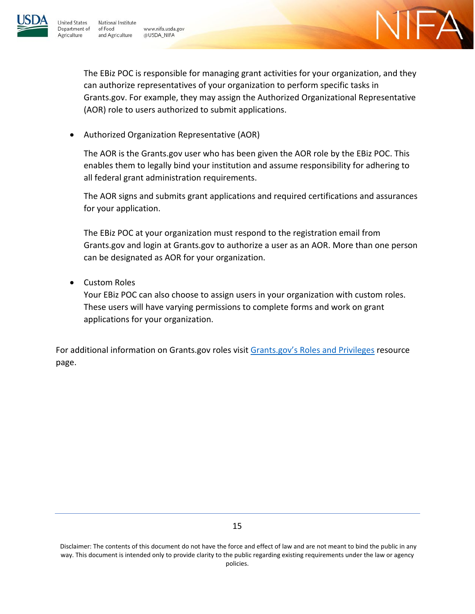



The EBiz POC is responsible for managing grant activities for your organization, and they can authorize representatives of your organization to perform specific tasks in Grants.gov. For example, they may assign the Authorized Organizational Representative (AOR) role to users authorized to submit applications.

 $-\Delta$ 

• Authorized Organization Representative (AOR)

The AOR is the Grants.gov user who has been given the AOR role by the EBiz POC. This enables them to legally bind your institution and assume responsibility for adhering to all federal grant administration requirements.

The AOR signs and submits grant applications and required certifications and assurances for your application.

The EBiz POC at your organization must respond to the registration email from Grants.gov and login at Grants.gov to authorize a user as an AOR. More than one person can be designated as AOR for your organization.

• Custom Roles

Your EBiz POC can also choose to assign users in your organization with custom roles. These users will have varying permissions to complete forms and work on grant applications for your organization.

For additional information on Grants.gov roles visit Grants.gov's [Roles and Privileges](https://www.grants.gov/web/grants/applicants/workspace-overview/workspace-roles.html) resource page.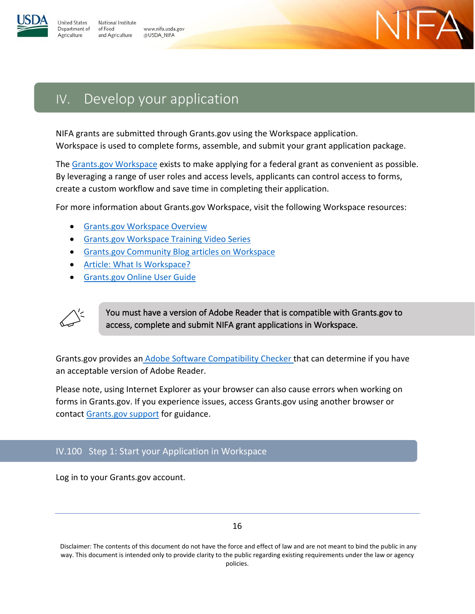

National Institute Inited States Department of of Food and Agriculture Agriculture

# <span id="page-15-0"></span>IV. Develop your application

www.nifa.usda.gov

@USDA\_NIFA

NIFA grants are submitted through Grants.gov using the Workspace application. Workspace is used to complete forms, assemble, and submit your grant application package.

The [Grants.gov Workspace](https://www.grants.gov/web/grants/applicants/workspace-overview.html) exists to make applying for a federal grant as convenient as possible. By leveraging a range of user roles and access levels, applicants can control access to forms, create a custom workflow and save time in completing their application.

For more information about Grants.gov Workspace, visit the following Workspace resources:

- [Grants.gov Workspace Overview](https://www.grants.gov/web/grants/applicants/workspace-overview.html)
- [Grants.gov Workspace Training Video Series](https://www.grants.gov/web/grants/applicants/applicant-training.html)
- [Grants.gov Community Blog articles on Workspace](https://blog.grants.gov/)
- [Article: What Is Workspace?](https://www.grants.gov/help/html/help/Applicants/WhatIsWorkspace.htm)
- [Grants.gov Online User Guide](https://www.grants.gov/help/html/help/index.htm?callingApp=custom#t=GetStarted%2FGetStarted.htm)



You must have a version of Adobe Reader that is compatible with Grants.gov to access, complete and submit NIFA grant applications in Workspace.

Grants.gov provides an [Adobe Software Compatibility Checker](https://www.grants.gov/web/grants/applicants/adobe-software-compatibility.html) that can determine if you have an acceptable version of Adobe Reader.

Please note, using Internet Explorer as your browser can also cause errors when working on forms in Grants.gov. If you experience issues, access Grants.gov using another browser or contact [Grants.gov support](https://www.grants.gov/support.html) for guidance.

# <span id="page-15-1"></span>IV.100 Step 1: Start your Application in Workspace

Log in to your Grants.gov account.

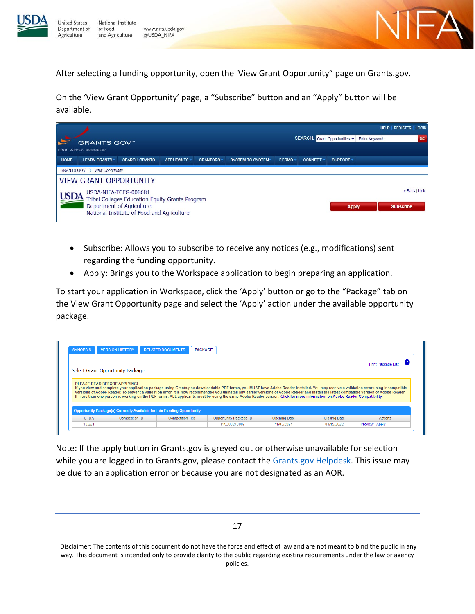

National Institute www.nifa.usda.gov and Agriculture @USDA\_NIFA

After selecting a funding opportunity, open the 'View Grant Opportunity" page on Grants.gov.

On the 'View Grant Opportunity' page, a "Subscribe" button and an "Apply" button will be available.



- Subscribe: Allows you to subscribe to receive any notices (e.g., modifications) sent regarding the funding opportunity.
- Apply: Brings you to the Workspace application to begin preparing an application.

To start your application in Workspace, click the 'Apply' button or go to the "Package" tab on the View Grant Opportunity page and select the 'Apply' action under the available opportunity package.

|                              |                                                                                 |                          |                                                                                                                                                                                                                                                                                                                                                                                        |                     |                     | <b>Print Package List</b> |
|------------------------------|---------------------------------------------------------------------------------|--------------------------|----------------------------------------------------------------------------------------------------------------------------------------------------------------------------------------------------------------------------------------------------------------------------------------------------------------------------------------------------------------------------------------|---------------------|---------------------|---------------------------|
|                              | Select Grant Opportunity Package                                                |                          |                                                                                                                                                                                                                                                                                                                                                                                        |                     |                     |                           |
|                              |                                                                                 |                          |                                                                                                                                                                                                                                                                                                                                                                                        |                     |                     |                           |
| PLEASE READ BEFORE APPLYING! |                                                                                 |                          |                                                                                                                                                                                                                                                                                                                                                                                        |                     |                     |                           |
|                              |                                                                                 |                          |                                                                                                                                                                                                                                                                                                                                                                                        |                     |                     |                           |
|                              |                                                                                 |                          |                                                                                                                                                                                                                                                                                                                                                                                        |                     |                     |                           |
|                              |                                                                                 |                          | If you view and complete your application package using Grants.gov downloadable PDF forms, you MUST have Adobe Reader installed. You may receive a validation error using incompatible<br>versions of Adobe Reader. To prevent a validation error, it is now recommended you uninstall any earlier versions of Adobe Reader and install the latest compatible version of Adobe Reader. |                     |                     |                           |
|                              |                                                                                 |                          | If more than one person is working on the PDF forms. ALL applicants must be using the same Adobe Reader version. Click for more information on Adobe Reader Compatibility.                                                                                                                                                                                                             |                     |                     |                           |
|                              |                                                                                 |                          |                                                                                                                                                                                                                                                                                                                                                                                        |                     |                     |                           |
|                              |                                                                                 |                          |                                                                                                                                                                                                                                                                                                                                                                                        |                     |                     |                           |
|                              | <b>Opportunity Package(s) Currently Available for this Funding Opportunity:</b> |                          |                                                                                                                                                                                                                                                                                                                                                                                        |                     |                     |                           |
| <b>CEDA</b>                  | Competition ID                                                                  | <b>Competition Title</b> | Opportunity Package ID                                                                                                                                                                                                                                                                                                                                                                 | <b>Opening Date</b> | <b>Closing Date</b> | Actions                   |

Note: If the apply button in Grants.gov is greyed out or otherwise unavailable for selection while you are logged in to Grants.gov, please contact the [Grants.gov Helpdesk.](https://www.grants.gov/support.html) This issue may be due to an application error or because you are not designated as an AOR.

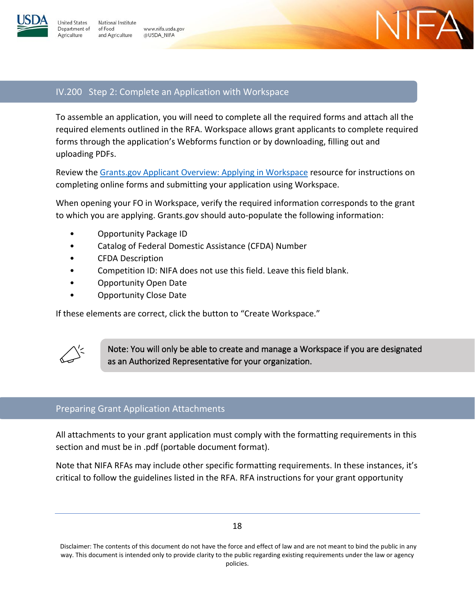

**Inited States** 

Agriculture

National Institute Department of of Food www.nifa.usda.gov and Agriculture @USDA\_NIFA



# <span id="page-17-0"></span>IV.200 Step 2: Complete an Application with Workspace

To assemble an application, you will need to complete all the required forms and attach all the required elements outlined in the RFA. Workspace allows grant applicants to complete required forms through the application's Webforms function or by downloading, filling out and uploading PDFs.

Review the [Grants.gov Applicant Overview: Applying in Workspace](https://www.grants.gov/documents/19/18243/GrantsgovApplicantOverviewTraining.pptx) resource for instructions on completing online forms and submitting your application using Workspace.

When opening your FO in Workspace, verify the required information corresponds to the grant to which you are applying. Grants.gov should auto-populate the following information:

- Opportunity Package ID
- Catalog of Federal Domestic Assistance (CFDA) Number
- CFDA Description
- Competition ID: NIFA does not use this field. Leave this field blank.
- Opportunity Open Date
- Opportunity Close Date

If these elements are correct, click the button to "Create Workspace."



Note: You will only be able to create and manage a Workspace if you are designated as an Authorized Representative for your organization.

# Preparing Grant Application Attachments

All attachments to your grant application must comply with the formatting requirements in this section and must be in .pdf (portable document format).

Note that NIFA RFAs may include other specific formatting requirements. In these instances, it's critical to follow the guidelines listed in the RFA. RFA instructions for your grant opportunity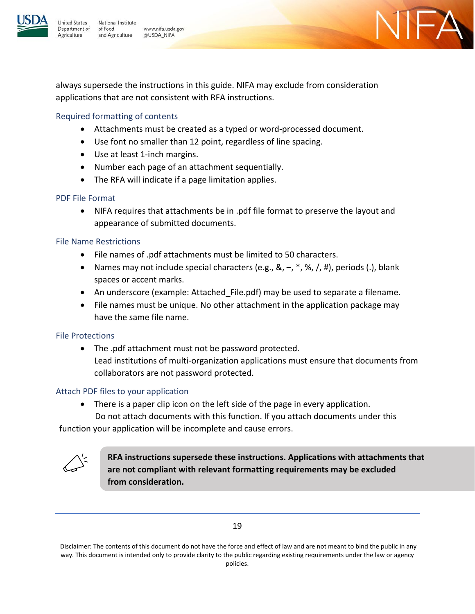

www.nifa.usda.gov @USDA\_NIFA

always supersede the instructions in this guide. NIFA may exclude from consideration applications that are not consistent with RFA instructions.

 $\neg \Delta$ 

## Required formatting of contents

- Attachments must be created as a typed or word-processed document.
- Use font no smaller than 12 point, regardless of line spacing.
- Use at least 1-inch margins.
- Number each page of an attachment sequentially.
- The RFA will indicate if a page limitation applies.

### PDF File Format

• NIFA requires that attachments be in .pdf file format to preserve the layout and appearance of submitted documents.

### File Name Restrictions

- File names of .pdf attachments must be limited to 50 characters.
- Names may not include special characters (e.g.,  $\&, -, *$ ,  $\frac{1}{2}$ ,  $/$ , #), periods (.), blank spaces or accent marks.
- An underscore (example: Attached File.pdf) may be used to separate a filename.
- File names must be unique. No other attachment in the application package may have the same file name.

### File Protections

• The .pdf attachment must not be password protected. Lead institutions of multi-organization applications must ensure that documents from collaborators are not password protected.

### Attach PDF files to your application

• There is a paper clip icon on the left side of the page in every application. Do not attach documents with this function. If you attach documents under this

function your application will be incomplete and cause errors.



**RFA instructions supersede these instructions. Applications with attachments that are not compliant with relevant formatting requirements may be excluded from consideration.**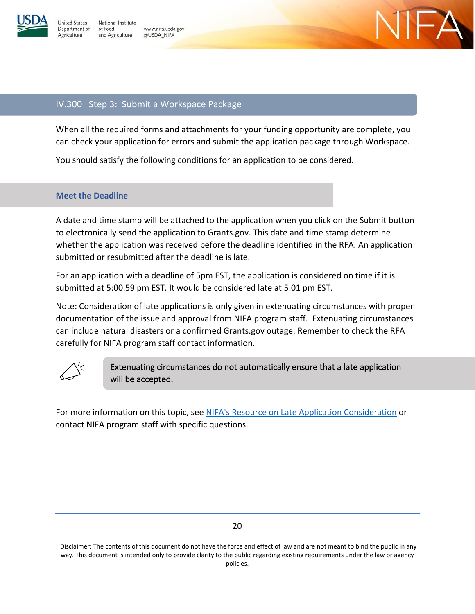



# <span id="page-19-0"></span>IV.300 Step 3: Submit a Workspace Package

www.nifa.usda.gov

@USDA\_NIFA

When all the required forms and attachments for your funding opportunity are complete, you can check your application for errors and submit the application package through Workspace.

You should satisfy the following conditions for an application to be considered.

# **Meet the Deadline**

A date and time stamp will be attached to the application when you click on the Submit button to electronically send the application to Grants.gov. This date and time stamp determine whether the application was received before the deadline identified in the RFA. An application submitted or resubmitted after the deadline is late.

For an application with a deadline of 5pm EST, the application is considered on time if it is submitted at 5:00.59 pm EST. It would be considered late at 5:01 pm EST.

Note: Consideration of late applications is only given in extenuating circumstances with proper documentation of the issue and approval from NIFA program staff. Extenuating circumstances can include natural disasters or a confirmed Grants.gov outage. Remember to check the RFA carefully for NIFA program staff contact information.



Extenuating circumstances do not automatically ensure that a late application will be accepted.

For more information on this topic, see [NIFA's Resource on Late Application Consideration](http://nifa.usda.gov/resource/late-application-consideration) or contact NIFA program staff with specific questions.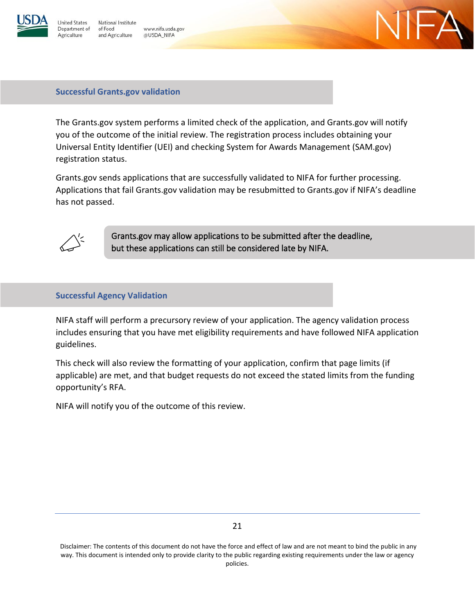

**Jnited States** 

Agriculture

National Institute Department of of Food and Agriculture

www.nifa.usda.gov @USDA\_NIFA



### **Successful Grants.gov validation**

The Grants.gov system performs a limited check of the application, and Grants.gov will notify you of the outcome of the initial review. The registration process includes obtaining your Universal Entity Identifier (UEI) and checking System for Awards Management (SAM.gov) registration status.

Grants.gov sends applications that are successfully validated to NIFA for further processing. Applications that fail Grants.gov validation may be resubmitted to Grants.gov if NIFA's deadline has not passed.



Grants.gov may allow applications to be submitted after the deadline, but these applications can still be considered late by NIFA.

### **Successful Agency Validation**

NIFA staff will perform a precursory review of your application. The agency validation process includes ensuring that you have met eligibility requirements and have followed NIFA application guidelines.

This check will also review the formatting of your application, confirm that page limits (if applicable) are met, and that budget requests do not exceed the stated limits from the funding opportunity's RFA.

NIFA will notify you of the outcome of this review.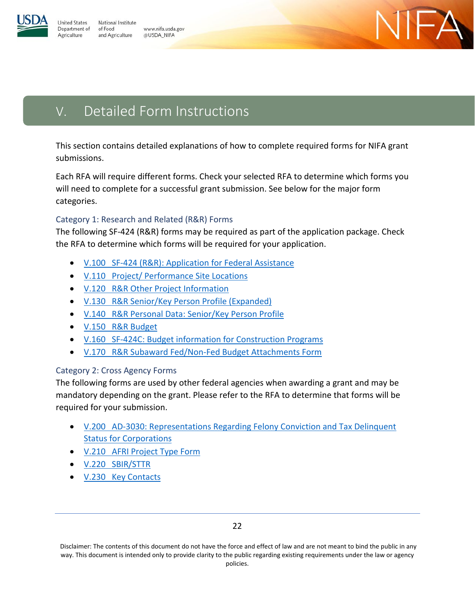





# <span id="page-21-0"></span>V. Detailed Form Instructions

This section contains detailed explanations of how to complete required forms for NIFA grant submissions.

Each RFA will require different forms. Check your selected RFA to determine which forms you will need to complete for a successful grant submission. See below for the major form categories.

# <span id="page-21-1"></span>Category 1: Research and Related (R&R) Forms

The following SF-424 (R&R) forms may be required as part of the application package. Check the RFA to determine which forms will be required for your application.

- [V.100 SF-424 \(R&R\): Application for Federal Assistance](#page-22-1)
- [V.110 Project/ Performance Site Locations](#page-34-0)
- [V.120 R&R Other Project Information](#page-36-0)
- [V.130 R&R Senior/Key Person Profile \(Expanded\)](#page-44-0)
- [V.140 R&R Personal Data: Senior/Key Person Profile](#page-47-0)
- [V.150 R&R Budget](#page-48-0)
- [V.160 SF-424C: Budget information for Construction Programs](#page-61-0)
- [V.170 R&R Subaward Fed/Non-Fed Budget Attachments Form](#page-65-0)

# <span id="page-21-2"></span>Category 2: Cross Agency Forms

The following forms are used by other federal agencies when awarding a grant and may be mandatory depending on the grant. Please refer to the RFA to determine that forms will be required for your submission.

- [V.200 AD-3030: Representations Regarding Felony Conviction and Tax Delinquent](#page-66-0)  **[Status for Corporations](#page-66-0)**
- [V.210 AFRI Project Type Form](#page-68-0)
- [V.220 SBIR/STTR](#page-69-0)
- [V.230 Key Contacts](#page-74-0)

22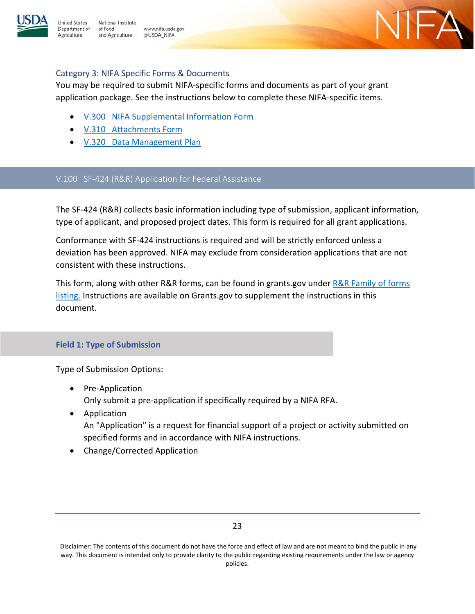

National Institute of Food www.nifa.usda.gov and Agriculture @USDA\_NIFA



# <span id="page-22-0"></span>Category 3: NIFA Specific Forms & Documents

You may be required to submit NIFA-specific forms and documents as part of your grant application package. See the instructions below to complete these NIFA-specific items.

- [V.300 NIFA Supplemental Information Form](#page-75-0)
- V.310 Attachments Form
- [V.320 Data Management Plan](#page-78-1)

# <span id="page-22-1"></span>V.100 SF-424 (R&R) Application for Federal Assistance

The SF-424 (R&R) collects basic information including type of submission, applicant information, type of applicant, and proposed project dates. This form is required for all grant applications.

Conformance with SF-424 instructions is required and will be strictly enforced unless a deviation has been approved. NIFA may exclude from consideration applications that are not consistent with these instructions.

This form, along with other R&R forms, can be found in grants.gov under R&R Family of forms [listing.](https://www.grants.gov/web/grants/forms/r-r-family.html) Instructions are available on Grants.gov to supplement the instructions in this document.

## **Field 1: Type of Submission**

Type of Submission Options:

- Pre-Application Only submit a pre-application if specifically required by a NIFA RFA.
- Application An "Application" is a request for financial support of a project or activity submitted on specified forms and in accordance with NIFA instructions.
- Change/Corrected Application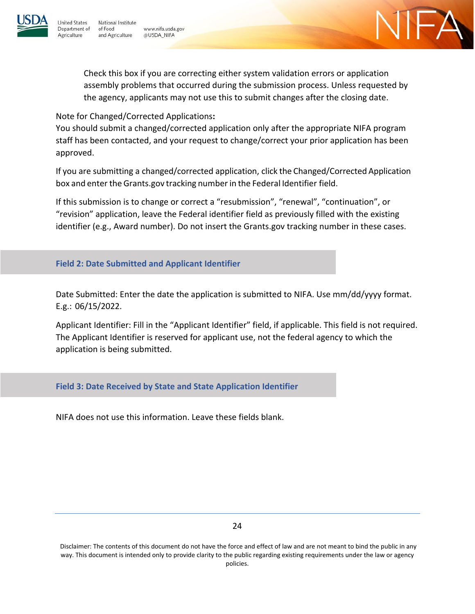

Inited States Department of of Food Agriculture

National Institute www.nifa.usda.gov and Agriculture @USDA\_NIFA



Check this box if you are correcting either system validation errors or application assembly problems that occurred during the submission process. Unless requested by the agency, applicants may not use this to submit changes after the closing date.

Note for Changed/Corrected Applications**:**

You should submit a changed/corrected application only after the appropriate NIFA program staff has been contacted, and your request to change/correct your prior application has been approved.

If you are submitting a changed/corrected application, click the Changed/Corrected Application box and enter the Grants.gov tracking numberin the Federal Identifier field.

If this submission is to change or correct a "resubmission", "renewal", "continuation", or "revision" application, leave the Federal identifier field as previously filled with the existing identifier (e.g., Award number). Do not insert the Grants.gov tracking number in these cases.

# **Field 2: Date Submitted and Applicant Identifier**

Date Submitted: Enter the date the application is submitted to NIFA. Use mm/dd/yyyy format. E.g.: 06/15/2022.

Applicant Identifier: Fill in the "Applicant Identifier" field, if applicable. This field is not required. The Applicant Identifier is reserved for applicant use, not the federal agency to which the application is being submitted.

**Field 3: Date Received by State and State Application Identifier**

NIFA does not use this information. Leave these fields blank.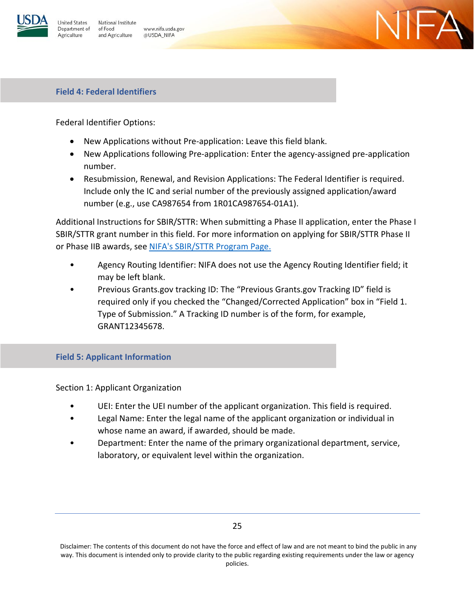

National Institute Inited States Department of of Food and Agriculture Agriculture

www.nifa.usda.gov @USDA\_NIFA



Federal Identifier Options:

- New Applications without Pre-application: Leave this field blank.
- New Applications following Pre-application: Enter the agency-assigned pre-application number.

 $-\Delta$ 

• Resubmission, Renewal, and Revision Applications: The Federal Identifier is required. Include only the IC and serial number of the previously assigned application/award number (e.g., use CA987654 from 1R01CA987654-01A1).

Additional Instructions for SBIR/STTR: When submitting a Phase II application, enter the Phase I SBIR/STTR grant number in this field. For more information on applying for SBIR/STTR Phase II or Phase IIB awards, see [NIFA's SBIR/STTR Program Page.](https://nifa.usda.gov/program/small-business-innovation-research-program-sbir)

- Agency Routing Identifier: NIFA does not use the Agency Routing Identifier field; it may be left blank.
- Previous Grants.gov tracking ID: The "Previous Grants.gov Tracking ID" field is required only if you checked the "Changed/Corrected Application" box in "Field 1. Type of Submission." A Tracking ID number is of the form, for example, GRANT12345678.

**Field 5: Applicant Information** 

Section 1: Applicant Organization

- UEI: Enter the UEI number of the applicant organization. This field is required.
- Legal Name: Enter the legal name of the applicant organization or individual in whose name an award, if awarded, should be made.
- Department: Enter the name of the primary organizational department, service, laboratory, or equivalent level within the organization.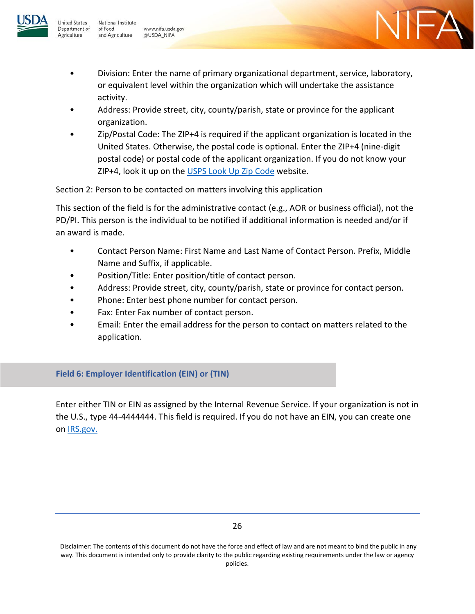

Inited States Department of

Agriculture

National Institute of Food www.nifa.usda.gov and Agriculture @USDA\_NIFA



- Address: Provide street, city, county/parish, state or province for the applicant organization.
- Zip/Postal Code: The ZIP+4 is required if the applicant organization is located in the United States. Otherwise, the postal code is optional. Enter the ZIP+4 (nine-digit postal code) or postal code of the applicant organization. If you do not know your ZIP+4, look it up on the [USPS Look Up Zip Code](https://tools.usps.com/go/ZipLookupAction!input.action) website.

Section 2: Person to be contacted on matters involving this application

This section of the field is for the administrative contact (e.g., AOR or business official), not the PD/PI. This person is the individual to be notified if additional information is needed and/or if an award is made.

- Contact Person Name: First Name and Last Name of Contact Person. Prefix, Middle Name and Suffix, if applicable.
- Position/Title: Enter position/title of contact person.
- Address: Provide street, city, county/parish, state or province for contact person.
- Phone: Enter best phone number for contact person.
- Fax: Enter Fax number of contact person.
- Email: Enter the email address for the person to contact on matters related to the application.

# **Field 6: Employer Identification (EIN) or (TIN)**

Enter either TIN or EIN as assigned by the Internal Revenue Service. If your organization is not in the U.S., type 44-4444444. This field is required. If you do not have an EIN, you can create one on [IRS.gov.](https://www.irs.gov/businesses/small-businesses-self-employed/apply-for-an-employer-identification-number-ein-online)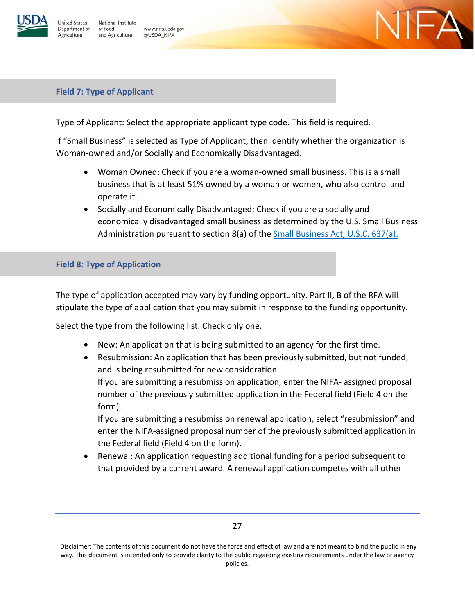

**Inited States** National Institute Department of of Food and Agriculture Agriculture

www.nifa.usda.gov @USDA\_NIFA



# **Field 7: Type of Applicant**

Type of Applicant: Select the appropriate applicant type code. This field is required.

If "Small Business" is selected as Type of Applicant, then identify whether the organization is Woman-owned and/or Socially and Economically Disadvantaged.

- Woman Owned: Check if you are a woman-owned small business. This is a small business that is at least 51% owned by a woman or women, who also control and operate it.
- Socially and Economically Disadvantaged: Check if you are a socially and economically disadvantaged small business as determined by the U.S. Small Business Administration pursuant to section 8(a) of the **Small Business Act, U.S.C. 637(a)**.

## **Field 8: Type of Application**

The type of application accepted may vary by funding opportunity. Part II, B of the RFA will stipulate the type of application that you may submit in response to the funding opportunity.

Select the type from the following list. Check only one.

- New: An application that is being submitted to an agency for the first time.
- Resubmission: An application that has been previously submitted, but not funded, and is being resubmitted for new consideration. If you are submitting a resubmission application, enter the NIFA- assigned proposal number of the previously submitted application in the Federal field (Field 4 on the form).

If you are submitting a resubmission renewal application, select "resubmission" and enter the NIFA-assigned proposal number of the previously submitted application in the Federal field (Field 4 on the form).

• Renewal: An application requesting additional funding for a period subsequent to that provided by a current award. A renewal application competes with all other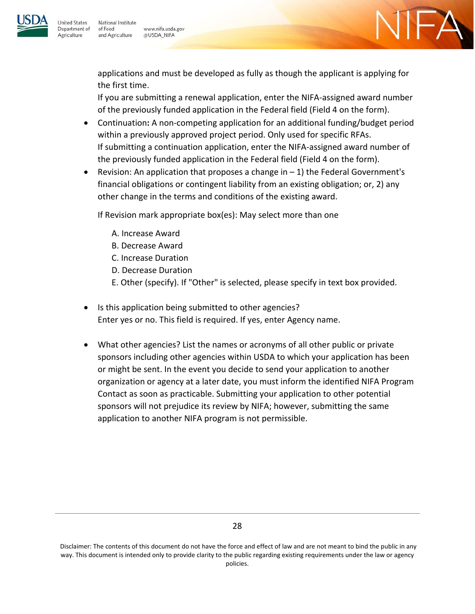

National Institute **Jnited States** Department of of Food and Agriculture Agriculture

www.nifa.usda.gov @USDA\_NIFA



applications and must be developed as fully as though the applicant is applying for the first time.

If you are submitting a renewal application, enter the NIFA-assigned award number of the previously funded application in the Federal field (Field 4 on the form).

- Continuation**:** A non-competing application for an additional funding/budget period within a previously approved project period. Only used for specific RFAs. If submitting a continuation application, enter the NIFA-assigned award number of the previously funded application in the Federal field (Field 4 on the form).
- Revision: An application that proposes a change in  $-1$ ) the Federal Government's financial obligations or contingent liability from an existing obligation; or, 2) any other change in the terms and conditions of the existing award.

If Revision mark appropriate box(es): May select more than one

- A. Increase Award
- B. Decrease Award
- C. Increase Duration
- D. Decrease Duration
- E. Other (specify). If "Other" is selected, please specify in text box provided.
- Is this application being submitted to other agencies? Enter yes or no. This field is required. If yes, enter Agency name.
- What other agencies? List the names or acronyms of all other public or private sponsors including other agencies within USDA to which your application has been or might be sent. In the event you decide to send your application to another organization or agency at a later date, you must inform the identified NIFA Program Contact as soon as practicable. Submitting your application to other potential sponsors will not prejudice its review by NIFA; however, submitting the same application to another NIFA program is not permissible.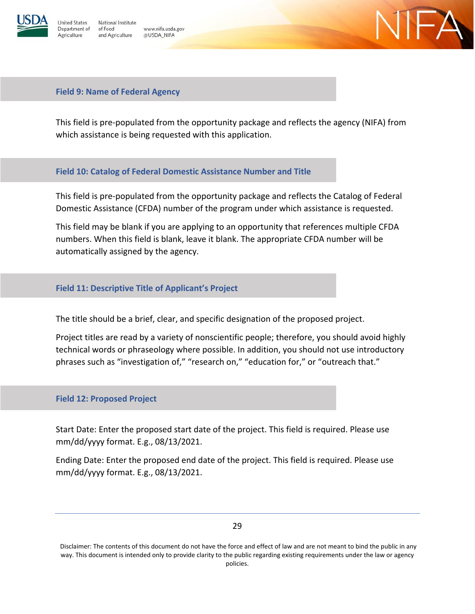

Inited States

Agriculture

Department of

National Institute of Food www.nifa.usda.gov and Agriculture @USDA\_NIFA



### **Field 9: Name of Federal Agency**

This field is pre-populated from the opportunity package and reflects the agency (NIFA) from which assistance is being requested with this application.

### **Field 10: Catalog of Federal Domestic Assistance Number and Title**

This field is pre-populated from the opportunity package and reflects the Catalog of Federal Domestic Assistance (CFDA) number of the program under which assistance is requested.

This field may be blank if you are applying to an opportunity that references multiple CFDA numbers. When this field is blank, leave it blank. The appropriate CFDA number will be automatically assigned by the agency.

#### **Field 11: Descriptive Title of Applicant's Project**

The title should be a brief, clear, and specific designation of the proposed project.

Project titles are read by a variety of nonscientific people; therefore, you should avoid highly technical words or phraseology where possible. In addition, you should not use introductory phrases such as "investigation of," "research on," "education for," or "outreach that."

#### **Field 12: Proposed Project**

Start Date: Enter the proposed start date of the project. This field is required. Please use mm/dd/yyyy format. E.g., 08/13/2021.

Ending Date: Enter the proposed end date of the project. This field is required. Please use mm/dd/yyyy format. E.g., 08/13/2021.

29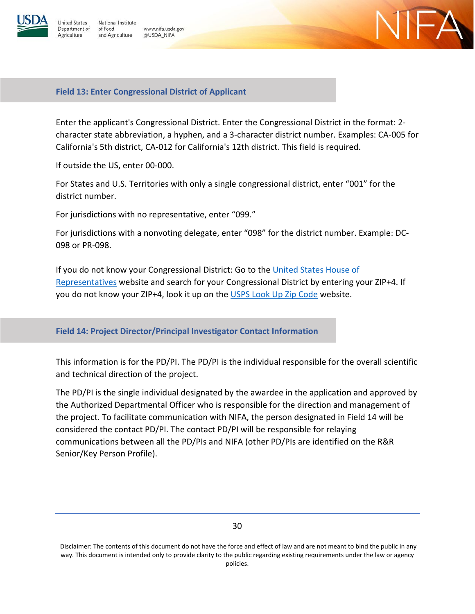

**Jnited States** 

Agriculture

Department of

National Institute of Food www.nifa.usda.gov and Agriculture @USDA\_NIFA



## **Field 13: Enter Congressional District of Applicant**

Enter the applicant's Congressional District. Enter the Congressional District in the format: 2 character state abbreviation, a hyphen, and a 3-character district number. Examples: CA-005 for California's 5th district, CA-012 for California's 12th district. This field is required.

If outside the US, enter 00-000.

For States and U.S. Territories with only a single congressional district, enter "001" for the district number.

For jurisdictions with no representative, enter "099."

For jurisdictions with a nonvoting delegate, enter "098" for the district number. Example: DC-098 or PR-098.

If you do not know your Congressional District: Go to the [United States House of](https://www.house.gov/)  [Representatives](https://www.house.gov/) website and search for your Congressional District by entering your ZIP+4. If you do not know your ZIP+4, look it up on the [USPS Look Up Zip Code](https://tools.usps.com/go/ZipLookupAction!input.action) website.

**Field 14: Project Director/Principal Investigator Contact Information**

This information is for the PD/PI. The PD/PI is the individual responsible for the overall scientific and technical direction of the project.

The PD/PI is the single individual designated by the awardee in the application and approved by the Authorized Departmental Officer who is responsible for the direction and management of the project. To facilitate communication with NIFA, the person designated in Field 14 will be considered the contact PD/PI. The contact PD/PI will be responsible for relaying communications between all the PD/PIs and NIFA (other PD/PIs are identified on the R&R Senior/Key Person Profile).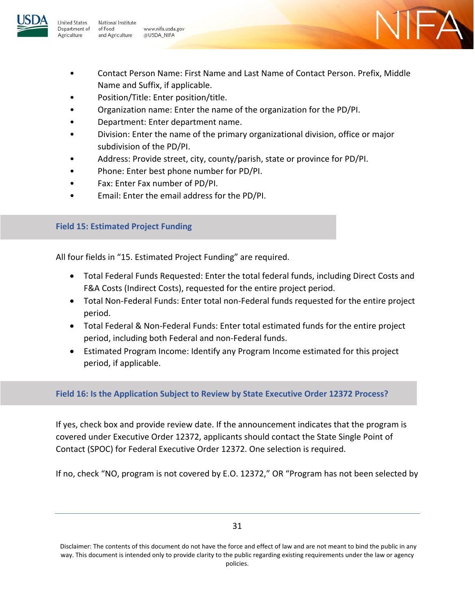

National Institute www.nifa.usda.gov and Agriculture @USDA\_NIFA

• Contact Person Name: First Name and Last Name of Contact Person. Prefix, Middle Name and Suffix, if applicable.

 $-\Delta$ 

- Position/Title: Enter position/title.
- Organization name: Enter the name of the organization for the PD/PI.
- Department: Enter department name.
- Division: Enter the name of the primary organizational division, office or major subdivision of the PD/PI.
- Address: Provide street, city, county/parish, state or province for PD/PI.
- Phone: Enter best phone number for PD/PI.
- Fax: Enter Fax number of PD/PI.
- Email: Enter the email address for the PD/PI.

# **Field 15: Estimated Project Funding**

All four fields in "15. Estimated Project Funding" are required.

- Total Federal Funds Requested: Enter the total federal funds, including Direct Costs and F&A Costs (Indirect Costs), requested for the entire project period.
- Total Non-Federal Funds: Enter total non-Federal funds requested for the entire project period.
- Total Federal & Non-Federal Funds: Enter total estimated funds for the entire project period, including both Federal and non-Federal funds.
- Estimated Program Income: Identify any Program Income estimated for this project period, if applicable.

## **Field 16: Is the Application Subject to Review by State Executive Order 12372 Process?**

If yes, check box and provide review date. If the announcement indicates that the program is covered under Executive Order 12372, applicants should contact the State Single Point of Contact (SPOC) for Federal Executive Order 12372. One selection is required.

If no, check "NO, program is not covered by E.O. 12372," OR "Program has not been selected by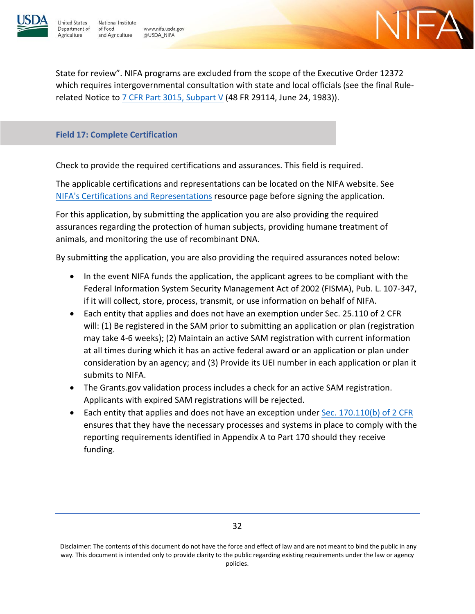

**Jnited States** Department of

Agriculture



State for review". NIFA programs are excluded from the scope of the Executive Order 12372 which requires intergovernmental consultation with state and local officials (see the final Rulerelated Notice to  $7$  CFR Part 3015, Subpart V (48 FR 29114, June 24, 1983)).

# **Field 17: Complete Certification**

Check to provide the required certifications and assurances. This field is required.

The applicable certifications and representations can be located on the NIFA website. See [NIFA's Certifications and Representations](https://nifa.usda.gov/certifications-and-representations) resource page before signing the application.

For this application, by submitting the application you are also providing the required assurances regarding the protection of human subjects, providing humane treatment of animals, and monitoring the use of recombinant DNA.

By submitting the application, you are also providing the required assurances noted below:

- In the event NIFA funds the application, the applicant agrees to be compliant with the Federal Information System Security Management Act of 2002 (FISMA), Pub. L. 107-347, if it will collect, store, process, transmit, or use information on behalf of NIFA.
- Each entity that applies and does not have an exemption under Sec. 25.110 of 2 CFR will: (1) Be registered in the SAM prior to submitting an application or plan (registration may take 4-6 weeks); (2) Maintain an active SAM registration with current information at all times during which it has an active federal award or an application or plan under consideration by an agency; and (3) Provide its UEI number in each application or plan it submits to NIFA.
- The Grants.gov validation process includes a check for an active SAM registration. Applicants with expired SAM registrations will be rejected.
- Each entity that applies and does not have an exception under  $Sec. 170.110(b)$  of 2 CFR ensures that they have the necessary processes and systems in place to comply with the reporting requirements identified in Appendix A to Part 170 should they receive funding.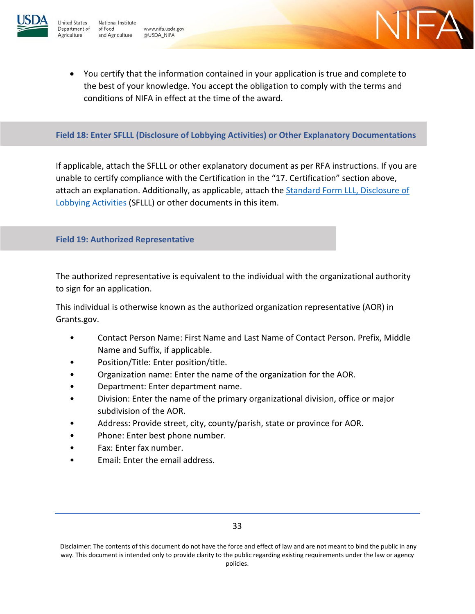





• You certify that the information contained in your application is true and complete to the best of your knowledge. You accept the obligation to comply with the terms and conditions of NIFA in effect at the time of the award.

## **Field 18: Enter SFLLL (Disclosure of Lobbying Activities) or Other Explanatory Documentations**

If applicable, attach the SFLLL or other explanatory document as per RFA instructions. If you are unable to certify compliance with the Certification in the "17. Certification" section above, attach an explanation. Additionally, as applicable, attach the [Standard Form LLL, Disclosure of](https://www.grants.gov/documents/19/217976/SFLLL_2_0-V2.0.pdf/ad05c401-3c9c-47d0-afec-7ee26491c878?version=1.0&t=1516738837999)  [Lobbying Activities](https://www.grants.gov/documents/19/217976/SFLLL_2_0-V2.0.pdf/ad05c401-3c9c-47d0-afec-7ee26491c878?version=1.0&t=1516738837999) (SFLLL) or other documents in this item.

### **Field 19: Authorized Representative**

The authorized representative is equivalent to the individual with the organizational authority to sign for an application.

This individual is otherwise known as the authorized organization representative (AOR) in Grants.gov.

- Contact Person Name: First Name and Last Name of Contact Person. Prefix, Middle Name and Suffix, if applicable.
- Position/Title: Enter position/title.
- Organization name: Enter the name of the organization for the AOR.
- Department: Enter department name.
- Division: Enter the name of the primary organizational division, office or major subdivision of the AOR.
- Address: Provide street, city, county/parish, state or province for AOR.
- Phone: Enter best phone number.
- Fax: Enter fax number.
- Email: Enter the email address.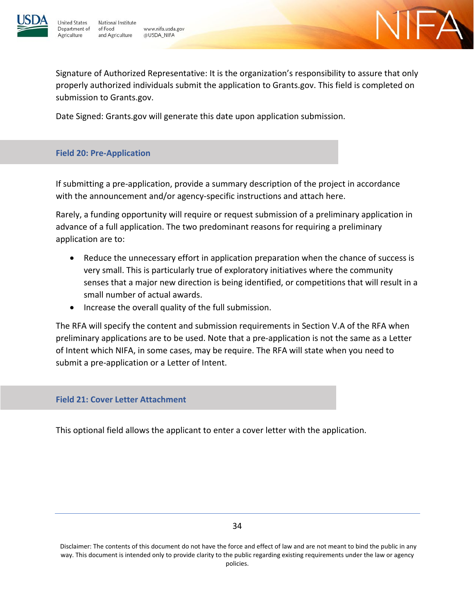

National Institute www.nifa.usda.gov and Agriculture @USDA\_NIFA

Signature of Authorized Representative: It is the organization's responsibility to assure that only properly authorized individuals submit the application to Grants.gov. This field is completed on submission to Grants.gov.

 $-\Delta$ 

Date Signed: Grants.gov will generate this date upon application submission.

## **Field 20: Pre-Application**

If submitting a pre-application, provide a summary description of the project in accordance with the announcement and/or agency-specific instructions and attach here.

Rarely, a funding opportunity will require or request submission of a preliminary application in advance of a full application. The two predominant reasons for requiring a preliminary application are to:

- Reduce the unnecessary effort in application preparation when the chance of success is very small. This is particularly true of exploratory initiatives where the community senses that a major new direction is being identified, or competitions that will result in a small number of actual awards.
- Increase the overall quality of the full submission.

The RFA will specify the content and submission requirements in Section V.A of the RFA when preliminary applications are to be used. Note that a pre-application is not the same as a Letter of Intent which NIFA, in some cases, may be require. The RFA will state when you need to submit a pre-application or a Letter of Intent.

### **Field 21: Cover Letter Attachment**

This optional field allows the applicant to enter a cover letter with the application.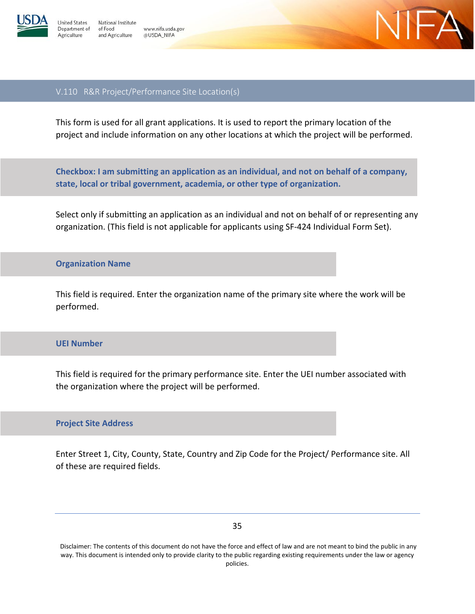



## <span id="page-34-0"></span>V.110 R&R Project/Performance Site Location(s)

www.nifa.usda.gov

@USDA\_NIFA

This form is used for all grant applications. It is used to report the primary location of the project and include information on any other locations at which the project will be performed.

**Checkbox: I am submitting an application as an individual, and not on behalf of a company, state, local or tribal government, academia, or other type of organization.**

Select only if submitting an application as an individual and not on behalf of or representing any organization. (This field is not applicable for applicants using SF-424 Individual Form Set).

#### **Organization Name**

This field is required. Enter the organization name of the primary site where the work will be performed.

#### **UEI Number**

This field is required for the primary performance site. Enter the UEI number associated with the organization where the project will be performed.

#### **Project Site Address**

Enter Street 1, City, County, State, Country and Zip Code for the Project/ Performance site. All of these are required fields.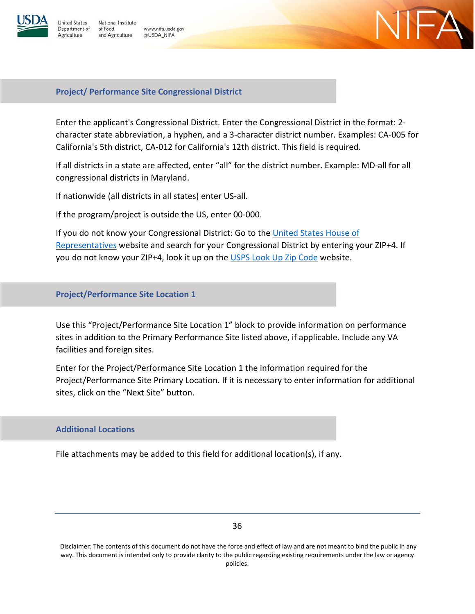

**Inited States** 

Agriculture

National Institute Department of of Food www.nifa.usda.gov and Agriculture @USDA\_NIFA



## **Project/ Performance Site Congressional District**

Enter the applicant's Congressional District. Enter the Congressional District in the format: 2 character state abbreviation, a hyphen, and a 3-character district number. Examples: CA-005 for California's 5th district, CA-012 for California's 12th district. This field is required.

If all districts in a state are affected, enter "all" for the district number. Example: MD-all for all congressional districts in Maryland.

If nationwide (all districts in all states) enter US-all.

If the program/project is outside the US, enter 00-000.

If you do not know your Congressional District: Go to the [United States House of](https://www.house.gov/)  [Representatives](https://www.house.gov/) website and search for your Congressional District by entering your ZIP+4. If you do not know your ZIP+4, look it up on the [USPS Look Up Zip Code](https://tools.usps.com/go/ZipLookupAction!input.action) website.

## **Project/Performance Site Location 1**

Use this "Project/Performance Site Location 1" block to provide information on performance sites in addition to the Primary Performance Site listed above, if applicable. Include any VA facilities and foreign sites.

Enter for the Project/Performance Site Location 1 the information required for the Project/Performance Site Primary Location. If it is necessary to enter information for additional sites, click on the "Next Site" button.

### **Additional Locations**

File attachments may be added to this field for additional location(s), if any.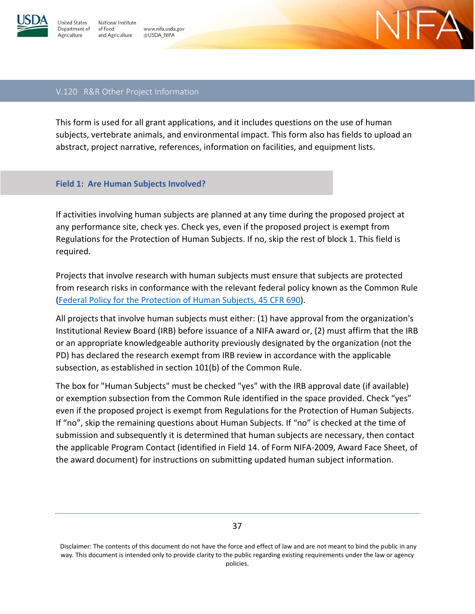





#### V.120 R&R Other Project Information

This form is used for all grant applications, and it includes questions on the use of human subjects, vertebrate animals, and environmental impact. This form also has fields to upload an abstract, project narrative, references, information on facilities, and equipment lists.

#### **Field 1: Are Human Subjects Involved?**

If activities involving human subjects are planned at any time during the proposed project at any performance site, check yes. Check yes, even if the proposed project is exempt from Regulations for the Protection of Human Subjects. If no, skip the rest of block 1. This field is required.

Projects that involve research with human subjects must ensure that subjects are protected from research risks in conformance with the relevant federal policy known as the Common Rule [\(Federal Policy for the Protection of Human Subjects, 45 CFR 690\)](https://www.ecfr.gov/current/title-45/subtitle-B/chapter-VI/part-690).

All projects that involve human subjects must either: (1) have approval from the organization's Institutional Review Board (IRB) before issuance of a NIFA award or, (2) must affirm that the IRB or an appropriate knowledgeable authority previously designated by the organization (not the PD) has declared the research exempt from IRB review in accordance with the applicable subsection, as established in section 101(b) of the Common Rule.

The box for "Human Subjects" must be checked "yes" with the IRB approval date (if available) or exemption subsection from the Common Rule identified in the space provided. Check "yes" even if the proposed project is exempt from Regulations for the Protection of Human Subjects. If "no", skip the remaining questions about Human Subjects. If "no" is checked at the time of submission and subsequently it is determined that human subjects are necessary, then contact the applicable Program Contact (identified in Field 14. of Form NIFA-2009, Award Face Sheet, of the award document) for instructions on submitting updated human subject information.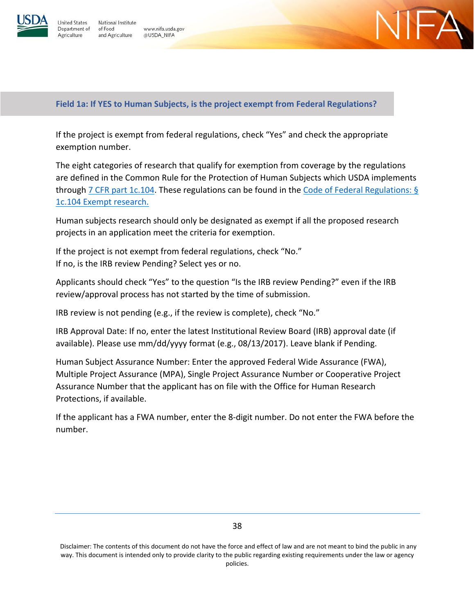

**Jnited States** 

Agriculture

National Institute Department of of Food www.nifa.usda.gov and Agriculture @USDA\_NIFA



## **Field 1a: If YES to Human Subjects, is the project exempt from Federal Regulations?**

If the project is exempt from federal regulations, check "Yes" and check the appropriate exemption number.

The eight categories of research that qualify for exemption from coverage by the regulations are defined in the Common Rule for the Protection of Human Subjects which USDA implements through [7 CFR part 1c.104.](https://www.ecfr.gov/cgi-bin/text-idx?SID=6e4b5e2ee8f39f17917d8c2f7af65b1d&mc=true&node=se7.1.1c_1104&rgn=div8) These regulations can be found in the [Code of Federal Regulations: §](https://www.ecfr.gov/cgi-bin/text-idx?SID=bb104dd4c1fdaeb817293bca892ae711&mc=true&node=se7.1.1c_1104&rgn=div8)  [1c.104 Exempt research.](https://www.ecfr.gov/cgi-bin/text-idx?SID=bb104dd4c1fdaeb817293bca892ae711&mc=true&node=se7.1.1c_1104&rgn=div8)

Human subjects research should only be designated as exempt if all the proposed research projects in an application meet the criteria for exemption.

If the project is not exempt from federal regulations, check "No." If no, is the IRB review Pending? Select yes or no.

Applicants should check "Yes" to the question "Is the IRB review Pending?" even if the IRB review/approval process has not started by the time of submission.

IRB review is not pending (e.g., if the review is complete), check "No."

IRB Approval Date: If no, enter the latest Institutional Review Board (IRB) approval date (if available). Please use mm/dd/yyyy format (e.g., 08/13/2017). Leave blank if Pending.

Human Subject Assurance Number: Enter the approved Federal Wide Assurance (FWA), Multiple Project Assurance (MPA), Single Project Assurance Number or Cooperative Project Assurance Number that the applicant has on file with the Office for Human Research Protections, if available.

If the applicant has a FWA number, enter the 8-digit number. Do not enter the FWA before the number.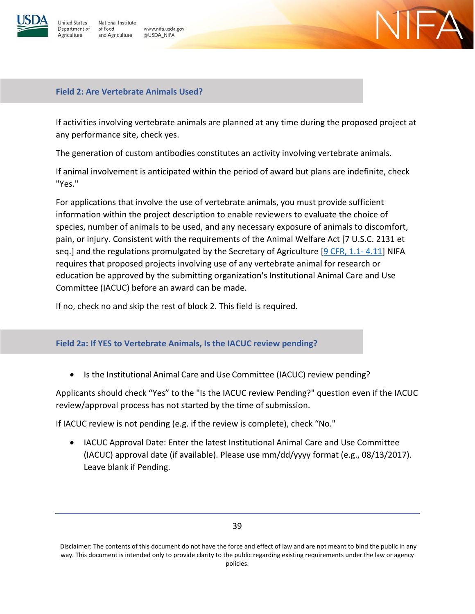

**Inited States** 

Agriculture

Department of

National Institute of Food www.nifa.usda.gov and Agriculture @USDA\_NIFA



### **Field 2: Are Vertebrate Animals Used?**

If activities involving vertebrate animals are planned at any time during the proposed project at any performance site, check yes.

The generation of custom antibodies constitutes an activity involving vertebrate animals.

If animal involvement is anticipated within the period of award but plans are indefinite, check "Yes."

For applications that involve the use of vertebrate animals, you must provide sufficient information within the project description to enable reviewers to evaluate the choice of species, number of animals to be used, and any necessary exposure of animals to discomfort, pain, or injury. Consistent with the requirements of the Animal Welfare Act [7 U.S.C. 2131 et seq.] and the regulations promulgated by the Secretary of Agriculture [\[9 CFR, 1.1- 4.11\]](https://www.ecfr.gov/cgi-bin/text-idx?SID=6e4b5e2ee8f39f17917d8c2f7af65b1d&mc=true&tpl=/ecfrbrowse/Title09/9cfrv1_02.tpl#0) NIFA requires that proposed projects involving use of any vertebrate animal for research or education be approved by the submitting organization's Institutional Animal Care and Use Committee (IACUC) before an award can be made.

If no, check no and skip the rest of block 2. This field is required.

### **Field 2a: If YES to Vertebrate Animals, Is the IACUC review pending?**

• Is the Institutional Animal Care and Use Committee (IACUC) review pending?

Applicants should check "Yes" to the "Is the IACUC review Pending?" question even if the IACUC review/approval process has not started by the time of submission.

If IACUC review is not pending (e.g. if the review is complete), check "No."

• IACUC Approval Date: Enter the latest Institutional Animal Care and Use Committee (IACUC) approval date (if available). Please use mm/dd/yyyy format (e.g., 08/13/2017). Leave blank if Pending.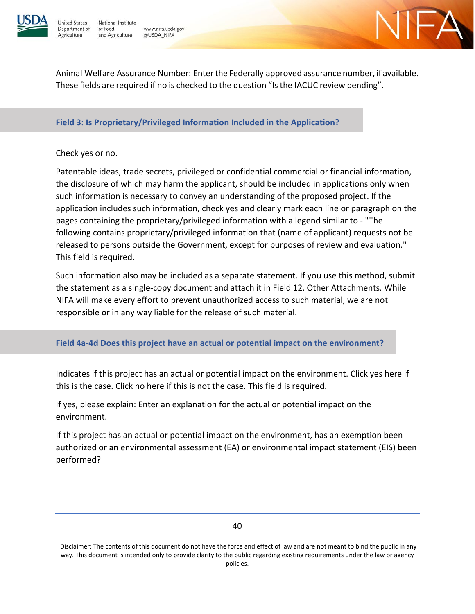

**Jnited States** Department of of Food Agriculture

National Institute www.nifa.usda.gov and Agriculture @USDA\_NIFA



Animal Welfare Assurance Number: Enterthe Federally approved assurance number, if available. These fields are required if no is checked to the question "Isthe IACUC review pending".

#### **Field 3: Is Proprietary/Privileged Information Included in the Application?**

### Check yes or no.

Patentable ideas, trade secrets, privileged or confidential commercial or financial information, the disclosure of which may harm the applicant, should be included in applications only when such information is necessary to convey an understanding of the proposed project. If the application includes such information, check yes and clearly mark each line or paragraph on the pages containing the proprietary/privileged information with a legend similar to - "The following contains proprietary/privileged information that (name of applicant) requests not be released to persons outside the Government, except for purposes of review and evaluation." This field is required.

Such information also may be included as a separate statement. If you use this method, submit the statement as a single-copy document and attach it in Field 12, Other Attachments. While NIFA will make every effort to prevent unauthorized access to such material, we are not responsible or in any way liable for the release of such material.

### **Field 4a-4d Does this project have an actual or potential impact on the environment?**

Indicates if this project has an actual or potential impact on the environment. Click yes here if this is the case. Click no here if this is not the case. This field is required.

If yes, please explain: Enter an explanation for the actual or potential impact on the environment.

If this project has an actual or potential impact on the environment, has an exemption been authorized or an environmental assessment (EA) or environmental impact statement (EIS) been performed?

Disclaimer: The contents of this document do not have the force and effect of law and are not meant to bind the public in any way. This document is intended only to provide clarity to the public regarding existing requirements under the law or agency policies.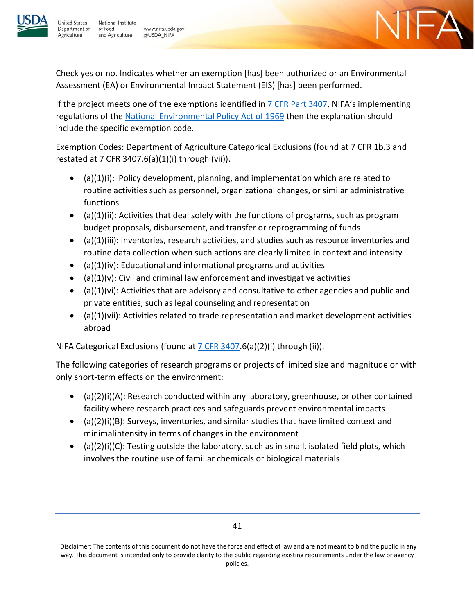

**Jnited States** Department of

Agriculture

National Institute of Food www.nifa.usda.gov and Agriculture @USDA\_NIFA



Check yes or no. Indicates whether an exemption [has] been authorized or an Environmental Assessment (EA) or Environmental Impact Statement (EIS) [has] been performed.

If the project meets one of the exemptions identified in [7 CFR Part 3407,](https://www.ecfr.gov/cgi-bin/text-idx?SID=5db969d513d951eed0ba2387dc360a17&mc=true&node=pt7.15.3407&rgn=div5) NIFA's implementing regulations of the [National Environmental Policy Act of 1969](https://www.ecfr.gov/current/title-7/subtitle-B/chapter-XXXIV/part-3407) then the explanation should include the specific exemption code.

Exemption Codes: Department of Agriculture Categorical Exclusions (found at 7 CFR 1b.3 and restated at 7 CFR 3407.6(a)(1)(i) through (vii)).

- (a)(1)(i): Policy development, planning, and implementation which are related to routine activities such as personnel, organizational changes, or similar administrative functions
- $\bullet$  (a)(1)(ii): Activities that deal solely with the functions of programs, such as program budget proposals, disbursement, and transfer or reprogramming of funds
- (a)(1)(iii): Inventories, research activities, and studies such as resource inventories and routine data collection when such actions are clearly limited in context and intensity
- $\bullet$  (a)(1)(iv): Educational and informational programs and activities
- $\bullet$  (a)(1)(v): Civil and criminal law enforcement and investigative activities
- $\bullet$  (a)(1)(vi): Activities that are advisory and consultative to other agencies and public and private entities, such as legal counseling and representation
- (a)(1)(vii): Activities related to trade representation and market development activities abroad

NIFA Categorical Exclusions (found at [7 CFR](https://www.ecfr.gov/cgi-bin/text-idx?SID=5db969d513d951eed0ba2387dc360a17&mc=true&node=pt7.15.3407&rgn=div5) 3407.6(a)(2)(i) through (ii)).

The following categories of research programs or projects of limited size and magnitude or with only short-term effects on the environment:

- (a)(2)(i)(A): Research conducted within any laboratory, greenhouse, or other contained facility where research practices and safeguards prevent environmental impacts
- (a)(2)(i)(B): Surveys, inventories, and similar studies that have limited context and minimalintensity in terms of changes in the environment
- (a)(2)(i)(C): Testing outside the laboratory, such as in small, isolated field plots, which involves the routine use of familiar chemicals or biological materials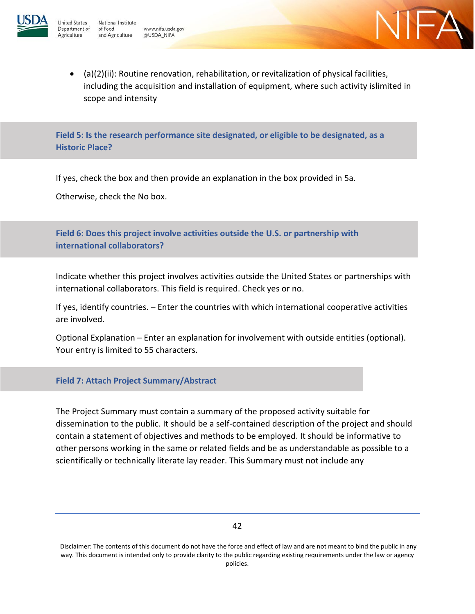

Agriculture

www.nifa.usda.gov

@USDA\_NIFA



 $-\Delta$ 

**Field 5: Is the research performance site designated, or eligible to be designated, as a Historic Place?** 

If yes, check the box and then provide an explanation in the box provided in 5a.

Otherwise, check the No box.

**Field 6: Does this project involve activities outside the U.S. or partnership with international collaborators?** 

Indicate whether this project involves activities outside the United States or partnerships with international collaborators. This field is required. Check yes or no.

If yes, identify countries. – Enter the countries with which international cooperative activities are involved.

Optional Explanation – Enter an explanation for involvement with outside entities (optional). Your entry is limited to 55 characters.

#### **Field 7: Attach Project Summary/Abstract**

The Project Summary must contain a summary of the proposed activity suitable for dissemination to the public. It should be a self-contained description of the project and should contain a statement of objectives and methods to be employed. It should be informative to other persons working in the same or related fields and be as understandable as possible to a scientifically or technically literate lay reader. This Summary must not include any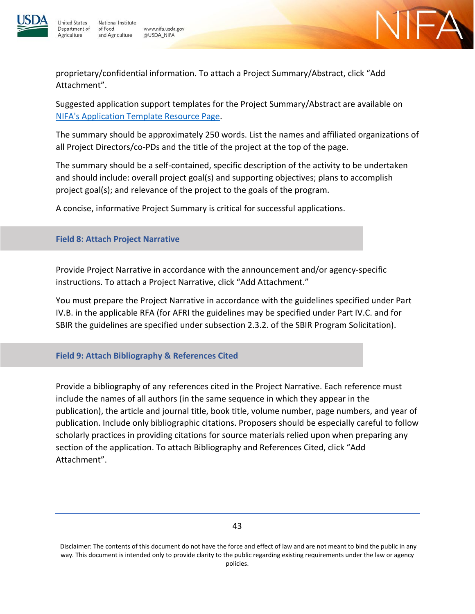

National Institute www.nifa.usda.gov and Agriculture @USDA\_NIFA

proprietary/confidential information. To attach a Project Summary/Abstract, click "Add Attachment".

Suggested application support templates for the Project Summary/Abstract are available on [NIFA's Application Template Resource Page.](http://nifa.usda.gov/resource/application-support-templates)

The summary should be approximately 250 words. List the names and affiliated organizations of all Project Directors/co-PDs and the title of the project at the top of the page.

 $-\Delta$ 

The summary should be a self-contained, specific description of the activity to be undertaken and should include: overall project goal(s) and supporting objectives; plans to accomplish project goal(s); and relevance of the project to the goals of the program.

A concise, informative Project Summary is critical for successful applications.

### **Field 8: Attach Project Narrative**

Provide Project Narrative in accordance with the announcement and/or agency-specific instructions. To attach a Project Narrative, click "Add Attachment."

You must prepare the Project Narrative in accordance with the guidelines specified under Part IV.B. in the applicable RFA (for AFRI the guidelines may be specified under Part IV.C. and for SBIR the guidelines are specified under subsection 2.3.2. of the SBIR Program Solicitation).

### **Field 9: Attach Bibliography & References Cited**

Provide a bibliography of any references cited in the Project Narrative. Each reference must include the names of all authors (in the same sequence in which they appear in the publication), the article and journal title, book title, volume number, page numbers, and year of publication. Include only bibliographic citations. Proposers should be especially careful to follow scholarly practices in providing citations for source materials relied upon when preparing any section of the application. To attach Bibliography and References Cited, click "Add Attachment".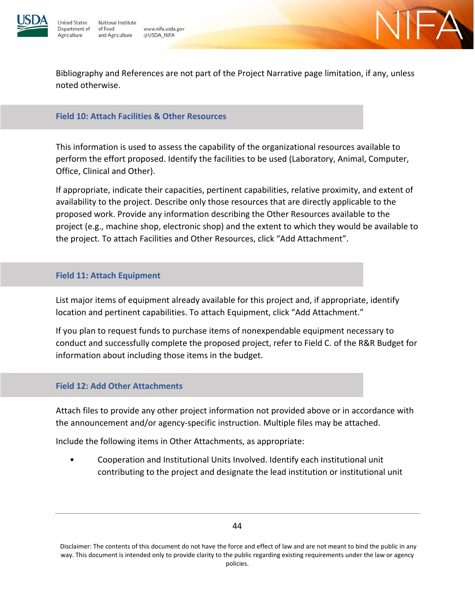

National Institute www.nifa.usda.gov and Agriculture @USDA\_NIFA



Bibliography and References are not part of the Project Narrative page limitation, if any, unless noted otherwise.

#### **Field 10: Attach Facilities & Other Resources**

This information is used to assess the capability of the organizational resources available to perform the effort proposed. Identify the facilities to be used (Laboratory, Animal, Computer, Office, Clinical and Other).

If appropriate, indicate their capacities, pertinent capabilities, relative proximity, and extent of availability to the project. Describe only those resources that are directly applicable to the proposed work. Provide any information describing the Other Resources available to the project (e.g., machine shop, electronic shop) and the extent to which they would be available to the project. To attach Facilities and Other Resources, click "Add Attachment".

#### **Field 11: Attach Equipment**

List major items of equipment already available for this project and, if appropriate, identify location and pertinent capabilities. To attach Equipment, click "Add Attachment."

If you plan to request funds to purchase items of nonexpendable equipment necessary to conduct and successfully complete the proposed project, refer to Field C. of the R&R Budget for information about including those items in the budget.

#### **Field 12: Add Other Attachments**

Attach files to provide any other project information not provided above or in accordance with the announcement and/or agency-specific instruction. Multiple files may be attached.

Include the following items in Other Attachments, as appropriate:

• Cooperation and Institutional Units Involved. Identify each institutional unit contributing to the project and designate the lead institution or institutional unit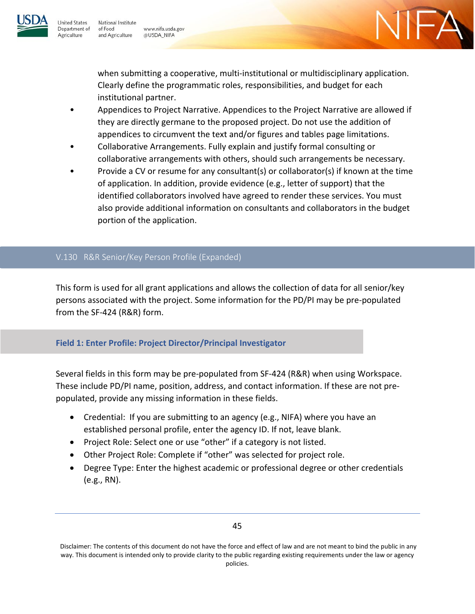

**Inited States** Department of

Agriculture

National Institute of Food www.nifa.usda.gov and Agriculture @USDA\_NIFA



when submitting a cooperative, multi-institutional or multidisciplinary application. Clearly define the programmatic roles, responsibilities, and budget for each institutional partner.

- Appendices to Project Narrative. Appendices to the Project Narrative are allowed if they are directly germane to the proposed project. Do not use the addition of appendices to circumvent the text and/or figures and tables page limitations.
- Collaborative Arrangements. Fully explain and justify formal consulting or collaborative arrangements with others, should such arrangements be necessary.
- Provide a CV or resume for any consultant(s) or collaborator(s) if known at the time of application. In addition, provide evidence (e.g., letter of support) that the identified collaborators involved have agreed to render these services. You must also provide additional information on consultants and collaborators in the budget portion of the application.

### V.130 R&R Senior/Key Person Profile (Expanded)

This form is used for all grant applications and allows the collection of data for all senior/key persons associated with the project. Some information for the PD/PI may be pre-populated from the SF-424 (R&R) form.

### **Field 1: Enter Profile: Project Director/Principal Investigator**

Several fields in this form may be pre-populated from SF-424 (R&R) when using Workspace. These include PD/PI name, position, address, and contact information. If these are not prepopulated, provide any missing information in these fields.

- Credential: If you are submitting to an agency (e.g., NIFA) where you have an established personal profile, enter the agency ID. If not, leave blank.
- Project Role: Select one or use "other" if a category is not listed.
- Other Project Role: Complete if "other" was selected for project role.
- Degree Type: Enter the highest academic or professional degree or other credentials (e.g., RN).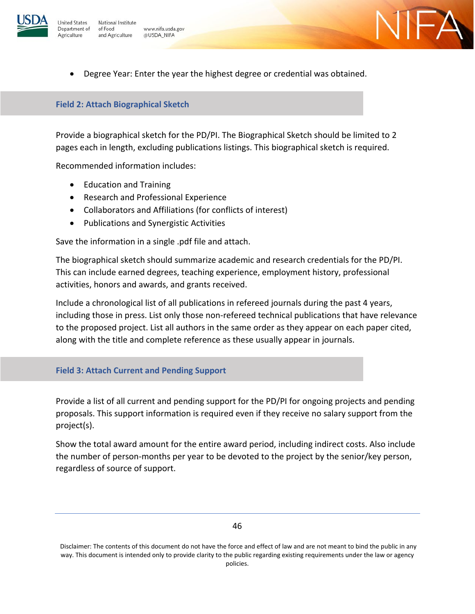

Agriculture

• Degree Year: Enter the year the highest degree or credential was obtained.

 $-\Delta$ 

### **Field 2: Attach Biographical Sketch**

Provide a biographical sketch for the PD/PI. The Biographical Sketch should be limited to 2 pages each in length, excluding publications listings. This biographical sketch is required.

Recommended information includes:

- Education and Training
- Research and Professional Experience
- Collaborators and Affiliations (for conflicts of interest)
- Publications and Synergistic Activities

Save the information in a single .pdf file and attach.

The biographical sketch should summarize academic and research credentials for the PD/PI. This can include earned degrees, teaching experience, employment history, professional activities, honors and awards, and grants received.

Include a chronological list of all publications in refereed journals during the past 4 years, including those in press. List only those non-refereed technical publications that have relevance to the proposed project. List all authors in the same order as they appear on each paper cited, along with the title and complete reference as these usually appear in journals.

### **Field 3: Attach Current and Pending Support**

Provide a list of all current and pending support for the PD/PI for ongoing projects and pending proposals. This support information is required even if they receive no salary support from the project(s).

Show the total award amount for the entire award period, including indirect costs. Also include the number of person-months per year to be devoted to the project by the senior/key person, regardless of source of support.

<sup>46</sup>

Disclaimer: The contents of this document do not have the force and effect of law and are not meant to bind the public in any way. This document is intended only to provide clarity to the public regarding existing requirements under the law or agency policies.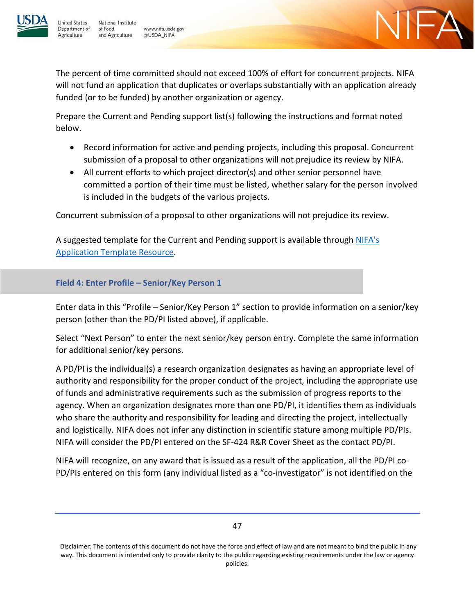

**Jnited States** Department of

Agriculture



The percent of time committed should not exceed 100% of effort for concurrent projects. NIFA will not fund an application that duplicates or overlaps substantially with an application already funded (or to be funded) by another organization or agency.

Prepare the Current and Pending support list(s) following the instructions and format noted below.

- Record information for active and pending projects, including this proposal. Concurrent submission of a proposal to other organizations will not prejudice its review by NIFA.
- All current efforts to which project director(s) and other senior personnel have committed a portion of their time must be listed, whether salary for the person involved is included in the budgets of the various projects.

Concurrent submission of a proposal to other organizations will not prejudice its review.

A suggested template for the Current and Pending support is available through NIFA's [Application Template Resource.](http://nifa.usda.gov/resource/application-support-templates)

## **Field 4: Enter Profile – Senior/Key Person 1**

Enter data in this "Profile – Senior/Key Person 1" section to provide information on a senior/key person (other than the PD/PI listed above), if applicable.

Select "Next Person" to enter the next senior/key person entry. Complete the same information for additional senior/key persons.

A PD/PI is the individual(s) a research organization designates as having an appropriate level of authority and responsibility for the proper conduct of the project, including the appropriate use of funds and administrative requirements such as the submission of progress reports to the agency. When an organization designates more than one PD/PI, it identifies them as individuals who share the authority and responsibility for leading and directing the project, intellectually and logistically. NIFA does not infer any distinction in scientific stature among multiple PD/PIs. NIFA will consider the PD/PI entered on the SF-424 R&R Cover Sheet as the contact PD/PI.

NIFA will recognize, on any award that is issued as a result of the application, all the PD/PI co-PD/PIs entered on this form (any individual listed as a "co-investigator" is not identified on the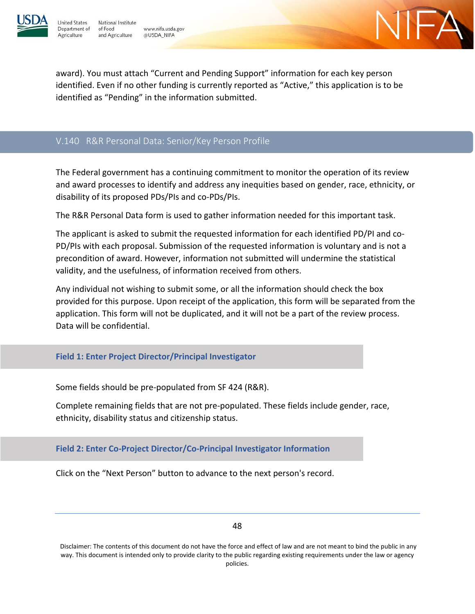

**Jnited States** 

Agriculture

Department of

National Institute of Food www.nifa.usda.gov and Agriculture @USDA\_NIFA



award). You must attach "Current and Pending Support" information for each key person identified. Even if no other funding is currently reported as "Active," this application is to be identified as "Pending" in the information submitted.

## V.140 R&R Personal Data: Senior/Key Person Profile

The Federal government has a continuing commitment to monitor the operation of its review and award processes to identify and address any inequities based on gender, race, ethnicity, or disability of its proposed PDs/PIs and co-PDs/PIs.

The R&R Personal Data form is used to gather information needed for this important task.

The applicant is asked to submit the requested information for each identified PD/PI and co-PD/PIs with each proposal. Submission of the requested information is voluntary and is not a precondition of award. However, information not submitted will undermine the statistical validity, and the usefulness, of information received from others.

Any individual not wishing to submit some, or all the information should check the box provided for this purpose. Upon receipt of the application, this form will be separated from the application. This form will not be duplicated, and it will not be a part of the review process. Data will be confidential.

### **Field 1: Enter Project Director/Principal Investigator**

Some fields should be pre-populated from SF 424 (R&R).

Complete remaining fields that are not pre-populated. These fields include gender, race, ethnicity, disability status and citizenship status.

**Field 2: Enter Co-Project Director/Co-Principal Investigator Information**

Click on the "Next Person" button to advance to the next person's record.

48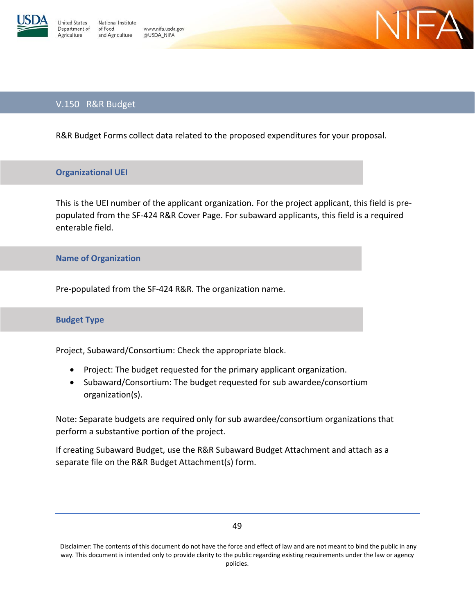

www.nifa.usda.gov @USDA\_NIFA



## V.150 R&R Budget

R&R Budget Forms collect data related to the proposed expenditures for your proposal.

### **Organizational UEI**

This is the UEI number of the applicant organization. For the project applicant, this field is prepopulated from the SF-424 R&R Cover Page. For subaward applicants, this field is a required enterable field.

#### **Name of Organization**

Pre-populated from the SF-424 R&R. The organization name.

### **Budget Type**

Project, Subaward/Consortium: Check the appropriate block.

- Project: The budget requested for the primary applicant organization.
- Subaward/Consortium: The budget requested for sub awardee/consortium organization(s).

Note: Separate budgets are required only for sub awardee/consortium organizations that perform a substantive portion of the project.

If creating Subaward Budget, use the R&R Subaward Budget Attachment and attach as a separate file on the R&R Budget Attachment(s) form.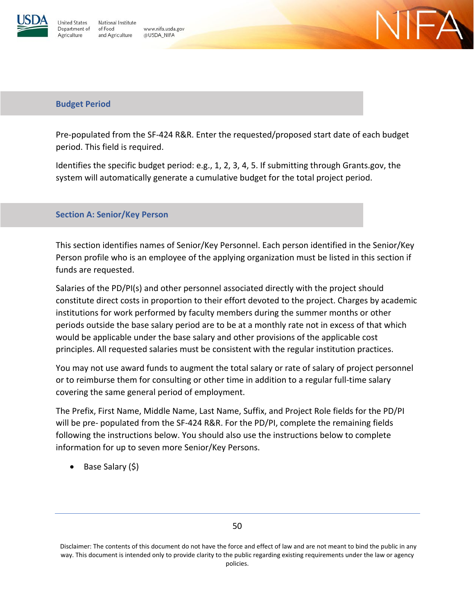

**Jnited States** National Institute Department of of Food and Agriculture Agriculture

www.nifa.usda.gov @USDA\_NIFA



#### **Budget Period**

Pre-populated from the SF-424 R&R. Enter the requested/proposed start date of each budget period. This field is required.

Identifies the specific budget period: e.g., 1, 2, 3, 4, 5. If submitting through Grants.gov, the system will automatically generate a cumulative budget for the total project period.

#### **Section A: Senior/Key Person**

This section identifies names of Senior/Key Personnel. Each person identified in the Senior/Key Person profile who is an employee of the applying organization must be listed in this section if funds are requested.

Salaries of the PD/PI(s) and other personnel associated directly with the project should constitute direct costs in proportion to their effort devoted to the project. Charges by academic institutions for work performed by faculty members during the summer months or other periods outside the base salary period are to be at a monthly rate not in excess of that which would be applicable under the base salary and other provisions of the applicable cost principles. All requested salaries must be consistent with the regular institution practices.

You may not use award funds to augment the total salary or rate of salary of project personnel or to reimburse them for consulting or other time in addition to a regular full-time salary covering the same general period of employment.

The Prefix, First Name, Middle Name, Last Name, Suffix, and Project Role fields for the PD/PI will be pre- populated from the SF-424 R&R. For the PD/PI, complete the remaining fields following the instructions below. You should also use the instructions below to complete information for up to seven more Senior/Key Persons.

• Base Salary (\$)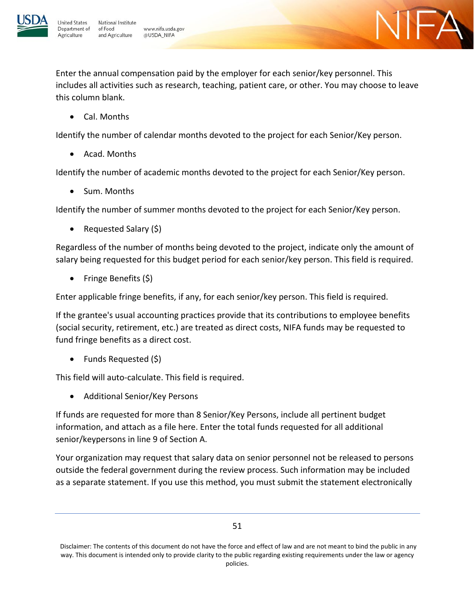

www.nifa.usda.gov @USDA\_NIFA

Enter the annual compensation paid by the employer for each senior/key personnel. This includes all activities such as research, teaching, patient care, or other. You may choose to leave this column blank.

 $-\Delta$ 

• Cal. Months

Identify the number of calendar months devoted to the project for each Senior/Key person.

• Acad. Months

Identify the number of academic months devoted to the project for each Senior/Key person.

• Sum. Months

Identify the number of summer months devoted to the project for each Senior/Key person.

• Requested Salary (\$)

Regardless of the number of months being devoted to the project, indicate only the amount of salary being requested for this budget period for each senior/key person. This field is required.

• Fringe Benefits (\$)

Enter applicable fringe benefits, if any, for each senior/key person. This field is required.

If the grantee's usual accounting practices provide that its contributions to employee benefits (social security, retirement, etc.) are treated as direct costs, NIFA funds may be requested to fund fringe benefits as a direct cost.

• Funds Requested (\$)

This field will auto-calculate. This field is required.

• Additional Senior/Key Persons

If funds are requested for more than 8 Senior/Key Persons, include all pertinent budget information, and attach as a file here. Enter the total funds requested for all additional senior/keypersons in line 9 of Section A.

Your organization may request that salary data on senior personnel not be released to persons outside the federal government during the review process. Such information may be included as a separate statement. If you use this method, you must submit the statement electronically

Disclaimer: The contents of this document do not have the force and effect of law and are not meant to bind the public in any way. This document is intended only to provide clarity to the public regarding existing requirements under the law or agency policies.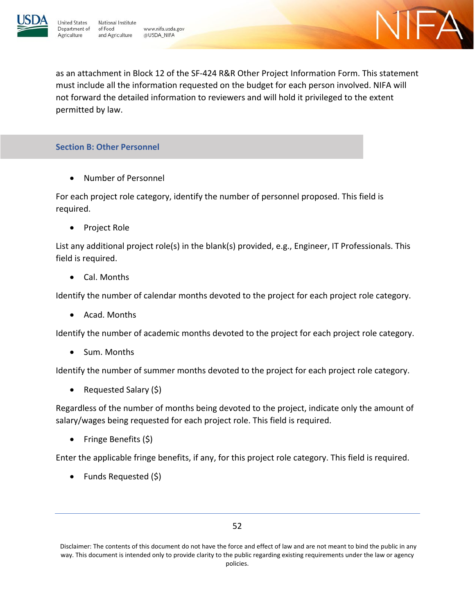

National Institute www.nifa.usda.gov and Agriculture @USDA\_NIFA



as an attachment in Block 12 of the SF-424 R&R Other Project Information Form. This statement must include all the information requested on the budget for each person involved. NIFA will not forward the detailed information to reviewers and will hold it privileged to the extent permitted by law.

### **Section B: Other Personnel**

• Number of Personnel

For each project role category, identify the number of personnel proposed. This field is required.

• Project Role

List any additional project role(s) in the blank(s) provided, e.g., Engineer, IT Professionals. This field is required.

• Cal. Months

Identify the number of calendar months devoted to the project for each project role category.

• Acad. Months

Identify the number of academic months devoted to the project for each project role category.

• Sum. Months

Identify the number of summer months devoted to the project for each project role category.

• Requested Salary (\$)

Regardless of the number of months being devoted to the project, indicate only the amount of salary/wages being requested for each project role. This field is required.

• Fringe Benefits (\$)

Enter the applicable fringe benefits, if any, for this project role category. This field is required.

• Funds Requested (\$)

Disclaimer: The contents of this document do not have the force and effect of law and are not meant to bind the public in any way. This document is intended only to provide clarity to the public regarding existing requirements under the law or agency policies.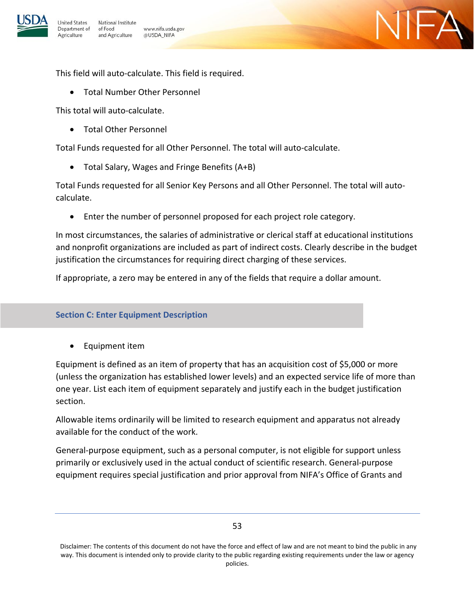

**United States** National Institute Department of of Food and Agriculture Agriculture

www.nifa.usda.gov @USDA\_NIFA



• Total Number Other Personnel

This total will auto-calculate.

• Total Other Personnel

Total Funds requested for all Other Personnel. The total will auto-calculate.

• Total Salary, Wages and Fringe Benefits (A+B)

Total Funds requested for all Senior Key Persons and all Other Personnel. The total will autocalculate.

 $\vdash$ A

• Enter the number of personnel proposed for each project role category.

In most circumstances, the salaries of administrative or clerical staff at educational institutions and nonprofit organizations are included as part of indirect costs. Clearly describe in the budget justification the circumstances for requiring direct charging of these services.

If appropriate, a zero may be entered in any of the fields that require a dollar amount.

### **Section C: Enter Equipment Description**

• Equipment item

Equipment is defined as an item of property that has an acquisition cost of \$5,000 or more (unless the organization has established lower levels) and an expected service life of more than one year. List each item of equipment separately and justify each in the budget justification section.

Allowable items ordinarily will be limited to research equipment and apparatus not already available for the conduct of the work.

General-purpose equipment, such as a personal computer, is not eligible for support unless primarily or exclusively used in the actual conduct of scientific research. General-purpose equipment requires special justification and prior approval from NIFA's Office of Grants and

Disclaimer: The contents of this document do not have the force and effect of law and are not meant to bind the public in any way. This document is intended only to provide clarity to the public regarding existing requirements under the law or agency policies.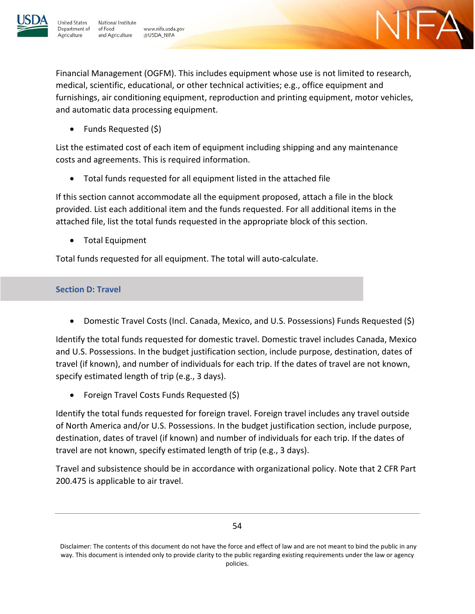

**Jnited States** 

Agriculture

Department of



Financial Management (OGFM). This includes equipment whose use is not limited to research, medical, scientific, educational, or other technical activities; e.g., office equipment and furnishings, air conditioning equipment, reproduction and printing equipment, motor vehicles, and automatic data processing equipment.

• Funds Requested (\$)

List the estimated cost of each item of equipment including shipping and any maintenance costs and agreements. This is required information.

• Total funds requested for all equipment listed in the attached file

If this section cannot accommodate all the equipment proposed, attach a file in the block provided. List each additional item and the funds requested. For all additional items in the attached file, list the total funds requested in the appropriate block of this section.

• Total Equipment

Total funds requested for all equipment. The total will auto-calculate.

## **Section D: Travel**

• Domestic Travel Costs (Incl. Canada, Mexico, and U.S. Possessions) Funds Requested (\$)

Identify the total funds requested for domestic travel. Domestic travel includes Canada, Mexico and U.S. Possessions. In the budget justification section, include purpose, destination, dates of travel (if known), and number of individuals for each trip. If the dates of travel are not known, specify estimated length of trip (e.g., 3 days).

• Foreign Travel Costs Funds Requested (\$)

Identify the total funds requested for foreign travel. Foreign travel includes any travel outside of North America and/or U.S. Possessions. In the budget justification section, include purpose, destination, dates of travel (if known) and number of individuals for each trip. If the dates of travel are not known, specify estimated length of trip (e.g., 3 days).

Travel and subsistence should be in accordance with organizational policy. Note that 2 CFR Part 200.475 is applicable to air travel.

Disclaimer: The contents of this document do not have the force and effect of law and are not meant to bind the public in any way. This document is intended only to provide clarity to the public regarding existing requirements under the law or agency policies.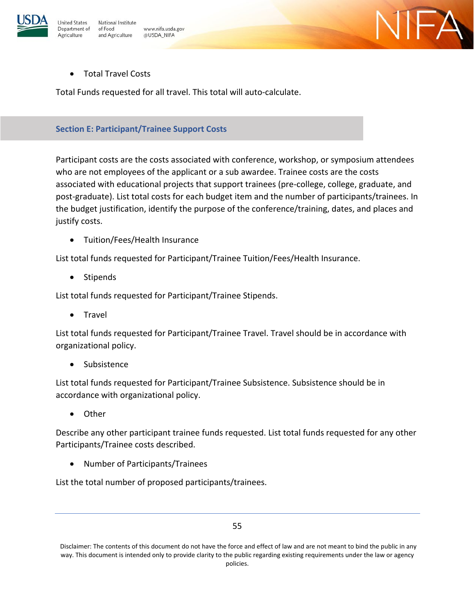

National Institute **Jnited States** Department of of Food and Agriculture Agriculture

www.nifa.usda.gov @USDA\_NIFA



• Total Travel Costs

Total Funds requested for all travel. This total will auto-calculate.

### **Section E: Participant/Trainee Support Costs**

Participant costs are the costs associated with conference, workshop, or symposium attendees who are not employees of the applicant or a sub awardee. Trainee costs are the costs associated with educational projects that support trainees (pre-college, college, graduate, and post-graduate). List total costs for each budget item and the number of participants/trainees. In the budget justification, identify the purpose of the conference/training, dates, and places and justify costs.

• Tuition/Fees/Health Insurance

List total funds requested for Participant/Trainee Tuition/Fees/Health Insurance.

• Stipends

List total funds requested for Participant/Trainee Stipends.

• Travel

List total funds requested for Participant/Trainee Travel. Travel should be in accordance with organizational policy.

• Subsistence

List total funds requested for Participant/Trainee Subsistence. Subsistence should be in accordance with organizational policy.

• Other

Describe any other participant trainee funds requested. List total funds requested for any other Participants/Trainee costs described.

• Number of Participants/Trainees

List the total number of proposed participants/trainees.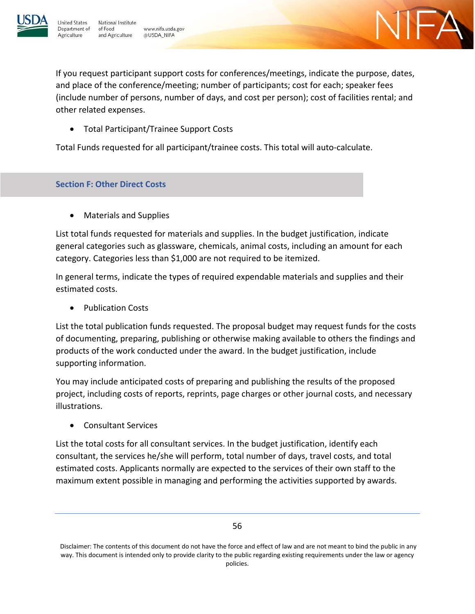

**Jnited States** 

Agriculture



If you request participant support costs for conferences/meetings, indicate the purpose, dates, and place of the conference/meeting; number of participants; cost for each; speaker fees (include number of persons, number of days, and cost per person); cost of facilities rental; and other related expenses.

• Total Participant/Trainee Support Costs

Total Funds requested for all participant/trainee costs. This total will auto-calculate.

### **Section F: Other Direct Costs**

• Materials and Supplies

List total funds requested for materials and supplies. In the budget justification, indicate general categories such as glassware, chemicals, animal costs, including an amount for each category. Categories less than \$1,000 are not required to be itemized.

In general terms, indicate the types of required expendable materials and supplies and their estimated costs.

• Publication Costs

List the total publication funds requested. The proposal budget may request funds for the costs of documenting, preparing, publishing or otherwise making available to others the findings and products of the work conducted under the award. In the budget justification, include supporting information.

You may include anticipated costs of preparing and publishing the results of the proposed project, including costs of reports, reprints, page charges or other journal costs, and necessary illustrations.

• Consultant Services

List the total costs for all consultant services. In the budget justification, identify each consultant, the services he/she will perform, total number of days, travel costs, and total estimated costs. Applicants normally are expected to the services of their own staff to the maximum extent possible in managing and performing the activities supported by awards.

Disclaimer: The contents of this document do not have the force and effect of law and are not meant to bind the public in any way. This document is intended only to provide clarity to the public regarding existing requirements under the law or agency policies.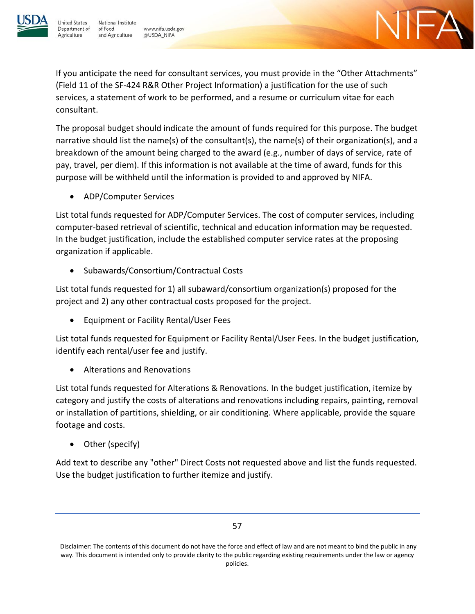

**Jnited States** 

Agriculture

Department of

National Institute of Food www.nifa.usda.gov and Agriculture @USDA\_NIFA



If you anticipate the need for consultant services, you must provide in the "Other Attachments" (Field 11 of the SF-424 R&R Other Project Information) a justification for the use of such services, a statement of work to be performed, and a resume or curriculum vitae for each consultant.

The proposal budget should indicate the amount of funds required for this purpose. The budget narrative should list the name(s) of the consultant(s), the name(s) of their organization(s), and a breakdown of the amount being charged to the award (e.g., number of days of service, rate of pay, travel, per diem). If this information is not available at the time of award, funds for this purpose will be withheld until the information is provided to and approved by NIFA.

• ADP/Computer Services

List total funds requested for ADP/Computer Services. The cost of computer services, including computer-based retrieval of scientific, technical and education information may be requested. In the budget justification, include the established computer service rates at the proposing organization if applicable.

• Subawards/Consortium/Contractual Costs

List total funds requested for 1) all subaward/consortium organization(s) proposed for the project and 2) any other contractual costs proposed for the project.

• Equipment or Facility Rental/User Fees

List total funds requested for Equipment or Facility Rental/User Fees. In the budget justification, identify each rental/user fee and justify.

• Alterations and Renovations

List total funds requested for Alterations & Renovations. In the budget justification, itemize by category and justify the costs of alterations and renovations including repairs, painting, removal or installation of partitions, shielding, or air conditioning. Where applicable, provide the square footage and costs.

• Other (specify)

Add text to describe any "other" Direct Costs not requested above and list the funds requested. Use the budget justification to further itemize and justify.

Disclaimer: The contents of this document do not have the force and effect of law and are not meant to bind the public in any way. This document is intended only to provide clarity to the public regarding existing requirements under the law or agency policies.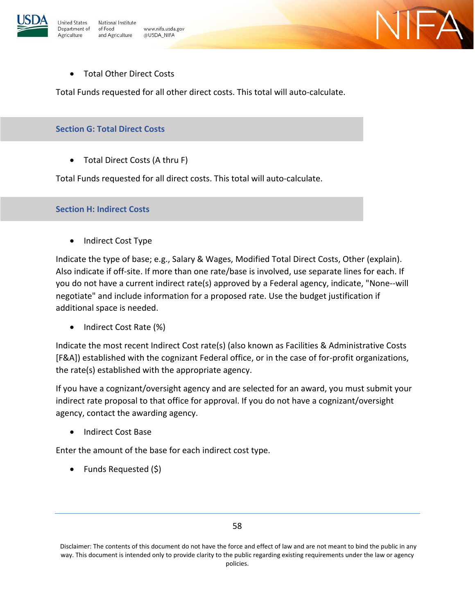





• Total Other Direct Costs

Total Funds requested for all other direct costs. This total will auto-calculate.

#### **Section G: Total Direct Costs**

• Total Direct Costs (A thru F)

Total Funds requested for all direct costs. This total will auto-calculate.

**Section H: Indirect Costs**

• Indirect Cost Type

Indicate the type of base; e.g., Salary & Wages, Modified Total Direct Costs, Other (explain). Also indicate if off-site. If more than one rate/base is involved, use separate lines for each. If you do not have a current indirect rate(s) approved by a Federal agency, indicate, "None--will negotiate" and include information for a proposed rate. Use the budget justification if additional space is needed.

• Indirect Cost Rate (%)

Indicate the most recent Indirect Cost rate(s) (also known as Facilities & Administrative Costs [F&A]) established with the cognizant Federal office, or in the case of for-profit organizations, the rate(s) established with the appropriate agency.

If you have a cognizant/oversight agency and are selected for an award, you must submit your indirect rate proposal to that office for approval. If you do not have a cognizant/oversight agency, contact the awarding agency.

• Indirect Cost Base

Enter the amount of the base for each indirect cost type.

• Funds Requested (\$)

Disclaimer: The contents of this document do not have the force and effect of law and are not meant to bind the public in any way. This document is intended only to provide clarity to the public regarding existing requirements under the law or agency policies.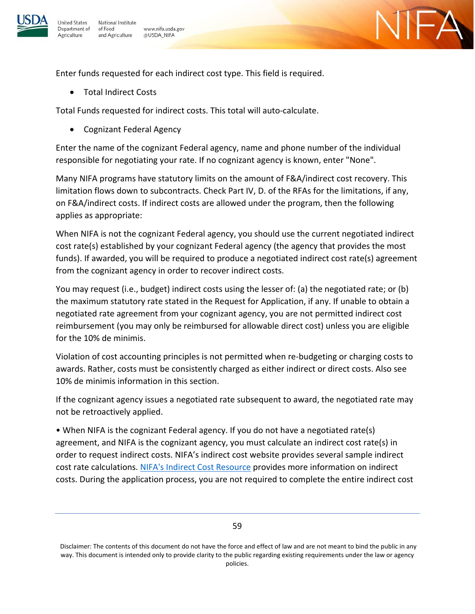

www.nifa.usda.gov @USDA\_NIFA

Enter funds requested for each indirect cost type. This field is required.

• Total Indirect Costs

Total Funds requested for indirect costs. This total will auto-calculate.

• Cognizant Federal Agency

Enter the name of the cognizant Federal agency, name and phone number of the individual responsible for negotiating your rate. If no cognizant agency is known, enter "None".

 $-\Delta$ 

Many NIFA programs have statutory limits on the amount of F&A/indirect cost recovery. This limitation flows down to subcontracts. Check Part IV, D. of the RFAs for the limitations, if any, on F&A/indirect costs. If indirect costs are allowed under the program, then the following applies as appropriate:

When NIFA is not the cognizant Federal agency, you should use the current negotiated indirect cost rate(s) established by your cognizant Federal agency (the agency that provides the most funds). If awarded, you will be required to produce a negotiated indirect cost rate(s) agreement from the cognizant agency in order to recover indirect costs.

You may request (i.e., budget) indirect costs using the lesser of: (a) the negotiated rate; or (b) the maximum statutory rate stated in the Request for Application, if any. If unable to obtain a negotiated rate agreement from your cognizant agency, you are not permitted indirect cost reimbursement (you may only be reimbursed for allowable direct cost) unless you are eligible for the 10% de minimis.

Violation of cost accounting principles is not permitted when re-budgeting or charging costs to awards. Rather, costs must be consistently charged as either indirect or direct costs. Also see 10% de minimis information in this section.

If the cognizant agency issues a negotiated rate subsequent to award, the negotiated rate may not be retroactively applied.

• When NIFA is the cognizant Federal agency. If you do not have a negotiated rate(s) agreement, and NIFA is the cognizant agency, you must calculate an indirect cost rate(s) in order to request indirect costs. NIFA's indirect cost website provides several sample indirect cost rate calculations. [NIFA's Indirect Cost Resource](https://nifa.usda.gov/indirect-costs) provides more information on indirect costs. During the application process, you are not required to complete the entire indirect cost

Disclaimer: The contents of this document do not have the force and effect of law and are not meant to bind the public in any way. This document is intended only to provide clarity to the public regarding existing requirements under the law or agency policies.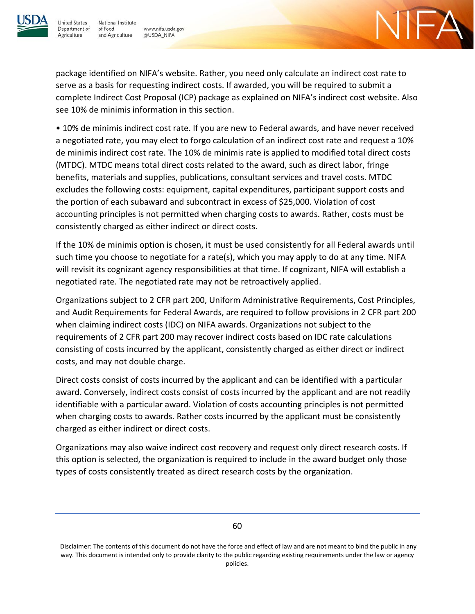

**United States** Department of

Agriculture

National Institute of Food www.nifa.usda.gov and Agriculture @USDA\_NIFA

 $-\Delta$ 

package identified on NIFA's website. Rather, you need only calculate an indirect cost rate to serve as a basis for requesting indirect costs. If awarded, you will be required to submit a complete Indirect Cost Proposal (ICP) package as explained on NIFA's indirect cost website. Also see 10% de minimis information in this section.

• 10% de minimis indirect cost rate. If you are new to Federal awards, and have never received a negotiated rate, you may elect to forgo calculation of an indirect cost rate and request a 10% de minimis indirect cost rate. The 10% de minimis rate is applied to modified total direct costs (MTDC). MTDC means total direct costs related to the award, such as direct labor, fringe benefits, materials and supplies, publications, consultant services and travel costs. MTDC excludes the following costs: equipment, capital expenditures, participant support costs and the portion of each subaward and subcontract in excess of \$25,000. Violation of cost accounting principles is not permitted when charging costs to awards. Rather, costs must be consistently charged as either indirect or direct costs.

If the 10% de minimis option is chosen, it must be used consistently for all Federal awards until such time you choose to negotiate for a rate(s), which you may apply to do at any time. NIFA will revisit its cognizant agency responsibilities at that time. If cognizant, NIFA will establish a negotiated rate. The negotiated rate may not be retroactively applied.

Organizations subject to 2 CFR part 200, Uniform Administrative Requirements, Cost Principles, and Audit Requirements for Federal Awards, are required to follow provisions in 2 CFR part 200 when claiming indirect costs (IDC) on NIFA awards. Organizations not subject to the requirements of 2 CFR part 200 may recover indirect costs based on IDC rate calculations consisting of costs incurred by the applicant, consistently charged as either direct or indirect costs, and may not double charge.

Direct costs consist of costs incurred by the applicant and can be identified with a particular award. Conversely, indirect costs consist of costs incurred by the applicant and are not readily identifiable with a particular award. Violation of costs accounting principles is not permitted when charging costs to awards. Rather costs incurred by the applicant must be consistently charged as either indirect or direct costs.

Organizations may also waive indirect cost recovery and request only direct research costs. If this option is selected, the organization is required to include in the award budget only those types of costs consistently treated as direct research costs by the organization.

Disclaimer: The contents of this document do not have the force and effect of law and are not meant to bind the public in any way. This document is intended only to provide clarity to the public regarding existing requirements under the law or agency policies.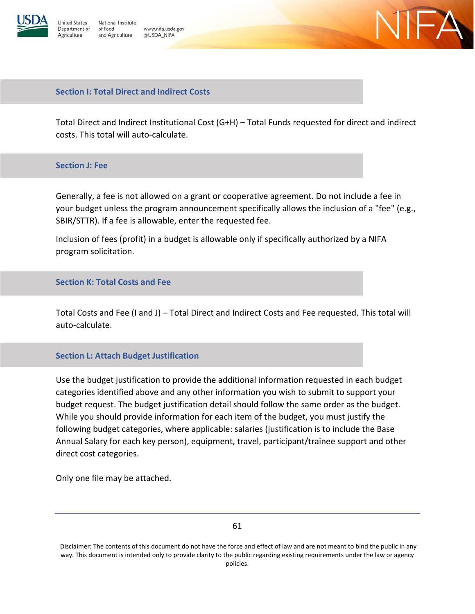

National Institute of Food www.nifa.usda.gov and Agriculture @USDA\_NIFA



#### **Section I: Total Direct and Indirect Costs**

Total Direct and Indirect Institutional Cost (G+H) – Total Funds requested for direct and indirect costs. This total will auto-calculate.

#### **Section J: Fee**

**Jnited States** 

Agriculture

Department of

Generally, a fee is not allowed on a grant or cooperative agreement. Do not include a fee in your budget unless the program announcement specifically allows the inclusion of a "fee" (e.g., SBIR/STTR). If a fee is allowable, enter the requested fee.

Inclusion of fees (profit) in a budget is allowable only if specifically authorized by a NIFA program solicitation.

#### **Section K: Total Costs and Fee**

Total Costs and Fee (I and J) – Total Direct and Indirect Costs and Fee requested. This total will auto-calculate.

#### **Section L: Attach Budget Justification**

Use the budget justification to provide the additional information requested in each budget categories identified above and any other information you wish to submit to support your budget request. The budget justification detail should follow the same order as the budget. While you should provide information for each item of the budget, you must justify the following budget categories, where applicable: salaries (justification is to include the Base Annual Salary for each key person), equipment, travel, participant/trainee support and other direct cost categories.

Only one file may be attached.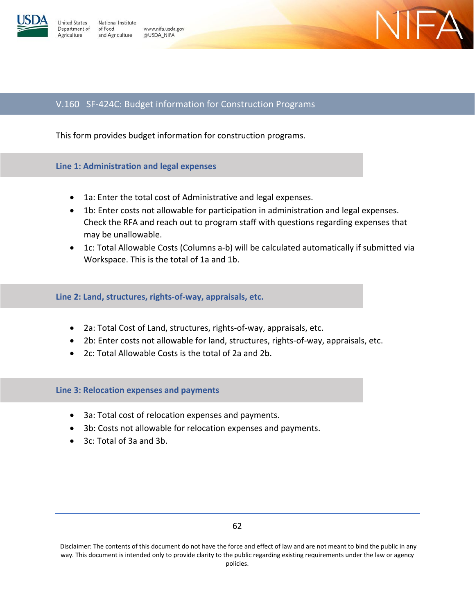



### V.160 SF-424C: Budget information for Construction Programs

www.nifa.usda.gov

@USDA\_NIFA

This form provides budget information for construction programs.

#### **Line 1: Administration and legal expenses**

- 1a: Enter the total cost of Administrative and legal expenses.
- 1b: Enter costs not allowable for participation in administration and legal expenses. Check the RFA and reach out to program staff with questions regarding expenses that may be unallowable.
- 1c: Total Allowable Costs (Columns a-b) will be calculated automatically if submitted via Workspace. This is the total of 1a and 1b.

**Line 2: Land, structures, rights-of-way, appraisals, etc.**

- 2a: Total Cost of Land, structures, rights-of-way, appraisals, etc.
- 2b: Enter costs not allowable for land, structures, rights-of-way, appraisals, etc.
- 2c: Total Allowable Costs is the total of 2a and 2b.

**Line 3: Relocation expenses and payments**

- 3a: Total cost of relocation expenses and payments.
- 3b: Costs not allowable for relocation expenses and payments.
- 3c: Total of 3a and 3b.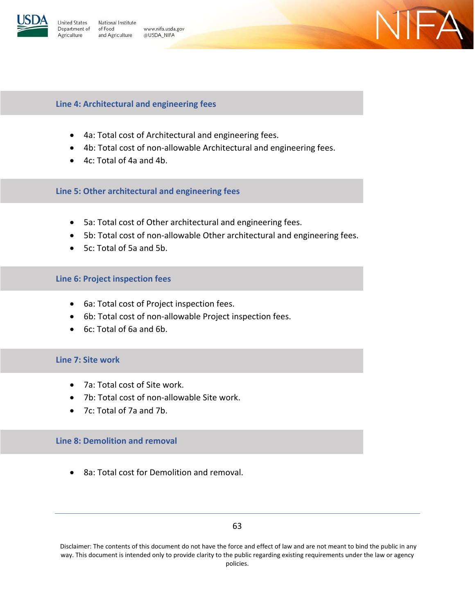

National Institute www.nifa.usda.gov and Agriculture @USDA\_NIFA



- 4a: Total cost of Architectural and engineering fees.
- 4b: Total cost of non-allowable Architectural and engineering fees.

 $-\Delta$ 

• 4c: Total of 4a and 4b.

## **Line 5: Other architectural and engineering fees**

- 5a: Total cost of Other architectural and engineering fees.
- 5b: Total cost of non-allowable Other architectural and engineering fees.
- 5c: Total of 5a and 5b.

## **Line 6: Project inspection fees**

- 6a: Total cost of Project inspection fees.
- 6b: Total cost of non-allowable Project inspection fees.
- 6c: Total of 6a and 6b.

## **Line 7: Site work**

- 7a: Total cost of Site work.
- 7b: Total cost of non-allowable Site work.
- 7c: Total of 7a and 7b.

## **Line 8: Demolition and removal**

• 8a: Total cost for Demolition and removal.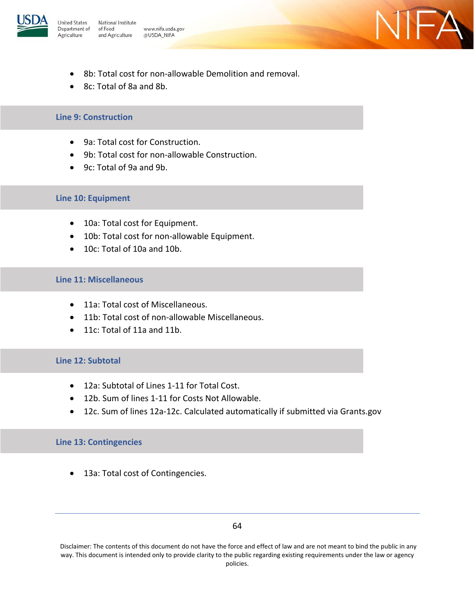

www.nifa.usda.gov @USDA\_NIFA

• 8b: Total cost for non-allowable Demolition and removal.

 $\vdash$ A

• 8c: Total of 8a and 8b.

#### **Line 9: Construction**

- 9a: Total cost for Construction.
- 9b: Total cost for non-allowable Construction.
- 9c: Total of 9a and 9b.

#### **Line 10: Equipment**

- 10a: Total cost for Equipment.
- 10b: Total cost for non-allowable Equipment.
- 10c: Total of 10a and 10b.

#### **Line 11: Miscellaneous**

- 11a: Total cost of Miscellaneous.
- 11b: Total cost of non-allowable Miscellaneous.
- 11c: Total of 11a and 11b.

#### **Line 12: Subtotal**

- 12a: Subtotal of Lines 1-11 for Total Cost.
- 12b. Sum of lines 1-11 for Costs Not Allowable.
- 12c. Sum of lines 12a-12c. Calculated automatically if submitted via Grants.gov

#### **Line 13: Contingencies**

• 13a: Total cost of Contingencies.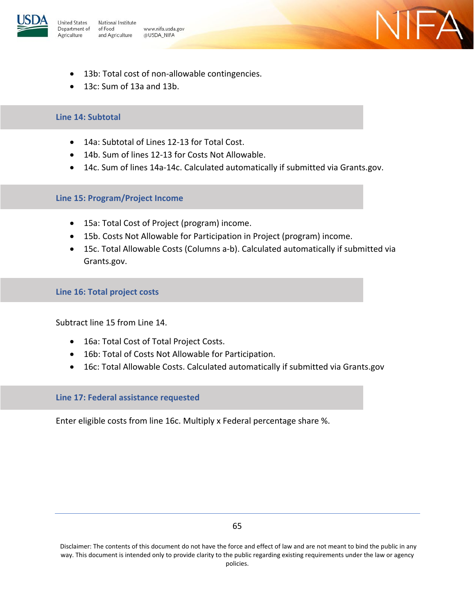

www.nifa.usda.gov @USDA\_NIFA

- 13b: Total cost of non-allowable contingencies.
- 13c: Sum of 13a and 13b.

#### **Line 14: Subtotal**

- 14a: Subtotal of Lines 12-13 for Total Cost.
- 14b. Sum of lines 12-13 for Costs Not Allowable.
- 14c. Sum of lines 14a-14c. Calculated automatically if submitted via Grants.gov.

 $\vdash$ A

#### **Line 15: Program/Project Income**

- 15a: Total Cost of Project (program) income.
- 15b. Costs Not Allowable for Participation in Project (program) income.
- 15c. Total Allowable Costs (Columns a-b). Calculated automatically if submitted via Grants.gov.

#### **Line 16: Total project costs**

Subtract line 15 from Line 14.

- 16a: Total Cost of Total Project Costs.
- 16b: Total of Costs Not Allowable for Participation.
- 16c: Total Allowable Costs. Calculated automatically if submitted via Grants.gov

#### **Line 17: Federal assistance requested**

Enter eligible costs from line 16c. Multiply x Federal percentage share %.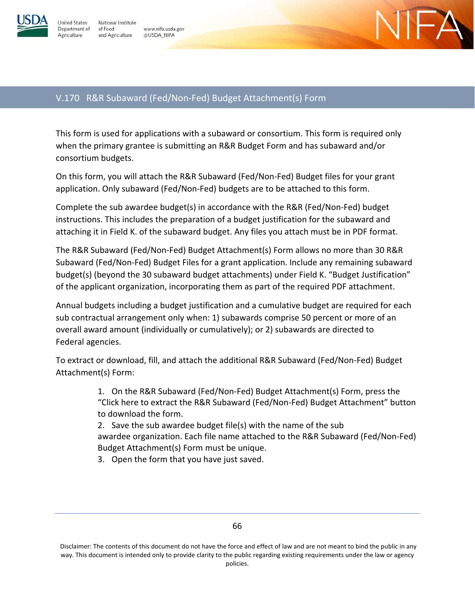

**Jnited States** Department of

Agriculture

National Institute of Food www.nifa.usda.gov and Agriculture @USDA\_NIFA



### V.170 R&R Subaward (Fed/Non-Fed) Budget Attachment(s) Form

This form is used for applications with a subaward or consortium. This form is required only when the primary grantee is submitting an R&R Budget Form and has subaward and/or consortium budgets.

On this form, you will attach the R&R Subaward (Fed/Non-Fed) Budget files for your grant application. Only subaward (Fed/Non-Fed) budgets are to be attached to this form.

Complete the sub awardee budget(s) in accordance with the R&R (Fed/Non-Fed) budget instructions. This includes the preparation of a budget justification for the subaward and attaching it in Field K. of the subaward budget. Any files you attach must be in PDF format.

The R&R Subaward (Fed/Non-Fed) Budget Attachment(s) Form allows no more than 30 R&R Subaward (Fed/Non-Fed) Budget Files for a grant application. Include any remaining subaward budget(s) (beyond the 30 subaward budget attachments) under Field K. "Budget Justification" of the applicant organization, incorporating them as part of the required PDF attachment.

Annual budgets including a budget justification and a cumulative budget are required for each sub contractual arrangement only when: 1) subawards comprise 50 percent or more of an overall award amount (individually or cumulatively); or 2) subawards are directed to Federal agencies.

To extract or download, fill, and attach the additional R&R Subaward (Fed/Non-Fed) Budget Attachment(s) Form:

> 1. On the R&R Subaward (Fed/Non-Fed) Budget Attachment(s) Form, press the "Click here to extract the R&R Subaward (Fed/Non-Fed) Budget Attachment" button to download the form.

> 2. Save the sub awardee budget file(s) with the name of the sub awardee organization. Each file name attached to the R&R Subaward (Fed/Non-Fed) Budget Attachment(s) Form must be unique.

3. Open the form that you have just saved.

66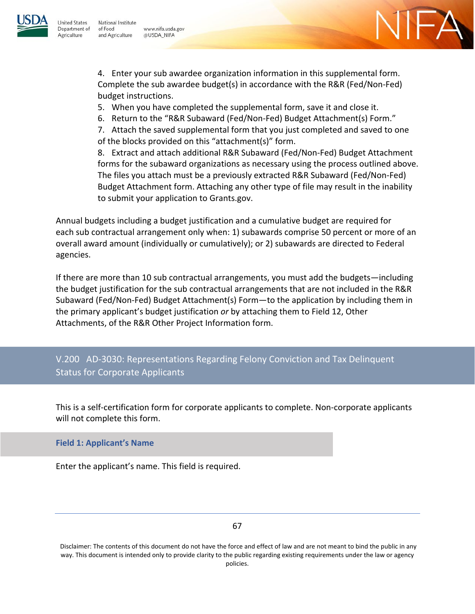

4. Enter your sub awardee organization information in this supplemental form. Complete the sub awardee budget(s) in accordance with the R&R (Fed/Non-Fed) budget instructions.

 $-\Delta$ 

5. When you have completed the supplemental form, save it and close it.

6. Return to the "R&R Subaward (Fed/Non-Fed) Budget Attachment(s) Form."

7. Attach the saved supplemental form that you just completed and saved to one of the blocks provided on this "attachment(s)" form.

8. Extract and attach additional R&R Subaward (Fed/Non-Fed) Budget Attachment forms for the subaward organizations as necessary using the process outlined above. The files you attach must be a previously extracted R&R Subaward (Fed/Non-Fed) Budget Attachment form. Attaching any other type of file may result in the inability to submit your application to Grants.gov.

Annual budgets including a budget justification and a cumulative budget are required for each sub contractual arrangement only when: 1) subawards comprise 50 percent or more of an overall award amount (individually or cumulatively); or 2) subawards are directed to Federal agencies.

If there are more than 10 sub contractual arrangements, you must add the budgets—including the budget justification for the sub contractual arrangements that are not included in the R&R Subaward (Fed/Non-Fed) Budget Attachment(s) Form—to the application by including them in the primary applicant's budget justification *or* by attaching them to Field 12, Other Attachments, of the R&R Other Project Information form.

# V.200 AD-3030: Representations Regarding Felony Conviction and Tax Delinquent Status for Corporate Applicants

This is a self-certification form for corporate applicants to complete. Non-corporate applicants will not complete this form.

### **Field 1: Applicant's Name**

í

Enter the applicant's name. This field is required.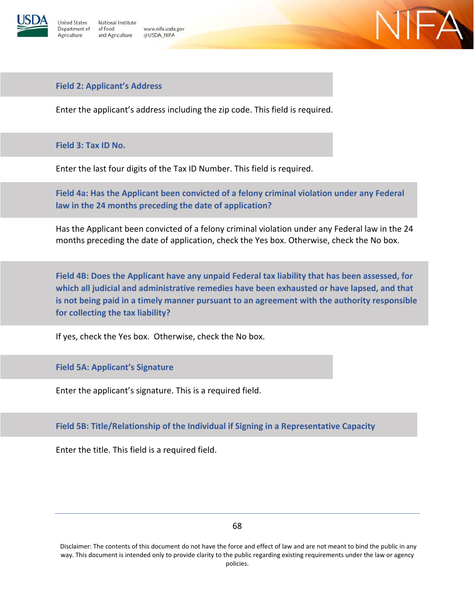

ł

**Inited States** 

Agriculture

Department of



#### **Field 2: Applicant's Address**

Enter the applicant's address including the zip code. This field is required.

#### **Field 3: Tax ID No.**

Enter the last four digits of the Tax ID Number. This field is required.

**Field 4a: Has the Applicant been convicted of a felony criminal violation under any Federal law in the 24 months preceding the date of application?**

Has the Applicant been convicted of a felony criminal violation under any Federal law in the 24 months preceding the date of application, check the Yes box. Otherwise, check the No box.

**Field 4B: Does the Applicant have any unpaid Federal tax liability that has been assessed, for which all judicial and administrative remedies have been exhausted or have lapsed, and that is not being paid in a timely manner pursuant to an agreement with the authority responsible for collecting the tax liability?**

If yes, check the Yes box. Otherwise, check the No box.

**Field 5A: Applicant's Signature**

Enter the applicant's signature. This is a required field.

**Field 5B: Title/Relationship of the Individual if Signing in a Representative Capacity**

Enter the title. This field is a required field.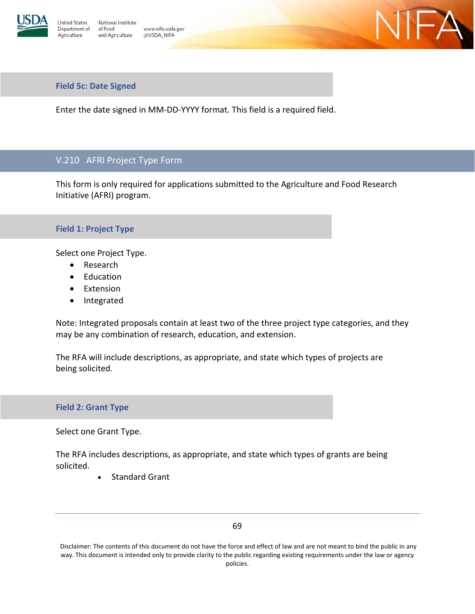

www.nifa.usda.gov @USDA\_NIFA



#### **Field 5c: Date Signed**

Enter the date signed in MM-DD-YYYY format. This field is a required field.

### V.210 AFRI Project Type Form

This form is only required for applications submitted to the Agriculture and Food Research Initiative (AFRI) program.

#### **Field 1: Project Type**

Select one Project Type.

- Research
- Education
- Extension
- Integrated

Note: Integrated proposals contain at least two of the three project type categories, and they may be any combination of research, education, and extension.

The RFA will include descriptions, as appropriate, and state which types of projects are being solicited.

#### **Field 2: Grant Type**

l

Select one Grant Type.

The RFA includes descriptions, as appropriate, and state which types of grants are being solicited.

Standard Grant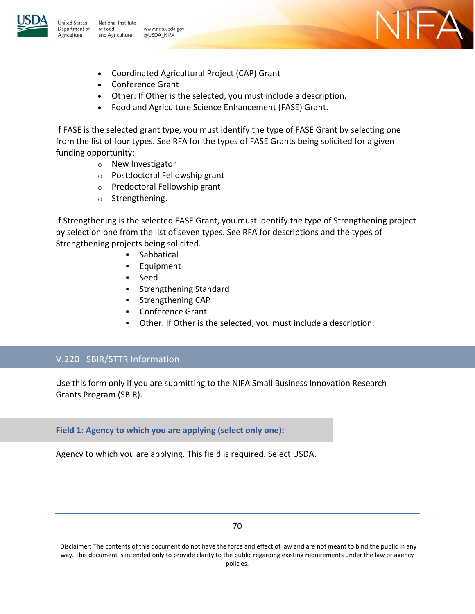

National Institute www.nifa.usda.gov @USDA\_NIFA



- Coordinated Agricultural Project (CAP) Grant
- Conference Grant
- Other: If Other is the selected, you must include a description.
- Food and Agriculture Science Enhancement (FASE) Grant.

If FASE is the selected grant type, you must identify the type of FASE Grant by selecting one from the list of four types. See RFA for the types of FASE Grants being solicited for a given funding opportunity:

- o New Investigator
- o Postdoctoral Fellowship grant
- o Predoctoral Fellowship grant
- o Strengthening.

If Strengthening is the selected FASE Grant, you must identify the type of Strengthening project by selection one from the list of seven types. See RFA for descriptions and the types of Strengthening projects being solicited.

- **Sabbatical**
- **Equipment**
- **Seed**
- Strengthening Standard
- **Strengthening CAP**
- Conference Grant
- Other. If Other is the selected, you must include a description.

## V.220 SBIR/STTR Information

Ī

j

Use this form only if you are submitting to the NIFA Small Business Innovation Research Grants Program (SBIR).

**Field 1: Agency to which you are applying (select only one):** 

Agency to which you are applying. This field is required. Select USDA.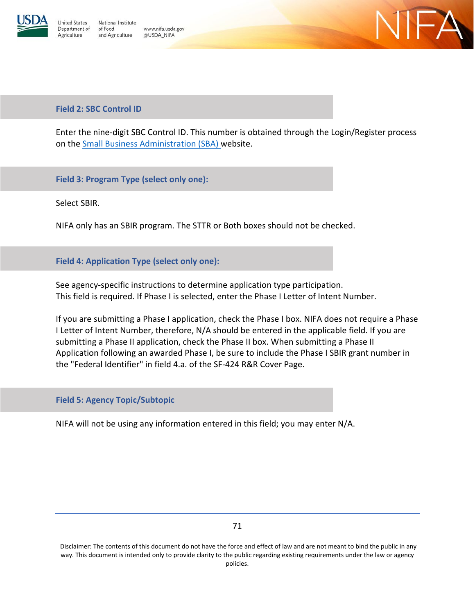

National Institute Inited States Department of of Food and Agriculture Agriculture

www.nifa.usda.gov @USDA\_NIFA



#### **Field 2: SBC Control ID**

Enter the nine-digit SBC Control ID. This number is obtained through the Login/Register process on the [Small Business Administration \(SBA\)](https://www.sba.gov/) website.

#### **Field 3: Program Type (select only one):**

Select SBIR.

NIFA only has an SBIR program. The STTR or Both boxes should not be checked.

**Field 4: Application Type (select only one):** 

See agency-specific instructions to determine application type participation. This field is required. If Phase I is selected, enter the Phase I Letter of Intent Number.

If you are submitting a Phase I application, check the Phase I box. NIFA does not require a Phase I Letter of Intent Number, therefore, N/A should be entered in the applicable field. If you are submitting a Phase II application, check the Phase II box. When submitting a Phase II Application following an awarded Phase I, be sure to include the Phase I SBIR grant number in the "Federal Identifier" in field 4.a. of the SF-424 R&R Cover Page.

#### **Field 5: Agency Topic/Subtopic**

NIFA will not be using any information entered in this field; you may enter N/A.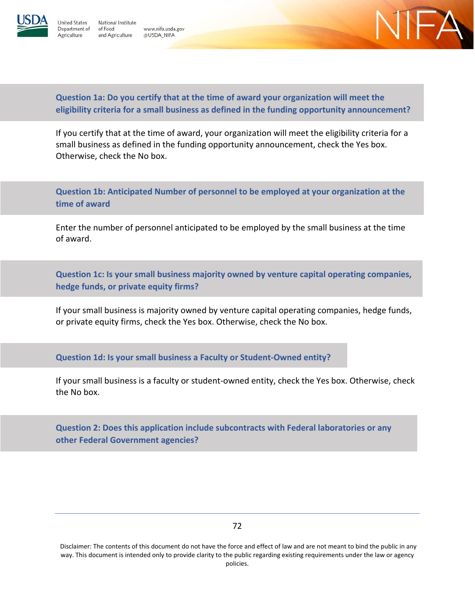

l

National Institute **Inited States** Department of of Food and Agriculture Agriculture





**Question 1a: Do you certify that at the time of award your organization will meet the eligibility criteria for a small business as defined in the funding opportunity announcement?**

If you certify that at the time of award, your organization will meet the eligibility criteria for a small business as defined in the funding opportunity announcement, check the Yes box. Otherwise, check the No box.

**Question 1b: Anticipated Number of personnel to be employed at your organization at the time of award**

Enter the number of personnel anticipated to be employed by the small business at the time of award.

**Question 1c: Is your small business majority owned by venture capital operating companies, hedge funds, or private equity firms?**

If your small business is majority owned by venture capital operating companies, hedge funds, or private equity firms, check the Yes box. Otherwise, check the No box.

**Question 1d: Is your small business a Faculty or Student-Owned entity?**

If your small business is a faculty or student-owned entity, check the Yes box. Otherwise, check the No box.

**Question 2: Does this application include subcontracts with Federal laboratories or any other Federal Government agencies?**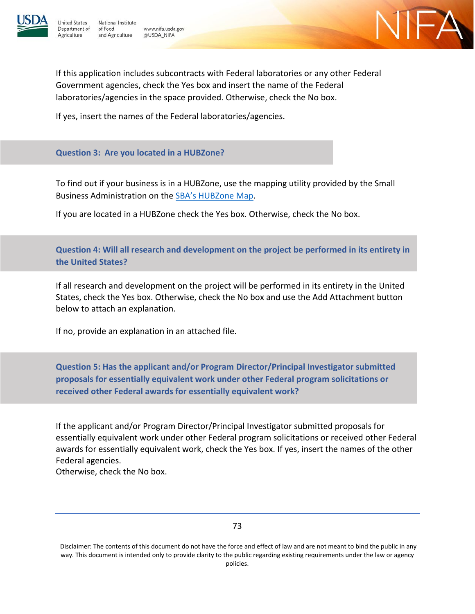

í

National Institute www.nifa.usda.gov and Agriculture @USDA\_NIFA



If this application includes subcontracts with Federal laboratories or any other Federal Government agencies, check the Yes box and insert the name of the Federal laboratories/agencies in the space provided. Otherwise, check the No box.

If yes, insert the names of the Federal laboratories/agencies.

## **Question 3: Are you located in a HUBZone?**

To find out if your business is in a HUBZone, use the mapping utility provided by the Small Business Administration on the [SBA's HUBZone Map.](https://maps.certify.sba.gov/hubzone/map)

If you are located in a HUBZone check the Yes box. Otherwise, check the No box.

**Question 4: Will all research and development on the project be performed in its entirety in the United States?** 

If all research and development on the project will be performed in its entirety in the United States, check the Yes box. Otherwise, check the No box and use the Add Attachment button below to attach an explanation.

If no, provide an explanation in an attached file.

**Question 5: Has the applicant and/or Program Director/Principal Investigator submitted proposals for essentially equivalent work under other Federal program solicitations or received other Federal awards for essentially equivalent work?** 

If the applicant and/or Program Director/Principal Investigator submitted proposals for essentially equivalent work under other Federal program solicitations or received other Federal awards for essentially equivalent work, check the Yes box. If yes, insert the names of the other Federal agencies.

Otherwise, check the No box.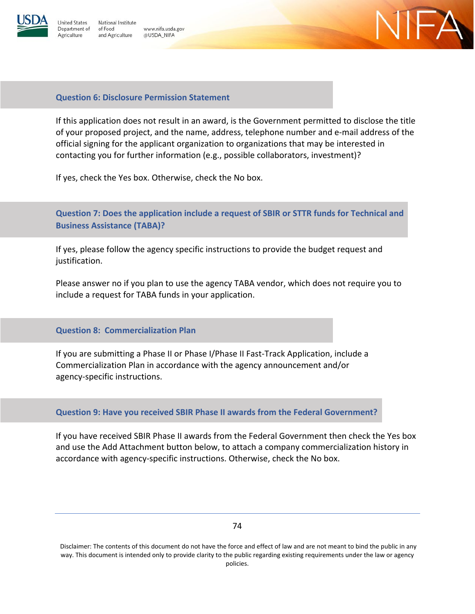

National Institute Inited States Department of of Food and Agriculture Agriculture



## **Question 6: Disclosure Permission Statement**

If this application does not result in an award, is the Government permitted to disclose the title of your proposed project, and the name, address, telephone number and e-mail address of the official signing for the applicant organization to organizations that may be interested in contacting you for further information (e.g., possible collaborators, investment)?

If yes, check the Yes box. Otherwise, check the No box.

www.nifa.usda.gov

@USDA\_NIFA

**Question 7: Does the application include a request of SBIR or STTR funds for Technical and Business Assistance (TABA)?** 

If yes, please follow the agency specific instructions to provide the budget request and justification.

Please answer no if you plan to use the agency TABA vendor, which does not require you to include a request for TABA funds in your application.

## **Question 8: Commercialization Plan**

If you are submitting a Phase II or Phase I/Phase II Fast-Track Application, include a Commercialization Plan in accordance with the agency announcement and/or agency-specific instructions.

## **Question 9: Have you received SBIR Phase II awards from the Federal Government?**

If you have received SBIR Phase II awards from the Federal Government then check the Yes box and use the Add Attachment button below, to attach a company commercialization history in accordance with agency-specific instructions. Otherwise, check the No box.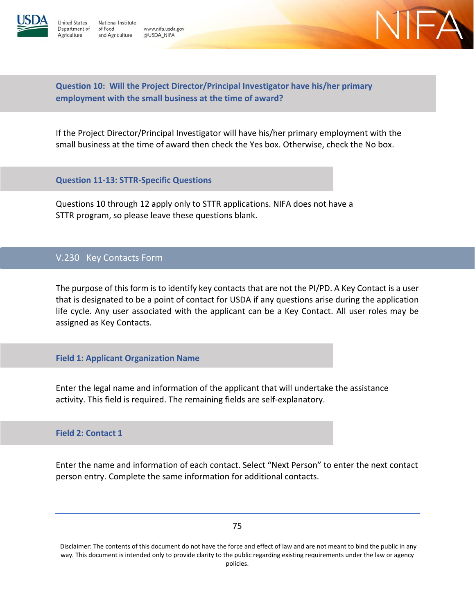

l.

**Jnited States** Department of

Agriculture

National Institute of Food and Agriculture





**Question 10: Will the Project Director/Principal Investigator have his/her primary employment with the small business at the time of award?** 

If the Project Director/Principal Investigator will have his/her primary employment with the small business at the time of award then check the Yes box. Otherwise, check the No box.

**Question 11-13: STTR-Specific Questions** 

Questions 10 through 12 apply only to STTR applications. NIFA does not have a STTR program, so please leave these questions blank.

## V.230 Key Contacts Form

The purpose of this form is to identify key contacts that are not the PI/PD. A Key Contact is a user that is designated to be a point of contact for USDA if any questions arise during the application life cycle. Any user associated with the applicant can be a Key Contact. All user roles may be assigned as Key Contacts.

#### **Field 1: Applicant Organization Name**

Enter the legal name and information of the applicant that will undertake the assistance activity. This field is required. The remaining fields are self-explanatory.

#### **Field 2: Contact 1**

í

Enter the name and information of each contact. Select "Next Person" to enter the next contact person entry. Complete the same information for additional contacts.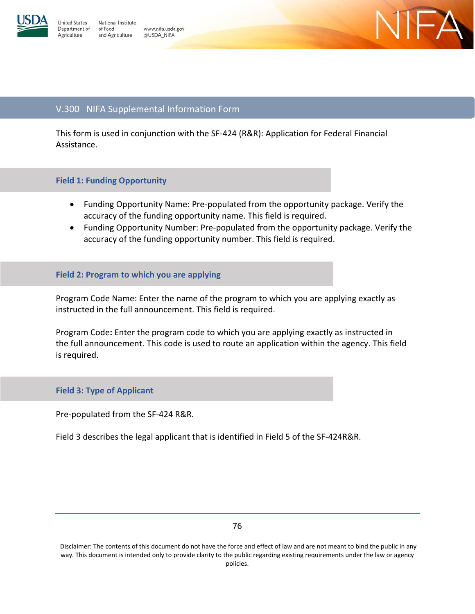

l

j

National Institute www.nifa.usda.gov @USDA\_NIFA



## V.300 NIFA Supplemental Information Form

This form is used in conjunction with the SF-424 (R&R): Application for Federal Financial Assistance.

#### **Field 1: Funding Opportunity**

- Funding Opportunity Name: Pre-populated from the opportunity package. Verify the accuracy of the funding opportunity name. This field is required.
- Funding Opportunity Number: Pre-populated from the opportunity package. Verify the accuracy of the funding opportunity number. This field is required.

#### **Field 2: Program to which you are applying**

Program Code Name: Enter the name of the program to which you are applying exactly as instructed in the full announcement. This field is required.

Program Code**:** Enter the program code to which you are applying exactly as instructed in the full announcement. This code is used to route an application within the agency. This field is required.

#### **Field 3: Type of Applicant**

Pre-populated from the SF-424 R&R.

Field 3 describes the legal applicant that is identified in Field 5 of the SF-424R&R.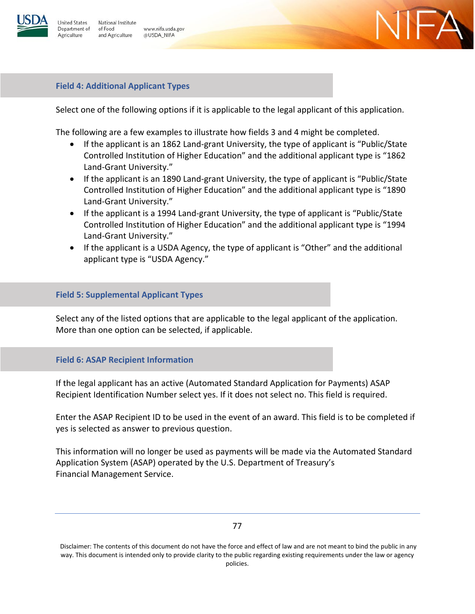

j

l

nited States National Institute epartment of of Food www.nifa.usda.gov and Agriculture @USDA\_NIFA Agriculture



## **Field 4: Additional Applicant Types**

Select one of the following options if it is applicable to the legal applicant of this application.

The following are a few examples to illustrate how fields 3 and 4 might be completed.

- If the applicant is an 1862 Land-grant University, the type of applicant is "Public/State Controlled Institution of Higher Education" and the additional applicant type is "1862 Land-Grant University."
- If the applicant is an 1890 Land-grant University, the type of applicant is "Public/State Controlled Institution of Higher Education" and the additional applicant type is "1890 Land-Grant University."
- If the applicant is a 1994 Land-grant University, the type of applicant is "Public/State Controlled Institution of Higher Education" and the additional applicant type is "1994 Land-Grant University."
- If the applicant is a USDA Agency, the type of applicant is "Other" and the additional applicant type is "USDA Agency."

### **Field 5: Supplemental Applicant Types**

Select any of the listed options that are applicable to the legal applicant of the application. More than one option can be selected, if applicable.

#### **Field 6: ASAP Recipient Information**

If the legal applicant has an active (Automated Standard Application for Payments) ASAP Recipient Identification Number select yes. If it does not select no. This field is required.

Enter the ASAP Recipient ID to be used in the event of an award. This field is to be completed if yes is selected as answer to previous question.

This information will no longer be used as payments will be made via the Automated Standard Application System (ASAP) operated by the U.S. Department of Treasury's Financial Management Service.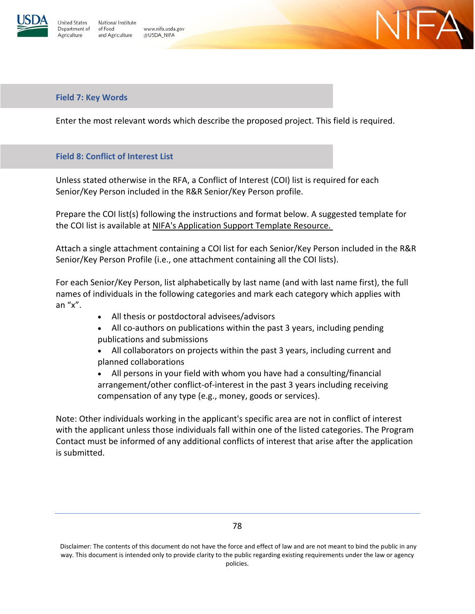

Inited States National Institute Department of of Food and Agriculture Agriculture

www.nifa.usda.gov @USDA\_NIFA



### **Field 7: Key Words**

Enter the most relevant words which describe the proposed project. This field is required.

### **Field 8: Conflict of Interest List**

Unless stated otherwise in the RFA, a Conflict of Interest (COI) list is required for each Senior/Key Person included in the R&R Senior/Key Person profile.

Prepare the COI list(s) following the instructions and format below. A suggested template for the COI list is available at [NIFA's Application Support Template Resource.](http://nifa.usda.gov/resource/application-support-templates) 

Attach a single attachment containing a COI list for each Senior/Key Person included in the R&R Senior/Key Person Profile (i.e., one attachment containing all the COI lists).

For each Senior/Key Person, list alphabetically by last name (and with last name first), the full names of individuals in the following categories and mark each category which applies with an " $x$ ".

- All thesis or postdoctoral advisees/advisors
- All co-authors on publications within the past 3 years, including pending publications and submissions
- All collaborators on projects within the past 3 years, including current and planned collaborations
- All persons in your field with whom you have had a consulting/financial arrangement/other conflict-of-interest in the past 3 years including receiving compensation of any type (e.g., money, goods or services).

Note: Other individuals working in the applicant's specific area are not in conflict of interest with the applicant unless those individuals fall within one of the listed categories. The Program Contact must be informed of any additional conflicts of interest that arise after the application is submitted.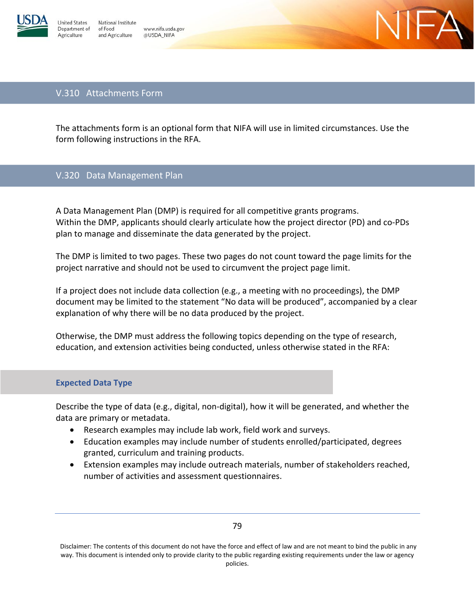

Inited States

Agriculture

Department of

National Institute of Food www.nifa.usda.gov and Agriculture @USDA\_NIFA



## V.310 Attachments Form

The attachments form is an optional form that NIFA will use in limited circumstances. Use the form following instructions in the RFA.

## V.320 Data Management Plan

A Data Management Plan (DMP) is required for all competitive grants programs. Within the DMP, applicants should clearly articulate how the project director (PD) and co-PDs plan to manage and disseminate the data generated by the project.

The DMP is limited to two pages. These two pages do not count toward the page limits for the project narrative and should not be used to circumvent the project page limit.

If a project does not include data collection (e.g., a meeting with no proceedings), the DMP document may be limited to the statement "No data will be produced", accompanied by a clear explanation of why there will be no data produced by the project.

Otherwise, the DMP must address the following topics depending on the type of research, education, and extension activities being conducted, unless otherwise stated in the RFA:

#### **Expected Data Type**

Describe the type of data (e.g., digital, non-digital), how it will be generated, and whether the data are primary or metadata.

- Research examples may include lab work, field work and surveys.
- Education examples may include number of students enrolled/participated, degrees granted, curriculum and training products.
- Extension examples may include outreach materials, number of stakeholders reached, number of activities and assessment questionnaires.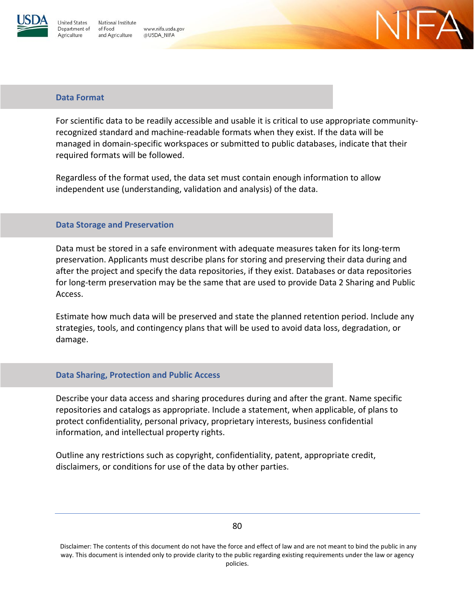

**Jnited States** National Institute Department of of Food and Agriculture Agriculture

www.nifa.usda.gov @USDA\_NIFA



#### **Data Format**

For scientific data to be readily accessible and usable it is critical to use appropriate communityrecognized standard and machine-readable formats when they exist. If the data will be managed in domain-specific workspaces or submitted to public databases, indicate that their required formats will be followed.

Regardless of the format used, the data set must contain enough information to allow independent use (understanding, validation and analysis) of the data.

#### **Data Storage and Preservation**

Data must be stored in a safe environment with adequate measures taken for its long-term preservation. Applicants must describe plans for storing and preserving their data during and after the project and specify the data repositories, if they exist. Databases or data repositories for long-term preservation may be the same that are used to provide Data 2 Sharing and Public Access.

Estimate how much data will be preserved and state the planned retention period. Include any strategies, tools, and contingency plans that will be used to avoid data loss, degradation, or damage.

#### **Data Sharing, Protection and Public Access**

Describe your data access and sharing procedures during and after the grant. Name specific repositories and catalogs as appropriate. Include a statement, when applicable, of plans to protect confidentiality, personal privacy, proprietary interests, business confidential information, and intellectual property rights.

Outline any restrictions such as copyright, confidentiality, patent, appropriate credit, disclaimers, or conditions for use of the data by other parties.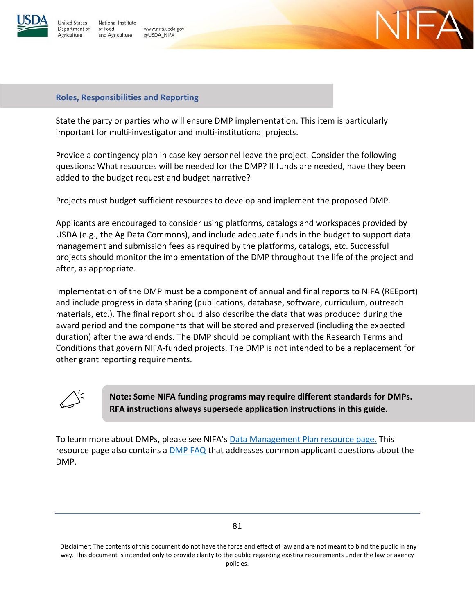

**Jnited States** National Institute Department of of Food and Agriculture Agriculture



# **Roles, Responsibilities and Reporting**

www.nifa.usda.gov

@USDA\_NIFA

State the party or parties who will ensure DMP implementation. This item is particularly important for multi-investigator and multi-institutional projects.

Provide a contingency plan in case key personnel leave the project. Consider the following questions: What resources will be needed for the DMP? If funds are needed, have they been added to the budget request and budget narrative?

Projects must budget sufficient resources to develop and implement the proposed DMP.

Applicants are encouraged to consider using platforms, catalogs and workspaces provided by USDA (e.g., the Ag Data Commons), and include adequate funds in the budget to support data management and submission fees as required by the platforms, catalogs, etc. Successful projects should monitor the implementation of the DMP throughout the life of the project and after, as appropriate.

Implementation of the DMP must be a component of annual and final reports to NIFA (REEport) and include progress in data sharing (publications, database, software, curriculum, outreach materials, etc.). The final report should also describe the data that was produced during the award period and the components that will be stored and preserved (including the expected duration) after the award ends. The DMP should be compliant with the Research Terms and Conditions that govern NIFA-funded projects. The DMP is not intended to be a replacement for other grant reporting requirements.



**Note: Some NIFA funding programs may require different standards for DMPs. RFA instructions always supersede application instructions in this guide.**

To learn more about DMPs, please see NIFA's [Data Management Plan resource page.](https://nifa.usda.gov/resource/data-management-plan-nifa-funded-research-projects) This resource page also contains a **[DMP FAQ](https://nifa.usda.gov/sites/default/files/resource/NIFA%20Data%20Management%20Plan%20FAQ508.pdf)** that addresses common applicant questions about the DMP.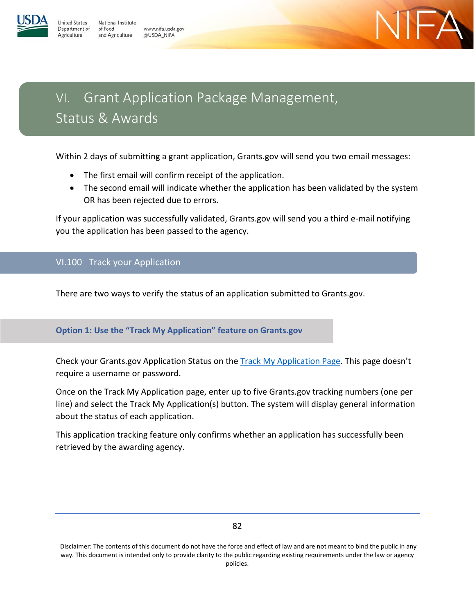

National Institute Inited States Department of of Food www.nifa.usda.gov and Agriculture @USDA\_NIFA Agriculture



# VI. Grant Application Package Management, Status & Awards

Within 2 days of submitting a grant application, Grants.gov will send you two email messages:

- The first email will confirm receipt of the application.
- The second email will indicate whether the application has been validated by the system OR has been rejected due to errors.

If your application was successfully validated, Grants.gov will send you a third e-mail notifying you the application has been passed to the agency.

## VI.100 Track your Application

There are two ways to verify the status of an application submitted to Grants.gov.

## **Option 1: Use the "Track My Application" feature on Grants.gov**

Check your Grants.gov Application Status on the [Track My Application Page.](http://www.grants.gov/web/grants/applicants/track-my-application.html) This page doesn't require a username or password.

Once on the Track My Application page, enter up to five Grants.gov tracking numbers (one per line) and select the Track My Application(s) button. The system will display general information about the status of each application.

This application tracking feature only confirms whether an application has successfully been retrieved by the awarding agency.

82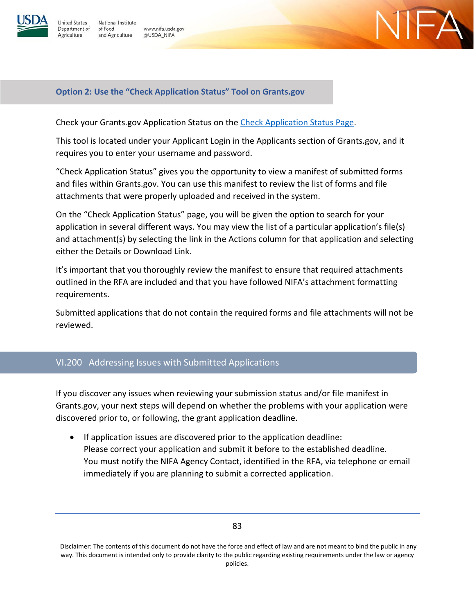

**Jnited States** Department of

Agriculture

National Institute of Food www.nifa.usda.gov and Agriculture @USDA\_NIFA



### **Option 2: Use the "Check Application Status" Tool on Grants.gov**

Check your Grants.gov Application Status on the [Check Application Status Page.](https://www.grants.gov/web/grants/applicants/track-my-application.html)

This tool is located under your Applicant Login in the Applicants section of Grants.gov, and it requires you to enter your username and password.

"Check Application Status" gives you the opportunity to view a manifest of submitted forms and files within Grants.gov. You can use this manifest to review the list of forms and file attachments that were properly uploaded and received in the system.

On the "Check Application Status" page, you will be given the option to search for your application in several different ways. You may view the list of a particular application's file(s) and attachment(s) by selecting the link in the Actions column for that application and selecting either the Details or Download Link.

It's important that you thoroughly review the manifest to ensure that required attachments outlined in the RFA are included and that you have followed NIFA's attachment formatting requirements.

Submitted applications that do not contain the required forms and file attachments will not be reviewed.

## VI.200 Addressing Issues with Submitted Applications

If you discover any issues when reviewing your submission status and/or file manifest in Grants.gov, your next steps will depend on whether the problems with your application were discovered prior to, or following, the grant application deadline.

• If application issues are discovered prior to the application deadline: Please correct your application and submit it before to the established deadline. You must notify the NIFA Agency Contact, identified in the RFA, via telephone or email immediately if you are planning to submit a corrected application.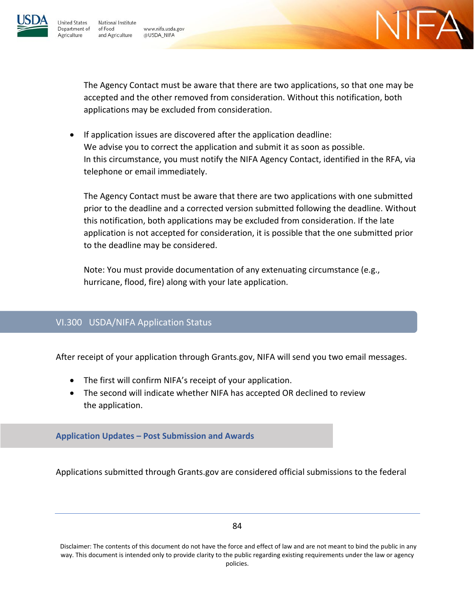

Inited States

Agriculture

National Institute Department of of Food www.nifa.usda.gov and Agriculture @USDA\_NIFA



The Agency Contact must be aware that there are two applications, so that one may be accepted and the other removed from consideration. Without this notification, both applications may be excluded from consideration.

• If application issues are discovered after the application deadline: We advise you to correct the application and submit it as soon as possible. In this circumstance, you must notify the NIFA Agency Contact, identified in the RFA, via telephone or email immediately.

The Agency Contact must be aware that there are two applications with one submitted prior to the deadline and a corrected version submitted following the deadline. Without this notification, both applications may be excluded from consideration. If the late application is not accepted for consideration, it is possible that the one submitted prior to the deadline may be considered.

Note: You must provide documentation of any extenuating circumstance (e.g., hurricane, flood, fire) along with your late application.

# VI.300 USDA/NIFA Application Status

l

After receipt of your application through Grants.gov, NIFA will send you two email messages.

- The first will confirm NIFA's receipt of your application.
- The second will indicate whether NIFA has accepted OR declined to review the application.

**Application Updates – Post Submission and Awards**

Applications submitted through Grants.gov are considered official submissions to the federal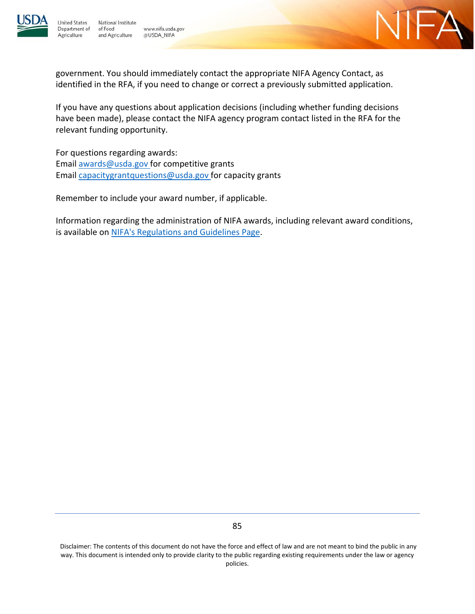

**Jnited States** National Institute Department of of Food and Agriculture Agriculture

www.nifa.usda.gov @USDA\_NIFA



government. You should immediately contact the appropriate NIFA Agency Contact, as identified in the RFA, if you need to change or correct a previously submitted application.

If you have any questions about application decisions (including whether funding decisions have been made), please contact the NIFA agency program contact listed in the RFA for the relevant funding opportunity.

For questions regarding awards: Email [awards@usda.gov f](mailto:awards@usda.gov)or competitive grants Email [capacitygrantquestions@usda.gov f](mailto:capacitygrantquestions@usda.gov)or capacity grants

Remember to include your award number, if applicable.

Information regarding the administration of NIFA awards, including relevant award conditions, is available on [NIFA's Regulations and Guidelines Page.](http://nifa.usda.gov/regulations-and-guidelines)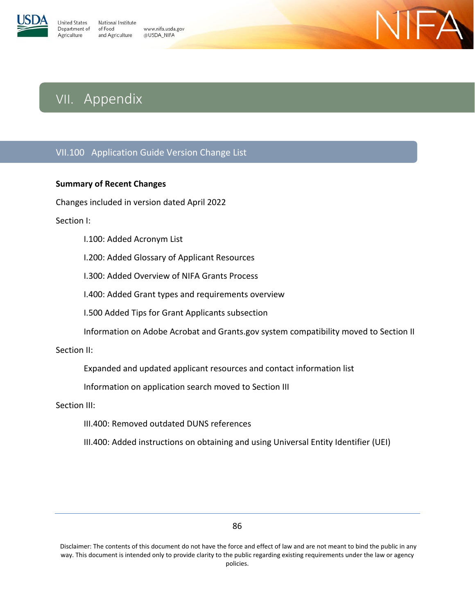

**Jnited States** National Institute Department of of Food Agriculture and Agriculture

www.nifa.usda.gov @USDA\_NIFA



# VII. Appendix

# VII.100 Application Guide Version Change List

## **Summary of Recent Changes**

Changes included in version dated April 2022

Section I:

I.100: Added Acronym List

I.200: Added Glossary of Applicant Resources

I.300: Added Overview of NIFA Grants Process

I.400: Added Grant types and requirements overview

I.500 Added Tips for Grant Applicants subsection

Information on Adobe Acrobat and Grants.gov system compatibility moved to Section II

Section II:

Expanded and updated applicant resources and contact information list

Information on application search moved to Section III

Section III:

III.400: Removed outdated DUNS references

III.400: Added instructions on obtaining and using Universal Entity Identifier (UEI)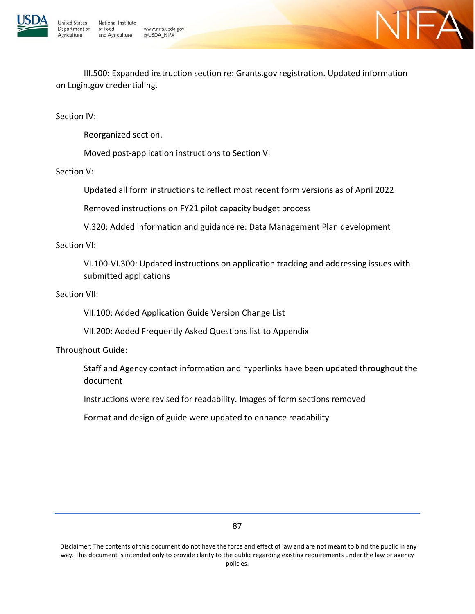

III.500: Expanded instruction section re: Grants.gov registration. Updated information on Login.gov credentialing.

 $\vdash A$ 

Section IV:

Reorganized section.

Moved post-application instructions to Section VI

Section V:

Updated all form instructions to reflect most recent form versions as of April 2022

Removed instructions on FY21 pilot capacity budget process

V.320: Added information and guidance re: Data Management Plan development

Section VI:

VI.100-VI.300: Updated instructions on application tracking and addressing issues with submitted applications

Section VII:

VII.100: Added Application Guide Version Change List

VII.200: Added Frequently Asked Questions list to Appendix

Throughout Guide:

Staff and Agency contact information and hyperlinks have been updated throughout the document

Instructions were revised for readability. Images of form sections removed

Format and design of guide were updated to enhance readability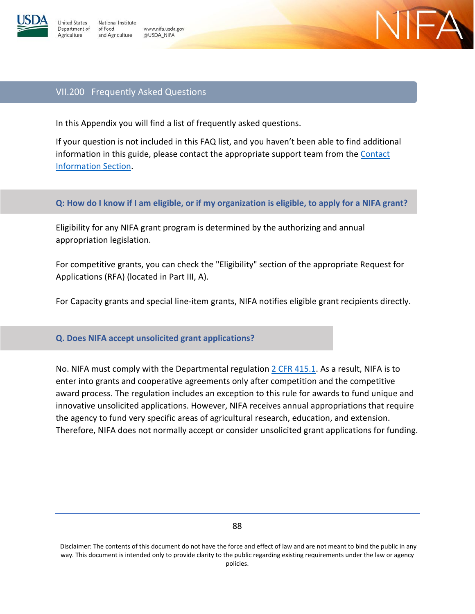

Inited States Department of

Agriculture

National Institute of Food www.nifa.usda.gov and Agriculture @USDA\_NIFA



## VII.200 Frequently Asked Questions

In this Appendix you will find a list of frequently asked questions.

If your question is not included in this FAQ list, and you haven't been able to find additional information in this guide, please contact the appropriate support team from the Contact [Information Section.](#page-8-0)

**Q: How do I know if I am eligible, or if my organization is eligible, to apply for a NIFA grant?**

Eligibility for any NIFA grant program is determined by the authorizing and annual appropriation legislation.

For competitive grants, you can check the "Eligibility" section of the appropriate Request for Applications (RFA) (located in Part III, A).

For Capacity grants and special line-item grants, NIFA notifies eligible grant recipients directly.

#### **Q. Does NIFA accept unsolicited grant applications?**

No. NIFA must comply with the Departmental regulation  $2$  CFR 415.1. As a result, NIFA is to enter into grants and cooperative agreements only after competition and the competitive award process. The regulation includes an exception to this rule for awards to fund unique and innovative unsolicited applications. However, NIFA receives annual appropriations that require the agency to fund very specific areas of agricultural research, education, and extension. Therefore, NIFA does not normally accept or consider unsolicited grant applications for funding.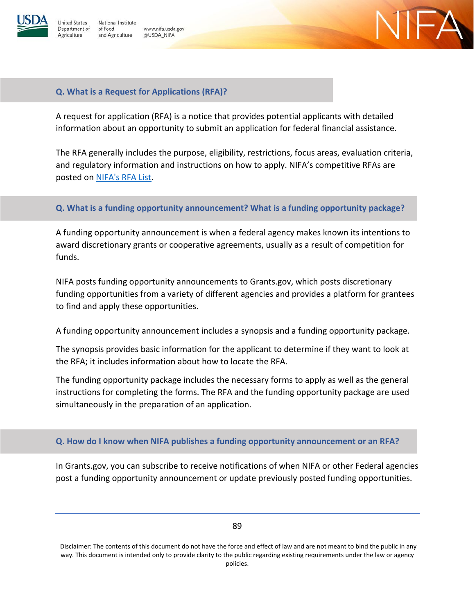

Inited States National Institute Department of of Food and Agriculture Agriculture

www.nifa.usda.gov @USDA\_NIFA



## **Q. What is a Request for Applications (RFA)?**

A request for application (RFA) is a notice that provides potential applicants with detailed information about an opportunity to submit an application for federal financial assistance.

The RFA generally includes the purpose, eligibility, restrictions, focus areas, evaluation criteria, and regulatory information and instructions on how to apply. NIFA's competitive RFAs are posted on [NIFA's RFA List.](https://nifa.usda.gov/rfa-list)

## **Q. What is a funding opportunity announcement? What is a funding opportunity package?**

A funding opportunity announcement is when a federal agency makes known its intentions to award discretionary grants or cooperative agreements, usually as a result of competition for funds.

NIFA posts funding opportunity announcements to Grants.gov, which posts discretionary funding opportunities from a variety of different agencies and provides a platform for grantees to find and apply these opportunities.

A funding opportunity announcement includes a synopsis and a funding opportunity package.

The synopsis provides basic information for the applicant to determine if they want to look at the RFA; it includes information about how to locate the RFA.

The funding opportunity package includes the necessary forms to apply as well as the general instructions for completing the forms. The RFA and the funding opportunity package are used simultaneously in the preparation of an application.

## **Q. How do I know when NIFA publishes a funding opportunity announcement or an RFA?**

In Grants.gov, you can subscribe to receive notifications of when NIFA or other Federal agencies post a funding opportunity announcement or update previously posted funding opportunities.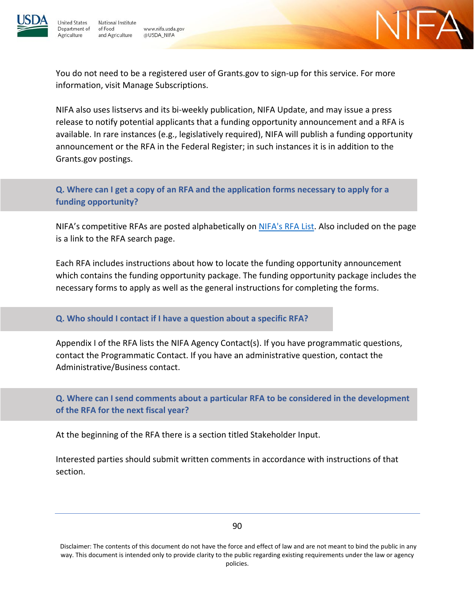

**Inited States** National Institute Department of of Food and Agriculture Agriculture

www.nifa.usda.gov @USDA\_NIFA



You do not need to be a registered user of Grants.gov to sign-up for this service. For more information, visit Manage Subscriptions.

NIFA also uses listservs and its bi-weekly publication, NIFA Update, and may issue a press release to notify potential applicants that a funding opportunity announcement and a RFA is available. In rare instances (e.g., legislatively required), NIFA will publish a funding opportunity announcement or the RFA in the Federal Register; in such instances it is in addition to the Grants.gov postings.

**Q. Where can I get a copy of an RFA and the application forms necessary to apply for a funding opportunity?**

NIFA's competitive RFAs are posted alphabetically on [NIFA's RFA List.](https://nifa.usda.gov/rfa-list) Also included on the page is a link to the RFA search page.

Each RFA includes instructions about how to locate the funding opportunity announcement which contains the funding opportunity package. The funding opportunity package includes the necessary forms to apply as well as the general instructions for completing the forms.

## **Q. Who should I contact if I have a question about a specific RFA?**

Appendix I of the RFA lists the NIFA Agency Contact(s). If you have programmatic questions, contact the Programmatic Contact. If you have an administrative question, contact the Administrative/Business contact.

## **Q. Where can I send comments about a particular RFA to be considered in the development of the RFA for the next fiscal year?**

At the beginning of the RFA there is a section titled Stakeholder Input.

Interested parties should submit written comments in accordance with instructions of that section.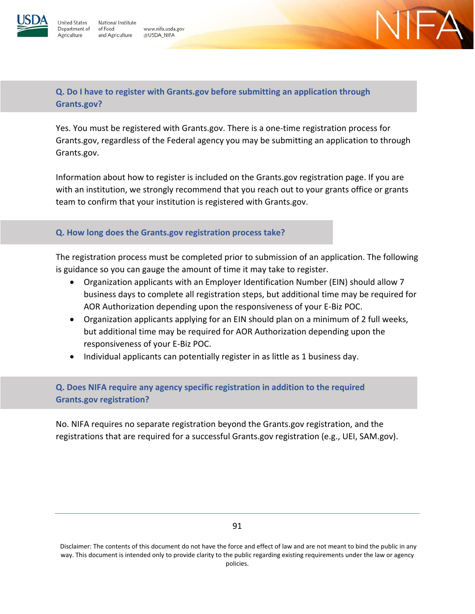

National Institute **Inited States** Department of of Food and Agriculture Agriculture

www.nifa.usda.gov @USDA\_NIFA



**Q. Do I have to register with Grants.gov before submitting an application through Grants.gov?**

Yes. You must be registered with Grants.gov. There is a one-time registration process for Grants.gov, regardless of the Federal agency you may be submitting an application to through Grants.gov.

Information about how to register is included on the Grants.gov registration page. If you are with an institution, we strongly recommend that you reach out to your grants office or grants team to confirm that your institution is registered with Grants.gov.

## **Q. How long does the Grants.gov registration process take?**

The registration process must be completed prior to submission of an application. The following is guidance so you can gauge the amount of time it may take to register.

- Organization applicants with an Employer Identification Number (EIN) should allow 7 business days to complete all registration steps, but additional time may be required for AOR Authorization depending upon the responsiveness of your E-Biz POC.
- Organization applicants applying for an EIN should plan on a minimum of 2 full weeks, but additional time may be required for AOR Authorization depending upon the responsiveness of your E-Biz POC.
- Individual applicants can potentially register in as little as 1 business day.

**Q. Does NIFA require any agency specific registration in addition to the required Grants.gov registration?**

No. NIFA requires no separate registration beyond the Grants.gov registration, and the registrations that are required for a successful Grants.gov registration (e.g., UEI, SAM.gov).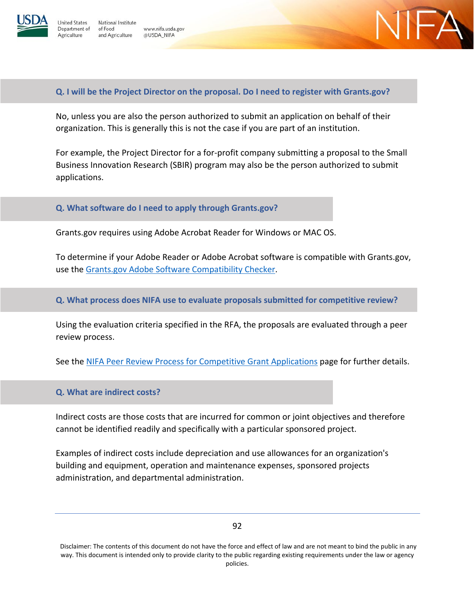

nited States Department of

Agriculture

National Institute of Food www.nifa.usda.gov and Agriculture @USDA\_NIFA



#### **Q. I will be the Project Director on the proposal. Do I need to register with Grants.gov?**

No, unless you are also the person authorized to submit an application on behalf of their organization. This is generally this is not the case if you are part of an institution.

For example, the Project Director for a for-profit company submitting a proposal to the Small Business Innovation Research (SBIR) program may also be the person authorized to submit applications.

#### **Q. What software do I need to apply through Grants.gov?**

Grants.gov requires using Adobe Acrobat Reader for Windows or MAC OS.

To determine if your Adobe Reader or Adobe Acrobat software is compatible with Grants.gov, use the [Grants.gov Adobe Software Compatibility Checker.](https://www.grants.gov/applicants/adobe-software-compatibility.html)

**Q. What process does NIFA use to evaluate proposals submitted for competitive review?**

Using the evaluation criteria specified in the RFA, the proposals are evaluated through a peer review process.

See the [NIFA Peer Review Process for Competitive Grant Applications](https://nifa.usda.gov/resource/nifa-peer-review-process-competitive-grant-applications) page for further details.

#### **Q. What are indirect costs?**

Indirect costs are those costs that are incurred for common or joint objectives and therefore cannot be identified readily and specifically with a particular sponsored project.

Examples of indirect costs include depreciation and use allowances for an organization's building and equipment, operation and maintenance expenses, sponsored projects administration, and departmental administration.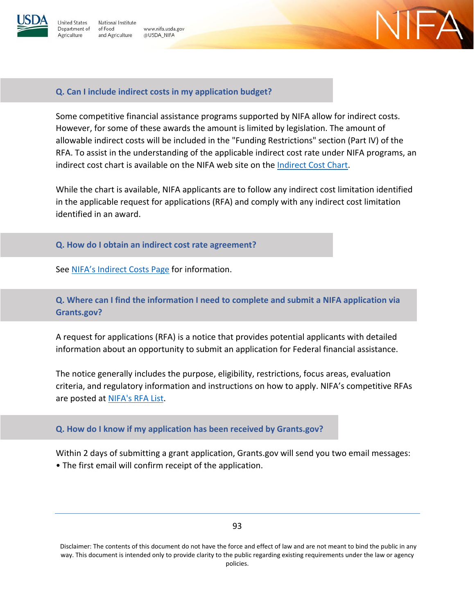

Inited States National Institute Department of of Food www.nifa.usda.gov and Agriculture @USDA\_NIFA Agriculture



## **Q. Can I include indirect costs in my application budget?**

Some competitive financial assistance programs supported by NIFA allow for indirect costs. However, for some of these awards the amount is limited by legislation. The amount of allowable indirect costs will be included in the "Funding Restrictions" section (Part IV) of the RFA. To assist in the understanding of the applicable indirect cost rate under NIFA programs, an indirect cost chart is available on the NIFA web site on the [Indirect Cost Chart.](https://nifa.usda.gov/resource/indirect-cost-chart)

While the chart is available, NIFA applicants are to follow any indirect cost limitation identified in the applicable request for applications (RFA) and comply with any indirect cost limitation identified in an award.

**Q. How do I obtain an indirect cost rate agreement?**

See [NIFA's Indirect Costs Page](https://nifa.usda.gov/indirect-costs) for information.

**Q. Where can I find the information I need to complete and submit a NIFA application via Grants.gov?**

A request for applications (RFA) is a notice that provides potential applicants with detailed information about an opportunity to submit an application for Federal financial assistance.

The notice generally includes the purpose, eligibility, restrictions, focus areas, evaluation criteria, and regulatory information and instructions on how to apply. NIFA's competitive RFAs are posted at [NIFA's RFA List.](https://nifa.usda.gov/rfa-list)

**Q. How do I know if my application has been received by Grants.gov?**

Within 2 days of submitting a grant application, Grants.gov will send you two email messages: • The first email will confirm receipt of the application.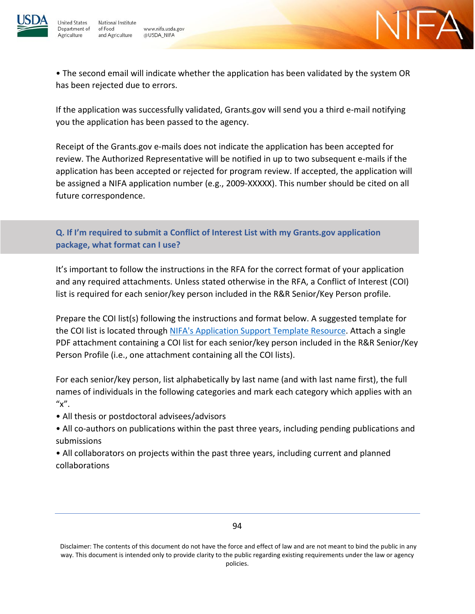

**Jnited States** 

Agriculture

Department of

www.nifa.usda.gov @USDA\_NIFA



• The second email will indicate whether the application has been validated by the system OR has been rejected due to errors.

If the application was successfully validated, Grants.gov will send you a third e-mail notifying you the application has been passed to the agency.

Receipt of the Grants.gov e-mails does not indicate the application has been accepted for review. The Authorized Representative will be notified in up to two subsequent e-mails if the application has been accepted or rejected for program review. If accepted, the application will be assigned a NIFA application number (e.g., 2009-XXXXX). This number should be cited on all future correspondence.

# **Q. If I'm required to submit a Conflict of Interest List with my Grants.gov application package, what format can I use?**

It's important to follow the instructions in the RFA for the correct format of your application and any required attachments. Unless stated otherwise in the RFA, a Conflict of Interest (COI) list is required for each senior/key person included in the R&R Senior/Key Person profile.

Prepare the COI list(s) following the instructions and format below. A suggested template for the COI list is located through [NIFA's Application Support Template Resource.](https://nifa.usda.gov/resource/application-support-templates) Attach a single PDF attachment containing a COI list for each senior/key person included in the R&R Senior/Key Person Profile (i.e., one attachment containing all the COI lists).

For each senior/key person, list alphabetically by last name (and with last name first), the full names of individuals in the following categories and mark each category which applies with an  $^{\prime\prime}$   $x^{\prime\prime}$ .

- All thesis or postdoctoral advisees/advisors
- All co-authors on publications within the past three years, including pending publications and submissions

• All collaborators on projects within the past three years, including current and planned collaborations

<sup>94</sup>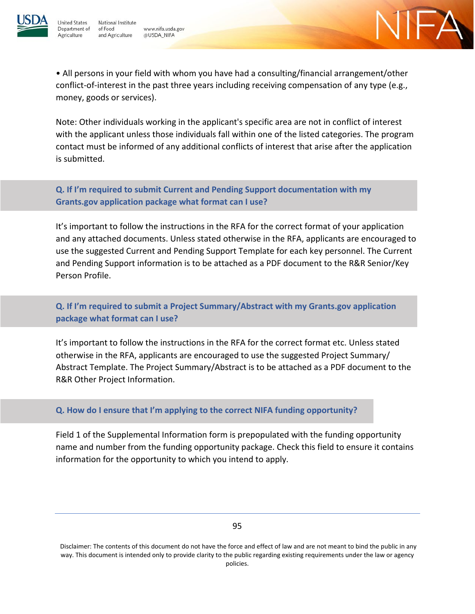

Agriculture

**Jnited States** National Institute Department of of Food and Agriculture

www.nifa.usda.gov @USDA\_NIFA



• All persons in your field with whom you have had a consulting/financial arrangement/other conflict-of-interest in the past three years including receiving compensation of any type (e.g., money, goods or services).

Note: Other individuals working in the applicant's specific area are not in conflict of interest with the applicant unless those individuals fall within one of the listed categories. The program contact must be informed of any additional conflicts of interest that arise after the application is submitted.

**Q. If I'm required to submit Current and Pending Support documentation with my Grants.gov application package what format can I use?**

It's important to follow the instructions in the RFA for the correct format of your application and any attached documents. Unless stated otherwise in the RFA, applicants are encouraged to use the suggested Current and Pending Support Template for each key personnel. The Current and Pending Support information is to be attached as a PDF document to the R&R Senior/Key Person Profile.

**Q. If I'm required to submit a Project Summary/Abstract with my Grants.gov application package what format can I use?**

It's important to follow the instructions in the RFA for the correct format etc. Unless stated otherwise in the RFA, applicants are encouraged to use the suggested Project Summary/ Abstract Template. The Project Summary/Abstract is to be attached as a PDF document to the R&R Other Project Information.

## **Q. How do I ensure that I'm applying to the correct NIFA funding opportunity?**

Field 1 of the Supplemental Information form is prepopulated with the funding opportunity name and number from the funding opportunity package. Check this field to ensure it contains information for the opportunity to which you intend to apply.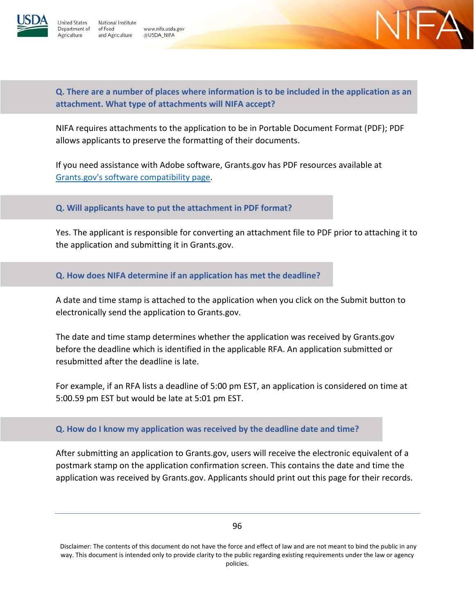

Inited States

Agriculture

National Institute Department of of Food and Agriculture





**Q. There are a number of places where information is to be included in the application as an attachment. What type of attachments will NIFA accept?**

NIFA requires attachments to the application to be in Portable Document Format (PDF); PDF allows applicants to preserve the formatting of their documents.

If you need assistance with Adobe software, Grants.gov has PDF resources available at [Grants.gov's software compatibility](https://www.grants.gov/web/grants/applicants/adobe-software-compatibility.html) page.

## **Q. Will applicants have to put the attachment in PDF format?**

Yes. The applicant is responsible for converting an attachment file to PDF prior to attaching it to the application and submitting it in Grants.gov.

**Q. How does NIFA determine if an application has met the deadline?**

A date and time stamp is attached to the application when you click on the Submit button to electronically send the application to Grants.gov.

The date and time stamp determines whether the application was received by Grants.gov before the deadline which is identified in the applicable RFA. An application submitted or resubmitted after the deadline is late.

For example, if an RFA lists a deadline of 5:00 pm EST, an application is considered on time at 5:00.59 pm EST but would be late at 5:01 pm EST.

## **Q. How do I know my application was received by the deadline date and time?**

After submitting an application to Grants.gov, users will receive the electronic equivalent of a postmark stamp on the application confirmation screen. This contains the date and time the application was received by Grants.gov. Applicants should print out this page for their records.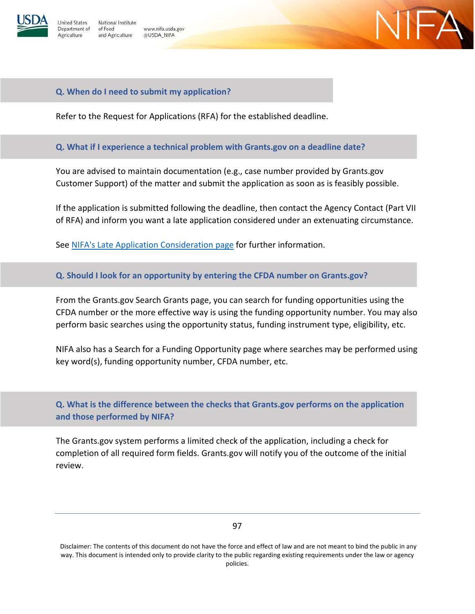

nited States

Agriculture

National Institute Department of of Food www.nifa.usda.gov and Agriculture @USDA\_NIFA



### **Q. When do I need to submit my application?**

Refer to the Request for Applications (RFA) for the established deadline.

#### **Q. What if I experience a technical problem with Grants.gov on a deadline date?**

You are advised to maintain documentation (e.g., case number provided by Grants.gov Customer Support) of the matter and submit the application as soon as is feasibly possible.

If the application is submitted following the deadline, then contact the Agency Contact (Part VII of RFA) and inform you want a late application considered under an extenuating circumstance.

See [NIFA's Late Application Consideration page](https://nifa.usda.gov/resource/late-application-consideration) for further information.

#### **Q. Should I look for an opportunity by entering the CFDA number on Grants.gov?**

From the Grants.gov Search Grants page, you can search for funding opportunities using the CFDA number or the more effective way is using the funding opportunity number. You may also perform basic searches using the opportunity status, funding instrument type, eligibility, etc.

NIFA also has a Search for a Funding Opportunity page where searches may be performed using key word(s), funding opportunity number, CFDA number, etc.

**Q. What is the difference between the checks that Grants.gov performs on the application and those performed by NIFA?**

The Grants.gov system performs a limited check of the application, including a check for completion of all required form fields. Grants.gov will notify you of the outcome of the initial review.